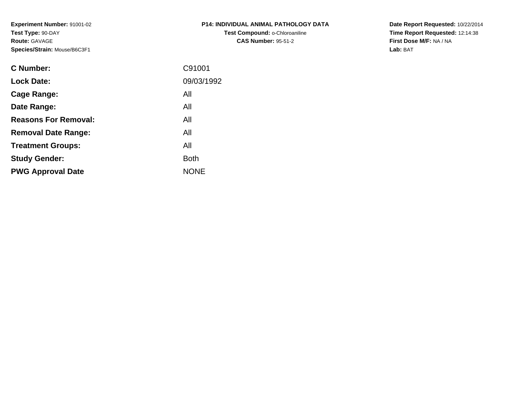**Experiment Number:** 91001-02**Test Type:** 90-DAY**Route:** GAVAGE**Species/Strain:** Mouse/B6C3F1

| <b>P14: INDIVIDUAL ANIMAL PATHOLOGY DATA</b> |
|----------------------------------------------|
| Test Compound: o-Chloroaniline               |
| <b>CAS Number: 95-51-2</b>                   |

**Date Report Requested:** 10/22/2014 **Time Report Requested:** 12:14:38**First Dose M/F:** NA / NA**Lab:** BAT

| <b>C</b> Number:            | C91001      |
|-----------------------------|-------------|
| <b>Lock Date:</b>           | 09/03/1992  |
| Cage Range:                 | All         |
| Date Range:                 | All         |
| <b>Reasons For Removal:</b> | All         |
| <b>Removal Date Range:</b>  | All         |
| <b>Treatment Groups:</b>    | All         |
| <b>Study Gender:</b>        | <b>Both</b> |
| <b>PWG Approval Date</b>    | <b>NONE</b> |
|                             |             |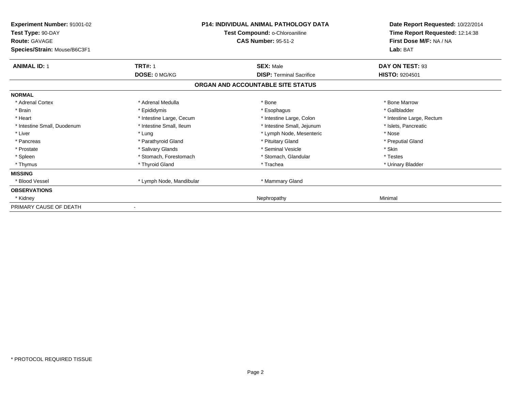| Experiment Number: 91001-02<br>Test Type: 90-DAY<br><b>Route: GAVAGE</b><br>Species/Strain: Mouse/B6C3F1 | P14: INDIVIDUAL ANIMAL PATHOLOGY DATA<br>Test Compound: o-Chloroaniline<br><b>CAS Number: 95-51-2</b> |                                   | Date Report Requested: 10/22/2014<br>Time Report Requested: 12:14:38<br>First Dose M/F: NA / NA<br>Lab: BAT |
|----------------------------------------------------------------------------------------------------------|-------------------------------------------------------------------------------------------------------|-----------------------------------|-------------------------------------------------------------------------------------------------------------|
| <b>ANIMAL ID: 1</b>                                                                                      | <b>TRT#: 1</b>                                                                                        | <b>SEX: Male</b>                  | DAY ON TEST: 93                                                                                             |
|                                                                                                          | DOSE: 0 MG/KG                                                                                         | <b>DISP:</b> Terminal Sacrifice   | HISTO: 9204501                                                                                              |
|                                                                                                          |                                                                                                       | ORGAN AND ACCOUNTABLE SITE STATUS |                                                                                                             |
| <b>NORMAL</b>                                                                                            |                                                                                                       |                                   |                                                                                                             |
| * Adrenal Cortex                                                                                         | * Adrenal Medulla                                                                                     | * Bone                            | * Bone Marrow                                                                                               |
| * Brain                                                                                                  | * Epididymis                                                                                          | * Esophagus                       | * Gallbladder                                                                                               |
| * Heart                                                                                                  | * Intestine Large, Cecum                                                                              | * Intestine Large, Colon          | * Intestine Large, Rectum                                                                                   |
| * Intestine Small, Duodenum                                                                              | * Intestine Small, Ileum                                                                              | * Intestine Small, Jejunum        | * Islets, Pancreatic                                                                                        |
| * Liver                                                                                                  | * Lung                                                                                                | * Lymph Node, Mesenteric          | * Nose                                                                                                      |
| * Pancreas                                                                                               | * Parathyroid Gland                                                                                   | * Pituitary Gland                 | * Preputial Gland                                                                                           |
| * Prostate                                                                                               | * Salivary Glands                                                                                     | * Seminal Vesicle                 | * Skin                                                                                                      |
| * Spleen                                                                                                 | * Stomach, Forestomach                                                                                | * Stomach, Glandular              | * Testes                                                                                                    |
| * Thymus                                                                                                 | * Thyroid Gland                                                                                       | * Trachea                         | * Urinary Bladder                                                                                           |
| <b>MISSING</b>                                                                                           |                                                                                                       |                                   |                                                                                                             |
| * Blood Vessel                                                                                           | * Lymph Node, Mandibular                                                                              | * Mammary Gland                   |                                                                                                             |
| <b>OBSERVATIONS</b>                                                                                      |                                                                                                       |                                   |                                                                                                             |
| * Kidney                                                                                                 |                                                                                                       | Nephropathy                       | Minimal                                                                                                     |
| PRIMARY CAUSE OF DEATH                                                                                   |                                                                                                       |                                   |                                                                                                             |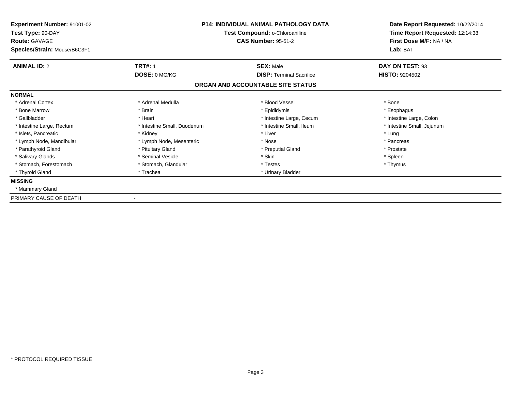| Experiment Number: 91001-02<br>Test Type: 90-DAY<br><b>Route: GAVAGE</b> | <b>P14: INDIVIDUAL ANIMAL PATHOLOGY DATA</b><br>Test Compound: o-Chloroaniline<br><b>CAS Number: 95-51-2</b> |                                   | Date Report Requested: 10/22/2014<br>Time Report Requested: 12:14:38<br>First Dose M/F: NA / NA |  |
|--------------------------------------------------------------------------|--------------------------------------------------------------------------------------------------------------|-----------------------------------|-------------------------------------------------------------------------------------------------|--|
| Species/Strain: Mouse/B6C3F1                                             |                                                                                                              |                                   | Lab: BAT                                                                                        |  |
| <b>ANIMAL ID: 2</b>                                                      | <b>TRT#: 1</b>                                                                                               | <b>SEX: Male</b>                  | DAY ON TEST: 93                                                                                 |  |
|                                                                          | DOSE: 0 MG/KG                                                                                                | <b>DISP: Terminal Sacrifice</b>   | <b>HISTO: 9204502</b>                                                                           |  |
|                                                                          |                                                                                                              | ORGAN AND ACCOUNTABLE SITE STATUS |                                                                                                 |  |
| <b>NORMAL</b>                                                            |                                                                                                              |                                   |                                                                                                 |  |
| * Adrenal Cortex                                                         | * Adrenal Medulla                                                                                            | * Blood Vessel                    | * Bone                                                                                          |  |
| * Bone Marrow                                                            | * Brain                                                                                                      | * Epididymis                      | * Esophagus                                                                                     |  |
| * Gallbladder                                                            | * Heart                                                                                                      | * Intestine Large, Cecum          | * Intestine Large, Colon                                                                        |  |
| * Intestine Large, Rectum                                                | * Intestine Small, Duodenum                                                                                  | * Intestine Small. Ileum          | * Intestine Small, Jejunum                                                                      |  |
| * Islets. Pancreatic                                                     | * Kidney                                                                                                     | * Liver                           | * Lung                                                                                          |  |
| * Lymph Node, Mandibular                                                 | * Lymph Node, Mesenteric                                                                                     | * Nose                            | * Pancreas                                                                                      |  |
| * Parathyroid Gland                                                      | * Pituitary Gland                                                                                            | * Preputial Gland                 | * Prostate                                                                                      |  |
| * Salivary Glands                                                        | * Seminal Vesicle                                                                                            | * Skin                            | * Spleen                                                                                        |  |
| * Stomach, Forestomach                                                   | * Stomach, Glandular                                                                                         | * Testes                          | * Thymus                                                                                        |  |
| * Thyroid Gland                                                          | * Trachea                                                                                                    | * Urinary Bladder                 |                                                                                                 |  |
| <b>MISSING</b>                                                           |                                                                                                              |                                   |                                                                                                 |  |
| * Mammary Gland                                                          |                                                                                                              |                                   |                                                                                                 |  |
| PRIMARY CAUSE OF DEATH                                                   |                                                                                                              |                                   |                                                                                                 |  |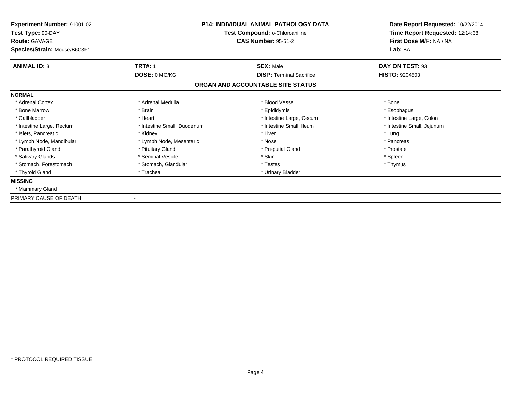| Experiment Number: 91001-02<br>Test Type: 90-DAY<br><b>Route: GAVAGE</b> | <b>P14: INDIVIDUAL ANIMAL PATHOLOGY DATA</b><br>Test Compound: o-Chloroaniline<br><b>CAS Number: 95-51-2</b> |                                   | Date Report Requested: 10/22/2014<br>Time Report Requested: 12:14:38<br>First Dose M/F: NA / NA |  |
|--------------------------------------------------------------------------|--------------------------------------------------------------------------------------------------------------|-----------------------------------|-------------------------------------------------------------------------------------------------|--|
| Species/Strain: Mouse/B6C3F1                                             |                                                                                                              |                                   | Lab: BAT                                                                                        |  |
| <b>ANIMAL ID: 3</b>                                                      | <b>TRT#: 1</b>                                                                                               | <b>SEX: Male</b>                  | DAY ON TEST: 93                                                                                 |  |
|                                                                          | DOSE: 0 MG/KG                                                                                                | <b>DISP: Terminal Sacrifice</b>   | <b>HISTO: 9204503</b>                                                                           |  |
|                                                                          |                                                                                                              | ORGAN AND ACCOUNTABLE SITE STATUS |                                                                                                 |  |
| <b>NORMAL</b>                                                            |                                                                                                              |                                   |                                                                                                 |  |
| * Adrenal Cortex                                                         | * Adrenal Medulla                                                                                            | * Blood Vessel                    | * Bone                                                                                          |  |
| * Bone Marrow                                                            | * Brain                                                                                                      | * Epididymis                      | * Esophagus                                                                                     |  |
| * Gallbladder                                                            | * Heart                                                                                                      | * Intestine Large, Cecum          | * Intestine Large, Colon                                                                        |  |
| * Intestine Large, Rectum                                                | * Intestine Small, Duodenum                                                                                  | * Intestine Small. Ileum          | * Intestine Small, Jejunum                                                                      |  |
| * Islets. Pancreatic                                                     | * Kidney                                                                                                     | * Liver                           | * Lung                                                                                          |  |
| * Lymph Node, Mandibular                                                 | * Lymph Node, Mesenteric                                                                                     | * Nose                            | * Pancreas                                                                                      |  |
| * Parathyroid Gland                                                      | * Pituitary Gland                                                                                            | * Preputial Gland                 | * Prostate                                                                                      |  |
| * Salivary Glands                                                        | * Seminal Vesicle                                                                                            | * Skin                            | * Spleen                                                                                        |  |
| * Stomach, Forestomach                                                   | * Stomach, Glandular                                                                                         | * Testes                          | * Thymus                                                                                        |  |
| * Thyroid Gland                                                          | * Trachea                                                                                                    | * Urinary Bladder                 |                                                                                                 |  |
| <b>MISSING</b>                                                           |                                                                                                              |                                   |                                                                                                 |  |
| * Mammary Gland                                                          |                                                                                                              |                                   |                                                                                                 |  |
| PRIMARY CAUSE OF DEATH                                                   |                                                                                                              |                                   |                                                                                                 |  |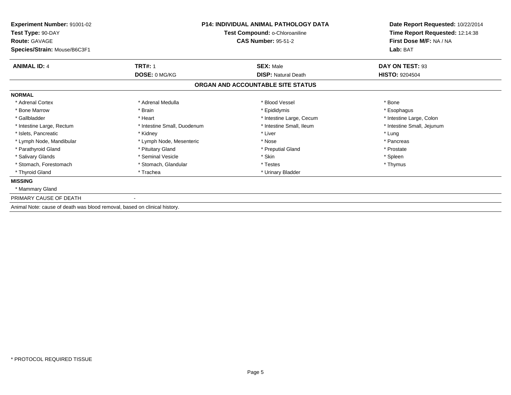| Experiment Number: 91001-02                                               | <b>P14: INDIVIDUAL ANIMAL PATHOLOGY DATA</b><br>Test Compound: o-Chloroaniline<br><b>CAS Number: 95-51-2</b> |                                   | Date Report Requested: 10/22/2014                          |  |  |
|---------------------------------------------------------------------------|--------------------------------------------------------------------------------------------------------------|-----------------------------------|------------------------------------------------------------|--|--|
| Test Type: 90-DAY<br><b>Route: GAVAGE</b>                                 |                                                                                                              |                                   | Time Report Requested: 12:14:38<br>First Dose M/F: NA / NA |  |  |
| Species/Strain: Mouse/B6C3F1                                              |                                                                                                              |                                   | Lab: BAT                                                   |  |  |
| <b>ANIMAL ID: 4</b>                                                       | <b>TRT#: 1</b>                                                                                               | <b>SEX: Male</b>                  | DAY ON TEST: 93                                            |  |  |
|                                                                           | DOSE: 0 MG/KG                                                                                                | <b>DISP: Natural Death</b>        | <b>HISTO: 9204504</b>                                      |  |  |
|                                                                           |                                                                                                              | ORGAN AND ACCOUNTABLE SITE STATUS |                                                            |  |  |
| <b>NORMAL</b>                                                             |                                                                                                              |                                   |                                                            |  |  |
| * Adrenal Cortex                                                          | * Adrenal Medulla                                                                                            | * Blood Vessel                    | * Bone                                                     |  |  |
| * Bone Marrow                                                             | * Brain                                                                                                      | * Epididymis                      | * Esophagus                                                |  |  |
| * Gallbladder                                                             | * Heart                                                                                                      | * Intestine Large, Cecum          | * Intestine Large, Colon                                   |  |  |
| * Intestine Large, Rectum                                                 | * Intestine Small, Duodenum                                                                                  | * Intestine Small, Ileum          | * Intestine Small, Jejunum                                 |  |  |
| * Islets, Pancreatic                                                      | * Kidney                                                                                                     | * Liver                           | * Lung                                                     |  |  |
| * Lymph Node, Mandibular                                                  | * Lymph Node, Mesenteric                                                                                     | * Nose                            | * Pancreas                                                 |  |  |
| * Parathyroid Gland                                                       | * Pituitary Gland                                                                                            | * Preputial Gland                 | * Prostate                                                 |  |  |
| * Salivary Glands                                                         | * Seminal Vesicle                                                                                            | * Skin                            | * Spleen                                                   |  |  |
| * Stomach, Forestomach                                                    | * Stomach, Glandular                                                                                         | * Testes                          | * Thymus                                                   |  |  |
| * Thyroid Gland                                                           | * Trachea                                                                                                    | * Urinary Bladder                 |                                                            |  |  |
| <b>MISSING</b>                                                            |                                                                                                              |                                   |                                                            |  |  |
| * Mammary Gland                                                           |                                                                                                              |                                   |                                                            |  |  |
| PRIMARY CAUSE OF DEATH                                                    |                                                                                                              |                                   |                                                            |  |  |
| Animal Note: cause of death was blood removal, based on clinical history. |                                                                                                              |                                   |                                                            |  |  |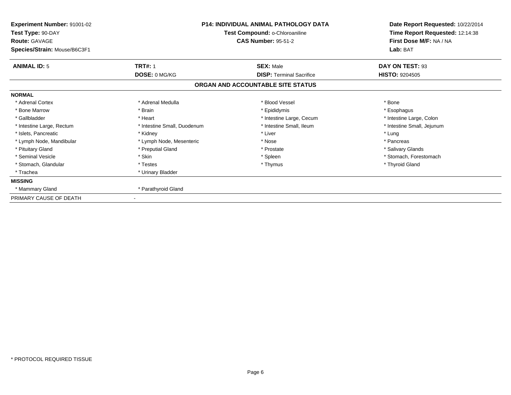| Experiment Number: 91001-02<br>Test Type: 90-DAY<br>Route: GAVAGE<br>Species/Strain: Mouse/B6C3F1 |                             | <b>P14: INDIVIDUAL ANIMAL PATHOLOGY DATA</b><br>Test Compound: o-Chloroaniline<br><b>CAS Number: 95-51-2</b> | Date Report Requested: 10/22/2014<br>Time Report Requested: 12:14:38<br>First Dose M/F: NA / NA<br>Lab: BAT |
|---------------------------------------------------------------------------------------------------|-----------------------------|--------------------------------------------------------------------------------------------------------------|-------------------------------------------------------------------------------------------------------------|
| <b>ANIMAL ID: 5</b>                                                                               | <b>TRT#: 1</b>              | <b>SEX: Male</b>                                                                                             | DAY ON TEST: 93                                                                                             |
|                                                                                                   | DOSE: 0 MG/KG               | <b>DISP: Terminal Sacrifice</b>                                                                              | <b>HISTO: 9204505</b>                                                                                       |
|                                                                                                   |                             | ORGAN AND ACCOUNTABLE SITE STATUS                                                                            |                                                                                                             |
| <b>NORMAL</b>                                                                                     |                             |                                                                                                              |                                                                                                             |
| * Adrenal Cortex                                                                                  | * Adrenal Medulla           | * Blood Vessel                                                                                               | * Bone                                                                                                      |
| * Bone Marrow                                                                                     | * Brain                     | * Epididymis                                                                                                 | * Esophagus                                                                                                 |
| * Gallbladder                                                                                     | * Heart                     | * Intestine Large, Cecum                                                                                     | * Intestine Large, Colon                                                                                    |
| * Intestine Large, Rectum                                                                         | * Intestine Small, Duodenum | * Intestine Small, Ileum                                                                                     | * Intestine Small, Jejunum                                                                                  |
| * Islets, Pancreatic                                                                              | * Kidney                    | * Liver                                                                                                      | * Lung                                                                                                      |
| * Lymph Node, Mandibular                                                                          | * Lymph Node, Mesenteric    | * Nose                                                                                                       | * Pancreas                                                                                                  |
| * Pituitary Gland                                                                                 | * Preputial Gland           | * Prostate                                                                                                   | * Salivary Glands                                                                                           |
| * Seminal Vesicle                                                                                 | * Skin                      | * Spleen                                                                                                     | * Stomach, Forestomach                                                                                      |
| * Stomach, Glandular                                                                              | * Testes                    | * Thymus                                                                                                     | * Thyroid Gland                                                                                             |
| * Trachea                                                                                         | * Urinary Bladder           |                                                                                                              |                                                                                                             |
| <b>MISSING</b>                                                                                    |                             |                                                                                                              |                                                                                                             |
| * Mammary Gland                                                                                   | * Parathyroid Gland         |                                                                                                              |                                                                                                             |
| PRIMARY CAUSE OF DEATH                                                                            |                             |                                                                                                              |                                                                                                             |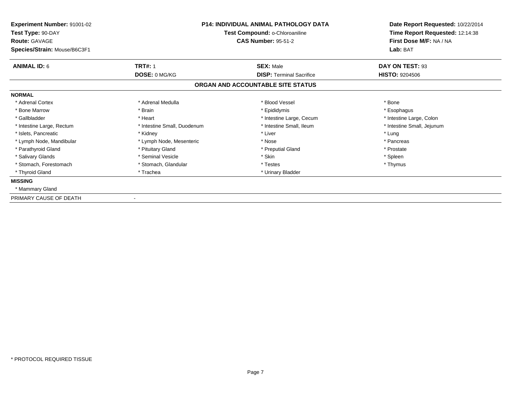| Experiment Number: 91001-02<br>Test Type: 90-DAY<br><b>Route: GAVAGE</b> | <b>P14: INDIVIDUAL ANIMAL PATHOLOGY DATA</b><br>Test Compound: o-Chloroaniline<br><b>CAS Number: 95-51-2</b> |                                   | Date Report Requested: 10/22/2014<br>Time Report Requested: 12:14:38<br>First Dose M/F: NA / NA |  |
|--------------------------------------------------------------------------|--------------------------------------------------------------------------------------------------------------|-----------------------------------|-------------------------------------------------------------------------------------------------|--|
| Species/Strain: Mouse/B6C3F1                                             |                                                                                                              |                                   | Lab: BAT                                                                                        |  |
| <b>ANIMAL ID: 6</b>                                                      | <b>TRT#: 1</b>                                                                                               | <b>SEX: Male</b>                  | DAY ON TEST: 93                                                                                 |  |
|                                                                          | DOSE: 0 MG/KG                                                                                                | <b>DISP: Terminal Sacrifice</b>   | <b>HISTO: 9204506</b>                                                                           |  |
|                                                                          |                                                                                                              | ORGAN AND ACCOUNTABLE SITE STATUS |                                                                                                 |  |
| <b>NORMAL</b>                                                            |                                                                                                              |                                   |                                                                                                 |  |
| * Adrenal Cortex                                                         | * Adrenal Medulla                                                                                            | * Blood Vessel                    | * Bone                                                                                          |  |
| * Bone Marrow                                                            | * Brain                                                                                                      | * Epididymis                      | * Esophagus                                                                                     |  |
| * Gallbladder                                                            | * Heart                                                                                                      | * Intestine Large, Cecum          | * Intestine Large, Colon                                                                        |  |
| * Intestine Large, Rectum                                                | * Intestine Small, Duodenum                                                                                  | * Intestine Small. Ileum          | * Intestine Small, Jejunum                                                                      |  |
| * Islets. Pancreatic                                                     | * Kidney                                                                                                     | * Liver                           | * Lung                                                                                          |  |
| * Lymph Node, Mandibular                                                 | * Lymph Node, Mesenteric                                                                                     | * Nose                            | * Pancreas                                                                                      |  |
| * Parathyroid Gland                                                      | * Pituitary Gland                                                                                            | * Preputial Gland                 | * Prostate                                                                                      |  |
| * Salivary Glands                                                        | * Seminal Vesicle                                                                                            | * Skin                            | * Spleen                                                                                        |  |
| * Stomach, Forestomach                                                   | * Stomach, Glandular                                                                                         | * Testes                          | * Thymus                                                                                        |  |
| * Thyroid Gland                                                          | * Trachea                                                                                                    | * Urinary Bladder                 |                                                                                                 |  |
| <b>MISSING</b>                                                           |                                                                                                              |                                   |                                                                                                 |  |
| * Mammary Gland                                                          |                                                                                                              |                                   |                                                                                                 |  |
| PRIMARY CAUSE OF DEATH                                                   |                                                                                                              |                                   |                                                                                                 |  |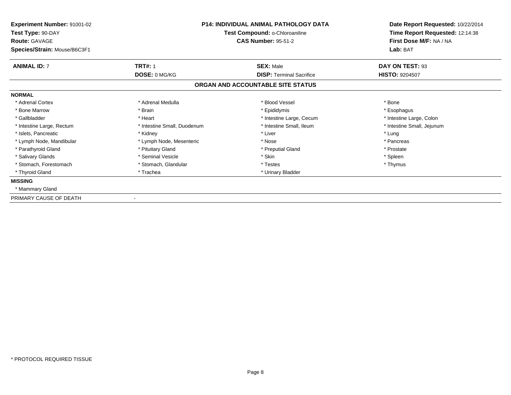| Experiment Number: 91001-02<br>Test Type: 90-DAY<br><b>Route: GAVAGE</b> | <b>P14: INDIVIDUAL ANIMAL PATHOLOGY DATA</b><br>Test Compound: o-Chloroaniline<br><b>CAS Number: 95-51-2</b> |                                   | Date Report Requested: 10/22/2014<br>Time Report Requested: 12:14:38<br>First Dose M/F: NA / NA |  |
|--------------------------------------------------------------------------|--------------------------------------------------------------------------------------------------------------|-----------------------------------|-------------------------------------------------------------------------------------------------|--|
| Species/Strain: Mouse/B6C3F1                                             |                                                                                                              |                                   | Lab: BAT                                                                                        |  |
| <b>ANIMAL ID: 7</b>                                                      | <b>TRT#: 1</b>                                                                                               | <b>SEX: Male</b>                  | DAY ON TEST: 93                                                                                 |  |
|                                                                          | DOSE: 0 MG/KG                                                                                                | <b>DISP: Terminal Sacrifice</b>   | <b>HISTO: 9204507</b>                                                                           |  |
|                                                                          |                                                                                                              | ORGAN AND ACCOUNTABLE SITE STATUS |                                                                                                 |  |
| <b>NORMAL</b>                                                            |                                                                                                              |                                   |                                                                                                 |  |
| * Adrenal Cortex                                                         | * Adrenal Medulla                                                                                            | * Blood Vessel                    | * Bone                                                                                          |  |
| * Bone Marrow                                                            | * Brain                                                                                                      | * Epididymis                      | * Esophagus                                                                                     |  |
| * Gallbladder                                                            | * Heart                                                                                                      | * Intestine Large, Cecum          | * Intestine Large, Colon                                                                        |  |
| * Intestine Large, Rectum                                                | * Intestine Small, Duodenum                                                                                  | * Intestine Small. Ileum          | * Intestine Small, Jejunum                                                                      |  |
| * Islets. Pancreatic                                                     | * Kidney                                                                                                     | * Liver                           | * Lung                                                                                          |  |
| * Lymph Node, Mandibular                                                 | * Lymph Node, Mesenteric                                                                                     | * Nose                            | * Pancreas                                                                                      |  |
| * Parathyroid Gland                                                      | * Pituitary Gland                                                                                            | * Preputial Gland                 | * Prostate                                                                                      |  |
| * Salivary Glands                                                        | * Seminal Vesicle                                                                                            | * Skin                            | * Spleen                                                                                        |  |
| * Stomach, Forestomach                                                   | * Stomach, Glandular                                                                                         | * Testes                          | * Thymus                                                                                        |  |
| * Thyroid Gland                                                          | * Trachea                                                                                                    | * Urinary Bladder                 |                                                                                                 |  |
| <b>MISSING</b>                                                           |                                                                                                              |                                   |                                                                                                 |  |
| * Mammary Gland                                                          |                                                                                                              |                                   |                                                                                                 |  |
| PRIMARY CAUSE OF DEATH                                                   |                                                                                                              |                                   |                                                                                                 |  |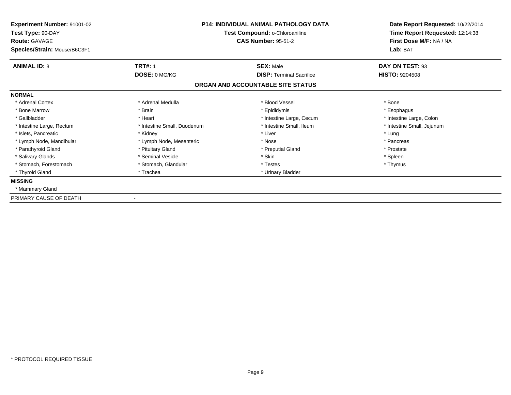| Experiment Number: 91001-02<br>Test Type: 90-DAY<br><b>Route: GAVAGE</b> | <b>P14: INDIVIDUAL ANIMAL PATHOLOGY DATA</b><br>Test Compound: o-Chloroaniline<br><b>CAS Number: 95-51-2</b> |                                   | Date Report Requested: 10/22/2014<br>Time Report Requested: 12:14:38<br>First Dose M/F: NA / NA |  |
|--------------------------------------------------------------------------|--------------------------------------------------------------------------------------------------------------|-----------------------------------|-------------------------------------------------------------------------------------------------|--|
| Species/Strain: Mouse/B6C3F1                                             |                                                                                                              |                                   | Lab: BAT                                                                                        |  |
| <b>ANIMAL ID: 8</b>                                                      | <b>TRT#: 1</b>                                                                                               | <b>SEX: Male</b>                  | DAY ON TEST: 93                                                                                 |  |
|                                                                          | DOSE: 0 MG/KG                                                                                                | <b>DISP: Terminal Sacrifice</b>   | <b>HISTO: 9204508</b>                                                                           |  |
|                                                                          |                                                                                                              | ORGAN AND ACCOUNTABLE SITE STATUS |                                                                                                 |  |
| <b>NORMAL</b>                                                            |                                                                                                              |                                   |                                                                                                 |  |
| * Adrenal Cortex                                                         | * Adrenal Medulla                                                                                            | * Blood Vessel                    | * Bone                                                                                          |  |
| * Bone Marrow                                                            | * Brain                                                                                                      | * Epididymis                      | * Esophagus                                                                                     |  |
| * Gallbladder                                                            | * Heart                                                                                                      | * Intestine Large, Cecum          | * Intestine Large, Colon                                                                        |  |
| * Intestine Large, Rectum                                                | * Intestine Small, Duodenum                                                                                  | * Intestine Small. Ileum          | * Intestine Small, Jejunum                                                                      |  |
| * Islets. Pancreatic                                                     | * Kidney                                                                                                     | * Liver                           | * Lung                                                                                          |  |
| * Lymph Node, Mandibular                                                 | * Lymph Node, Mesenteric                                                                                     | * Nose                            | * Pancreas                                                                                      |  |
| * Parathyroid Gland                                                      | * Pituitary Gland                                                                                            | * Preputial Gland                 | * Prostate                                                                                      |  |
| * Salivary Glands                                                        | * Seminal Vesicle                                                                                            | * Skin                            | * Spleen                                                                                        |  |
| * Stomach, Forestomach                                                   | * Stomach, Glandular                                                                                         | * Testes                          | * Thymus                                                                                        |  |
| * Thyroid Gland                                                          | * Trachea                                                                                                    | * Urinary Bladder                 |                                                                                                 |  |
| <b>MISSING</b>                                                           |                                                                                                              |                                   |                                                                                                 |  |
| * Mammary Gland                                                          |                                                                                                              |                                   |                                                                                                 |  |
| PRIMARY CAUSE OF DEATH                                                   |                                                                                                              |                                   |                                                                                                 |  |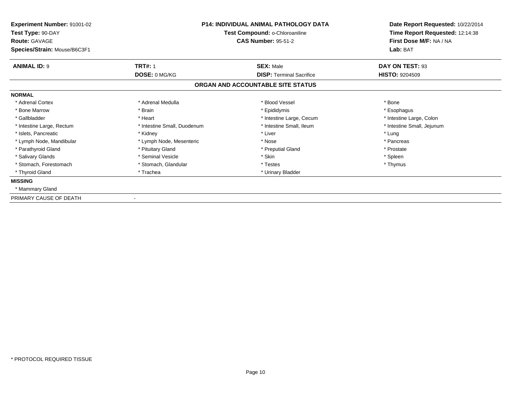| Experiment Number: 91001-02<br>Test Type: 90-DAY<br><b>Route: GAVAGE</b> | <b>P14: INDIVIDUAL ANIMAL PATHOLOGY DATA</b><br>Test Compound: o-Chloroaniline<br><b>CAS Number: 95-51-2</b> |                                   | Date Report Requested: 10/22/2014<br>Time Report Requested: 12:14:38<br>First Dose M/F: NA / NA |  |
|--------------------------------------------------------------------------|--------------------------------------------------------------------------------------------------------------|-----------------------------------|-------------------------------------------------------------------------------------------------|--|
| Species/Strain: Mouse/B6C3F1                                             |                                                                                                              |                                   | Lab: BAT                                                                                        |  |
| <b>ANIMAL ID: 9</b>                                                      | <b>TRT#: 1</b>                                                                                               | <b>SEX: Male</b>                  | DAY ON TEST: 93                                                                                 |  |
|                                                                          | DOSE: 0 MG/KG                                                                                                | <b>DISP: Terminal Sacrifice</b>   | <b>HISTO: 9204509</b>                                                                           |  |
|                                                                          |                                                                                                              | ORGAN AND ACCOUNTABLE SITE STATUS |                                                                                                 |  |
| <b>NORMAL</b>                                                            |                                                                                                              |                                   |                                                                                                 |  |
| * Adrenal Cortex                                                         | * Adrenal Medulla                                                                                            | * Blood Vessel                    | * Bone                                                                                          |  |
| * Bone Marrow                                                            | * Brain                                                                                                      | * Epididymis                      | * Esophagus                                                                                     |  |
| * Gallbladder                                                            | * Heart                                                                                                      | * Intestine Large, Cecum          | * Intestine Large, Colon                                                                        |  |
| * Intestine Large, Rectum                                                | * Intestine Small, Duodenum                                                                                  | * Intestine Small. Ileum          | * Intestine Small, Jejunum                                                                      |  |
| * Islets. Pancreatic                                                     | * Kidney                                                                                                     | * Liver                           | * Lung                                                                                          |  |
| * Lymph Node, Mandibular                                                 | * Lymph Node, Mesenteric                                                                                     | * Nose                            | * Pancreas                                                                                      |  |
| * Parathyroid Gland                                                      | * Pituitary Gland                                                                                            | * Preputial Gland                 | * Prostate                                                                                      |  |
| * Salivary Glands                                                        | * Seminal Vesicle                                                                                            | * Skin                            | * Spleen                                                                                        |  |
| * Stomach, Forestomach                                                   | * Stomach, Glandular                                                                                         | * Testes                          | * Thymus                                                                                        |  |
| * Thyroid Gland                                                          | * Trachea                                                                                                    | * Urinary Bladder                 |                                                                                                 |  |
| <b>MISSING</b>                                                           |                                                                                                              |                                   |                                                                                                 |  |
| * Mammary Gland                                                          |                                                                                                              |                                   |                                                                                                 |  |
| PRIMARY CAUSE OF DEATH                                                   |                                                                                                              |                                   |                                                                                                 |  |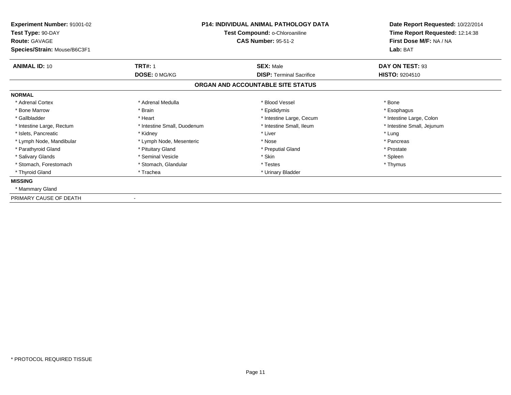| Experiment Number: 91001-02<br>Test Type: 90-DAY<br><b>Route: GAVAGE</b> | <b>P14: INDIVIDUAL ANIMAL PATHOLOGY DATA</b><br>Test Compound: o-Chloroaniline<br><b>CAS Number: 95-51-2</b> |                                   | Date Report Requested: 10/22/2014<br>Time Report Requested: 12:14:38<br>First Dose M/F: NA / NA |  |
|--------------------------------------------------------------------------|--------------------------------------------------------------------------------------------------------------|-----------------------------------|-------------------------------------------------------------------------------------------------|--|
| Species/Strain: Mouse/B6C3F1                                             |                                                                                                              |                                   | Lab: BAT                                                                                        |  |
| <b>ANIMAL ID: 10</b>                                                     | <b>TRT#: 1</b>                                                                                               | <b>SEX: Male</b>                  | DAY ON TEST: 93                                                                                 |  |
|                                                                          | DOSE: 0 MG/KG                                                                                                | <b>DISP: Terminal Sacrifice</b>   | <b>HISTO: 9204510</b>                                                                           |  |
|                                                                          |                                                                                                              | ORGAN AND ACCOUNTABLE SITE STATUS |                                                                                                 |  |
| <b>NORMAL</b>                                                            |                                                                                                              |                                   |                                                                                                 |  |
| * Adrenal Cortex                                                         | * Adrenal Medulla                                                                                            | * Blood Vessel                    | * Bone                                                                                          |  |
| * Bone Marrow                                                            | * Brain                                                                                                      | * Epididymis                      | * Esophagus                                                                                     |  |
| * Gallbladder                                                            | * Heart                                                                                                      | * Intestine Large, Cecum          | * Intestine Large, Colon                                                                        |  |
| * Intestine Large, Rectum                                                | * Intestine Small, Duodenum                                                                                  | * Intestine Small. Ileum          | * Intestine Small, Jejunum                                                                      |  |
| * Islets. Pancreatic                                                     | * Kidney                                                                                                     | * Liver                           | * Lung                                                                                          |  |
| * Lymph Node, Mandibular                                                 | * Lymph Node, Mesenteric                                                                                     | * Nose                            | * Pancreas                                                                                      |  |
| * Parathyroid Gland                                                      | * Pituitary Gland                                                                                            | * Preputial Gland                 | * Prostate                                                                                      |  |
| * Salivary Glands                                                        | * Seminal Vesicle                                                                                            | * Skin                            | * Spleen                                                                                        |  |
| * Stomach, Forestomach                                                   | * Stomach, Glandular                                                                                         | * Testes                          | * Thymus                                                                                        |  |
| * Thyroid Gland                                                          | * Trachea                                                                                                    | * Urinary Bladder                 |                                                                                                 |  |
| <b>MISSING</b>                                                           |                                                                                                              |                                   |                                                                                                 |  |
| * Mammary Gland                                                          |                                                                                                              |                                   |                                                                                                 |  |
| PRIMARY CAUSE OF DEATH                                                   |                                                                                                              |                                   |                                                                                                 |  |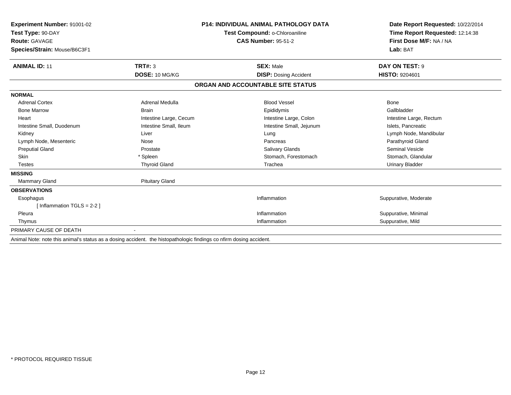| Experiment Number: 91001-02<br>Test Type: 90-DAY<br><b>Route: GAVAGE</b> |                        | <b>P14: INDIVIDUAL ANIMAL PATHOLOGY DATA</b><br>Test Compound: o-Chloroaniline<br><b>CAS Number: 95-51-2</b> | Date Report Requested: 10/22/2014<br>Time Report Requested: 12:14:38<br>First Dose M/F: NA / NA |
|--------------------------------------------------------------------------|------------------------|--------------------------------------------------------------------------------------------------------------|-------------------------------------------------------------------------------------------------|
| Species/Strain: Mouse/B6C3F1                                             |                        |                                                                                                              | Lab: BAT                                                                                        |
| <b>ANIMAL ID: 11</b>                                                     | TRT#: 3                | <b>SEX: Male</b>                                                                                             | DAY ON TEST: 9                                                                                  |
|                                                                          | DOSE: 10 MG/KG         | <b>DISP: Dosing Accident</b>                                                                                 | <b>HISTO: 9204601</b>                                                                           |
|                                                                          |                        | ORGAN AND ACCOUNTABLE SITE STATUS                                                                            |                                                                                                 |
| <b>NORMAL</b>                                                            |                        |                                                                                                              |                                                                                                 |
| <b>Adrenal Cortex</b>                                                    | Adrenal Medulla        | <b>Blood Vessel</b>                                                                                          | <b>Bone</b>                                                                                     |
| <b>Bone Marrow</b>                                                       | <b>Brain</b>           | Epididymis                                                                                                   | Gallbladder                                                                                     |
| Heart                                                                    | Intestine Large, Cecum | Intestine Large, Colon                                                                                       | Intestine Large, Rectum                                                                         |
| Intestine Small, Duodenum                                                | Intestine Small, Ileum | Intestine Small, Jejunum                                                                                     | Islets, Pancreatic                                                                              |
| Kidney                                                                   | Liver                  | Lung                                                                                                         | Lymph Node, Mandibular                                                                          |
| Lymph Node, Mesenteric                                                   | Nose                   | Pancreas                                                                                                     | Parathyroid Gland                                                                               |
| <b>Preputial Gland</b>                                                   | Prostate               | <b>Salivary Glands</b>                                                                                       | <b>Seminal Vesicle</b>                                                                          |
| <b>Skin</b>                                                              | * Spleen               | Stomach, Forestomach                                                                                         | Stomach, Glandular                                                                              |
| <b>Testes</b>                                                            | <b>Thyroid Gland</b>   | Trachea                                                                                                      | <b>Urinary Bladder</b>                                                                          |
| <b>MISSING</b>                                                           |                        |                                                                                                              |                                                                                                 |
| <b>Mammary Gland</b>                                                     | <b>Pituitary Gland</b> |                                                                                                              |                                                                                                 |
| <b>OBSERVATIONS</b>                                                      |                        |                                                                                                              |                                                                                                 |
| Esophagus                                                                |                        | Inflammation                                                                                                 | Suppurative, Moderate                                                                           |
| [Inflammation TGLS = $2-2$ ]                                             |                        |                                                                                                              |                                                                                                 |
| Pleura                                                                   |                        | Inflammation                                                                                                 | Suppurative, Minimal                                                                            |
| Thymus                                                                   |                        | Inflammation                                                                                                 | Suppurative, Mild                                                                               |
| PRIMARY CAUSE OF DEATH                                                   |                        |                                                                                                              |                                                                                                 |
|                                                                          |                        |                                                                                                              |                                                                                                 |

Animal Note: note this animal's status as a dosing accident. the histopathologic findings co nfirm dosing accident.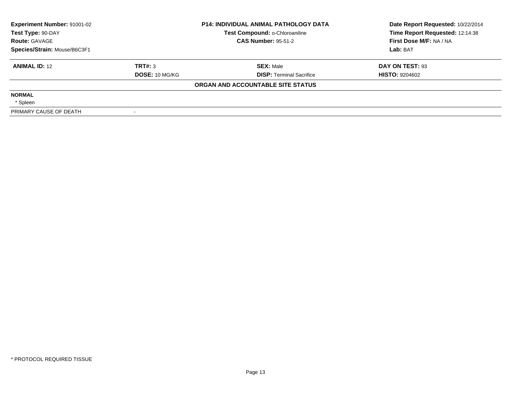| Experiment Number: 91001-02  |                       | <b>P14: INDIVIDUAL ANIMAL PATHOLOGY DATA</b> | Date Report Requested: 10/22/2014 |
|------------------------------|-----------------------|----------------------------------------------|-----------------------------------|
| Test Type: 90-DAY            |                       | Test Compound: o-Chloroaniline               | Time Report Requested: 12:14:38   |
| <b>Route: GAVAGE</b>         |                       | <b>CAS Number: 95-51-2</b>                   | First Dose M/F: NA / NA           |
| Species/Strain: Mouse/B6C3F1 |                       |                                              | Lab: BAT                          |
| <b>ANIMAL ID: 12</b>         | TRT#: 3               | <b>SEX: Male</b>                             | DAY ON TEST: 93                   |
|                              | <b>DOSE: 10 MG/KG</b> | <b>DISP:</b> Terminal Sacrifice              | <b>HISTO: 9204602</b>             |
|                              |                       | ORGAN AND ACCOUNTABLE SITE STATUS            |                                   |
| <b>NORMAL</b>                |                       |                                              |                                   |
| * Spleen                     |                       |                                              |                                   |
| PRIMARY CAUSE OF DEATH       |                       |                                              |                                   |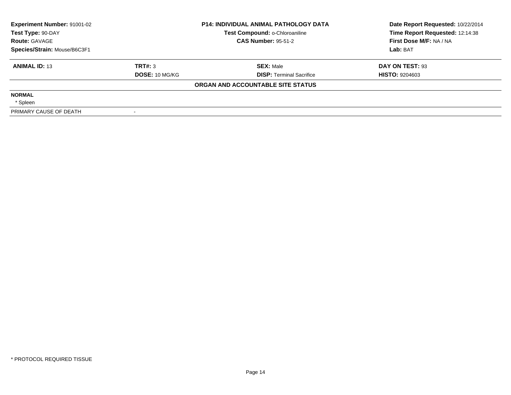| <b>Experiment Number: 91001-02</b><br>Test Type: 90-DAY |                       | <b>P14: INDIVIDUAL ANIMAL PATHOLOGY DATA</b><br>Test Compound: o-Chloroaniline | Date Report Requested: 10/22/2014<br>Time Report Requested: 12:14:38 |
|---------------------------------------------------------|-----------------------|--------------------------------------------------------------------------------|----------------------------------------------------------------------|
| <b>Route: GAVAGE</b>                                    |                       | <b>CAS Number: 95-51-2</b>                                                     | First Dose M/F: NA / NA                                              |
| Species/Strain: Mouse/B6C3F1                            |                       |                                                                                | Lab: BAT                                                             |
| <b>ANIMAL ID: 13</b>                                    | TRT#: 3               | <b>SEX: Male</b>                                                               | DAY ON TEST: 93                                                      |
|                                                         | <b>DOSE: 10 MG/KG</b> | <b>DISP:</b> Terminal Sacrifice                                                | <b>HISTO: 9204603</b>                                                |
|                                                         |                       | ORGAN AND ACCOUNTABLE SITE STATUS                                              |                                                                      |
| <b>NORMAL</b>                                           |                       |                                                                                |                                                                      |
| * Spleen                                                |                       |                                                                                |                                                                      |
| PRIMARY CAUSE OF DEATH                                  |                       |                                                                                |                                                                      |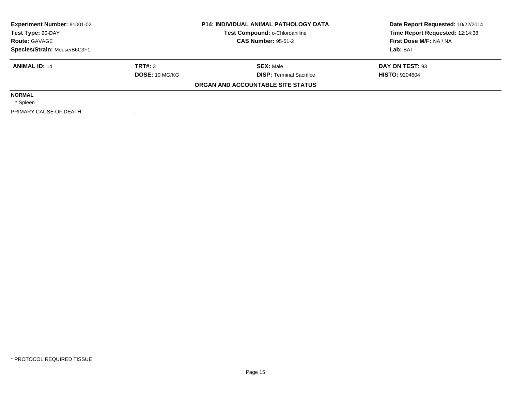| <b>Experiment Number: 91001-02</b><br>Test Type: 90-DAY |                       | <b>P14: INDIVIDUAL ANIMAL PATHOLOGY DATA</b><br>Test Compound: o-Chloroaniline | Date Report Requested: 10/22/2014<br>Time Report Requested: 12:14:38 |
|---------------------------------------------------------|-----------------------|--------------------------------------------------------------------------------|----------------------------------------------------------------------|
| <b>Route: GAVAGE</b>                                    |                       | <b>CAS Number: 95-51-2</b>                                                     | First Dose M/F: NA / NA                                              |
| Species/Strain: Mouse/B6C3F1                            |                       |                                                                                | Lab: BAT                                                             |
| <b>ANIMAL ID: 14</b>                                    | TRT#: 3               | <b>SEX: Male</b>                                                               | DAY ON TEST: 93                                                      |
|                                                         | <b>DOSE: 10 MG/KG</b> | <b>DISP:</b> Terminal Sacrifice                                                | <b>HISTO: 9204604</b>                                                |
|                                                         |                       | ORGAN AND ACCOUNTABLE SITE STATUS                                              |                                                                      |
| <b>NORMAL</b>                                           |                       |                                                                                |                                                                      |
| * Spleen                                                |                       |                                                                                |                                                                      |
| PRIMARY CAUSE OF DEATH                                  |                       |                                                                                |                                                                      |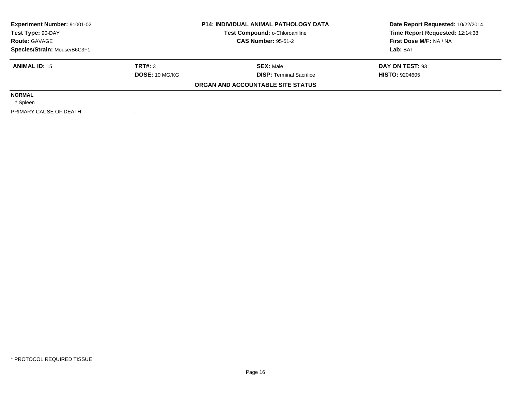| Experiment Number: 91001-02  |                | <b>P14: INDIVIDUAL ANIMAL PATHOLOGY DATA</b> | Date Report Requested: 10/22/2014 |
|------------------------------|----------------|----------------------------------------------|-----------------------------------|
| Test Type: 90-DAY            |                | Test Compound: o-Chloroaniline               | Time Report Requested: 12:14:38   |
| <b>Route: GAVAGE</b>         |                | <b>CAS Number: 95-51-2</b>                   | First Dose M/F: NA / NA           |
| Species/Strain: Mouse/B6C3F1 |                |                                              | Lab: BAT                          |
| <b>ANIMAL ID: 15</b>         | TRT#: 3        | <b>SEX: Male</b>                             | DAY ON TEST: 93                   |
|                              | DOSE: 10 MG/KG | <b>DISP:</b> Terminal Sacrifice              | <b>HISTO: 9204605</b>             |
|                              |                | ORGAN AND ACCOUNTABLE SITE STATUS            |                                   |
| <b>NORMAL</b>                |                |                                              |                                   |
| * Spleen                     |                |                                              |                                   |
| PRIMARY CAUSE OF DEATH       |                |                                              |                                   |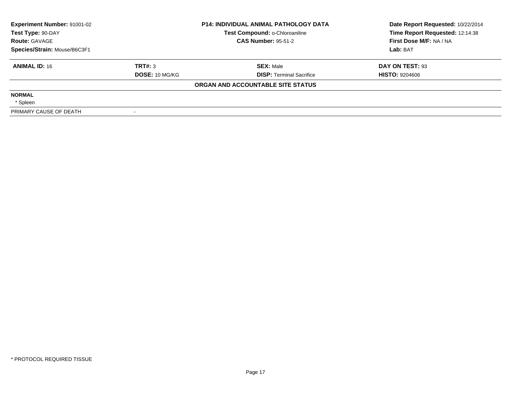| Experiment Number: 91001-02  |                | <b>P14: INDIVIDUAL ANIMAL PATHOLOGY DATA</b> | Date Report Requested: 10/22/2014 |
|------------------------------|----------------|----------------------------------------------|-----------------------------------|
| Test Type: 90-DAY            |                | Test Compound: o-Chloroaniline               | Time Report Requested: 12:14:38   |
| <b>Route: GAVAGE</b>         |                | <b>CAS Number: 95-51-2</b>                   | First Dose M/F: NA / NA           |
| Species/Strain: Mouse/B6C3F1 |                |                                              | Lab: BAT                          |
| <b>ANIMAL ID: 16</b>         | TRT#: 3        | <b>SEX: Male</b>                             | DAY ON TEST: 93                   |
|                              | DOSE: 10 MG/KG | <b>DISP:</b> Terminal Sacrifice              | <b>HISTO: 9204606</b>             |
|                              |                | ORGAN AND ACCOUNTABLE SITE STATUS            |                                   |
| <b>NORMAL</b>                |                |                                              |                                   |
| * Spleen                     |                |                                              |                                   |
| PRIMARY CAUSE OF DEATH       |                |                                              |                                   |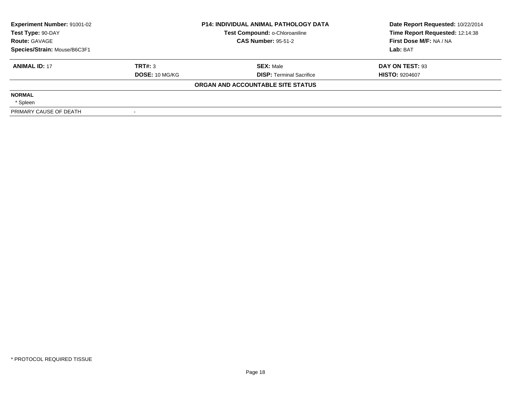| Experiment Number: 91001-02  |                       | <b>P14: INDIVIDUAL ANIMAL PATHOLOGY DATA</b> | Date Report Requested: 10/22/2014 |
|------------------------------|-----------------------|----------------------------------------------|-----------------------------------|
| Test Type: 90-DAY            |                       | Test Compound: o-Chloroaniline               | Time Report Requested: 12:14:38   |
| <b>Route: GAVAGE</b>         |                       | <b>CAS Number: 95-51-2</b>                   | First Dose M/F: NA / NA           |
| Species/Strain: Mouse/B6C3F1 |                       |                                              | Lab: BAT                          |
| <b>ANIMAL ID: 17</b>         | TRT#: 3               | <b>SEX: Male</b>                             | DAY ON TEST: 93                   |
|                              | <b>DOSE: 10 MG/KG</b> | <b>DISP: Terminal Sacrifice</b>              | <b>HISTO: 9204607</b>             |
|                              |                       | ORGAN AND ACCOUNTABLE SITE STATUS            |                                   |
| <b>NORMAL</b>                |                       |                                              |                                   |
| * Spleen                     |                       |                                              |                                   |
| PRIMARY CAUSE OF DEATH       |                       |                                              |                                   |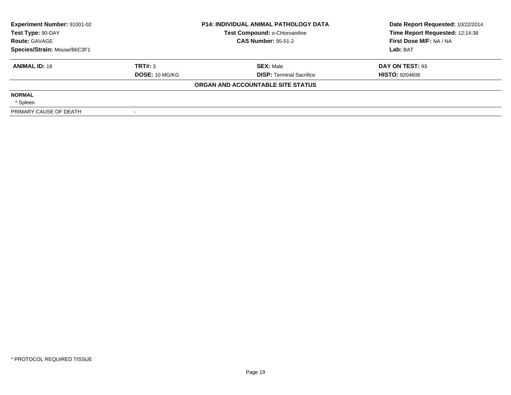| <b>Experiment Number: 91001-02</b><br>Test Type: 90-DAY |                       | <b>P14: INDIVIDUAL ANIMAL PATHOLOGY DATA</b><br>Test Compound: o-Chloroaniline | Date Report Requested: 10/22/2014<br>Time Report Requested: 12:14:38 |
|---------------------------------------------------------|-----------------------|--------------------------------------------------------------------------------|----------------------------------------------------------------------|
| <b>Route: GAVAGE</b>                                    |                       | <b>CAS Number: 95-51-2</b>                                                     | First Dose M/F: NA / NA                                              |
| Species/Strain: Mouse/B6C3F1                            |                       |                                                                                | Lab: BAT                                                             |
| <b>ANIMAL ID: 18</b>                                    | TRT#: 3               | <b>SEX: Male</b>                                                               | DAY ON TEST: 93                                                      |
|                                                         | <b>DOSE: 10 MG/KG</b> | <b>DISP:</b> Terminal Sacrifice                                                | <b>HISTO: 9204608</b>                                                |
|                                                         |                       | ORGAN AND ACCOUNTABLE SITE STATUS                                              |                                                                      |
| <b>NORMAL</b>                                           |                       |                                                                                |                                                                      |
| * Spleen                                                |                       |                                                                                |                                                                      |
| PRIMARY CAUSE OF DEATH                                  |                       |                                                                                |                                                                      |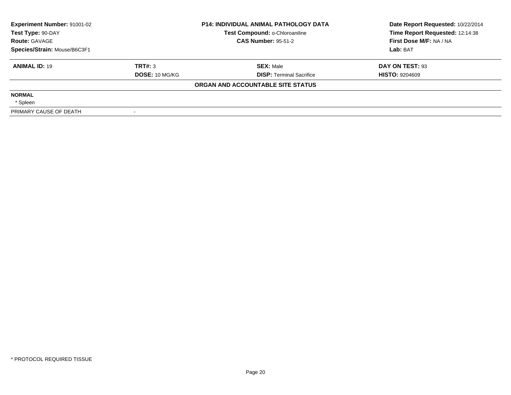| <b>Experiment Number: 91001-02</b><br>Test Type: 90-DAY |                       | <b>P14: INDIVIDUAL ANIMAL PATHOLOGY DATA</b><br>Test Compound: o-Chloroaniline | Date Report Requested: 10/22/2014<br>Time Report Requested: 12:14:38 |
|---------------------------------------------------------|-----------------------|--------------------------------------------------------------------------------|----------------------------------------------------------------------|
| <b>Route: GAVAGE</b>                                    |                       | <b>CAS Number: 95-51-2</b>                                                     | First Dose M/F: NA / NA                                              |
| Species/Strain: Mouse/B6C3F1                            |                       |                                                                                | Lab: BAT                                                             |
| <b>ANIMAL ID: 19</b>                                    | TRT#: 3               | <b>SEX: Male</b>                                                               | DAY ON TEST: 93                                                      |
|                                                         | <b>DOSE: 10 MG/KG</b> | <b>DISP:</b> Terminal Sacrifice                                                | <b>HISTO: 9204609</b>                                                |
|                                                         |                       | ORGAN AND ACCOUNTABLE SITE STATUS                                              |                                                                      |
| <b>NORMAL</b>                                           |                       |                                                                                |                                                                      |
| * Spleen                                                |                       |                                                                                |                                                                      |
| PRIMARY CAUSE OF DEATH                                  |                       |                                                                                |                                                                      |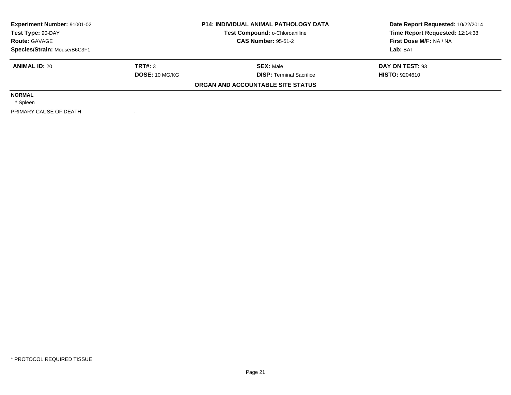| <b>Experiment Number: 91001-02</b><br>Test Type: 90-DAY |                       | <b>P14: INDIVIDUAL ANIMAL PATHOLOGY DATA</b><br>Test Compound: o-Chloroaniline | Date Report Requested: 10/22/2014<br>Time Report Requested: 12:14:38 |
|---------------------------------------------------------|-----------------------|--------------------------------------------------------------------------------|----------------------------------------------------------------------|
| <b>Route: GAVAGE</b>                                    |                       | <b>CAS Number: 95-51-2</b>                                                     | First Dose M/F: NA / NA                                              |
| Species/Strain: Mouse/B6C3F1                            |                       |                                                                                | Lab: BAT                                                             |
| <b>ANIMAL ID: 20</b>                                    | TRT#: 3               | <b>SEX: Male</b>                                                               | DAY ON TEST: 93                                                      |
|                                                         | <b>DOSE: 10 MG/KG</b> | <b>DISP:</b> Terminal Sacrifice                                                | <b>HISTO: 9204610</b>                                                |
|                                                         |                       | ORGAN AND ACCOUNTABLE SITE STATUS                                              |                                                                      |
| <b>NORMAL</b>                                           |                       |                                                                                |                                                                      |
| * Spleen                                                |                       |                                                                                |                                                                      |
| PRIMARY CAUSE OF DEATH                                  |                       |                                                                                |                                                                      |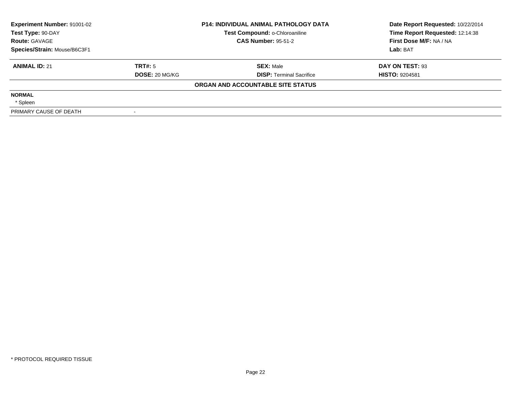| <b>Experiment Number: 91001-02</b><br>Test Type: 90-DAY |                       | <b>P14: INDIVIDUAL ANIMAL PATHOLOGY DATA</b><br>Test Compound: o-Chloroaniline | Date Report Requested: 10/22/2014<br>Time Report Requested: 12:14:38 |
|---------------------------------------------------------|-----------------------|--------------------------------------------------------------------------------|----------------------------------------------------------------------|
| <b>Route: GAVAGE</b>                                    |                       | <b>CAS Number: 95-51-2</b>                                                     | First Dose M/F: NA / NA                                              |
| Species/Strain: Mouse/B6C3F1                            |                       |                                                                                | Lab: BAT                                                             |
| <b>ANIMAL ID: 21</b>                                    | TRT#: 5               | <b>SEX: Male</b>                                                               | DAY ON TEST: 93                                                      |
|                                                         | <b>DOSE: 20 MG/KG</b> | <b>DISP:</b> Terminal Sacrifice                                                | <b>HISTO: 9204581</b>                                                |
|                                                         |                       | ORGAN AND ACCOUNTABLE SITE STATUS                                              |                                                                      |
| <b>NORMAL</b>                                           |                       |                                                                                |                                                                      |
| * Spleen                                                |                       |                                                                                |                                                                      |
| PRIMARY CAUSE OF DEATH                                  |                       |                                                                                |                                                                      |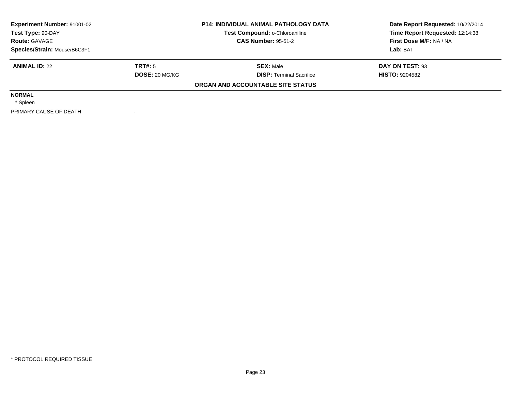| <b>Experiment Number: 91001-02</b><br>Test Type: 90-DAY |                       | <b>P14: INDIVIDUAL ANIMAL PATHOLOGY DATA</b><br>Test Compound: o-Chloroaniline | Date Report Requested: 10/22/2014<br>Time Report Requested: 12:14:38 |
|---------------------------------------------------------|-----------------------|--------------------------------------------------------------------------------|----------------------------------------------------------------------|
| <b>Route: GAVAGE</b>                                    |                       | <b>CAS Number: 95-51-2</b>                                                     | First Dose M/F: NA / NA                                              |
| Species/Strain: Mouse/B6C3F1                            |                       |                                                                                | Lab: BAT                                                             |
| <b>ANIMAL ID: 22</b>                                    | TRT#: 5               | <b>SEX: Male</b>                                                               | DAY ON TEST: 93                                                      |
|                                                         | <b>DOSE: 20 MG/KG</b> | <b>DISP:</b> Terminal Sacrifice                                                | <b>HISTO: 9204582</b>                                                |
|                                                         |                       | ORGAN AND ACCOUNTABLE SITE STATUS                                              |                                                                      |
| <b>NORMAL</b>                                           |                       |                                                                                |                                                                      |
| * Spleen                                                |                       |                                                                                |                                                                      |
| PRIMARY CAUSE OF DEATH                                  |                       |                                                                                |                                                                      |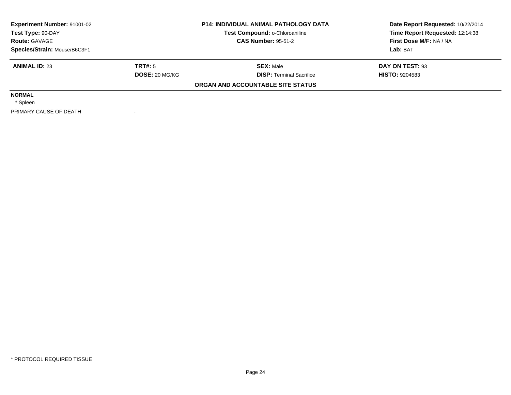| <b>Experiment Number: 91001-02</b><br><b>P14: INDIVIDUAL ANIMAL PATHOLOGY DATA</b><br>Test Compound: o-Chloroaniline<br>Test Type: 90-DAY<br><b>CAS Number: 95-51-2</b><br><b>Route: GAVAGE</b><br>Species/Strain: Mouse/B6C3F1 |                       |                                   | Date Report Requested: 10/22/2014<br>Time Report Requested: 12:14:38 |
|---------------------------------------------------------------------------------------------------------------------------------------------------------------------------------------------------------------------------------|-----------------------|-----------------------------------|----------------------------------------------------------------------|
|                                                                                                                                                                                                                                 |                       |                                   | First Dose M/F: NA / NA                                              |
|                                                                                                                                                                                                                                 |                       |                                   | Lab: BAT                                                             |
| <b>ANIMAL ID: 23</b>                                                                                                                                                                                                            | TRT#: 5               | <b>SEX: Male</b>                  | DAY ON TEST: 93                                                      |
|                                                                                                                                                                                                                                 | <b>DOSE: 20 MG/KG</b> | <b>DISP:</b> Terminal Sacrifice   | <b>HISTO: 9204583</b>                                                |
|                                                                                                                                                                                                                                 |                       | ORGAN AND ACCOUNTABLE SITE STATUS |                                                                      |
| <b>NORMAL</b>                                                                                                                                                                                                                   |                       |                                   |                                                                      |
| * Spleen                                                                                                                                                                                                                        |                       |                                   |                                                                      |
| PRIMARY CAUSE OF DEATH                                                                                                                                                                                                          |                       |                                   |                                                                      |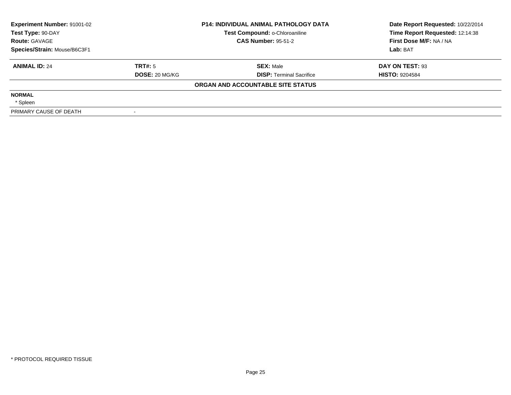| <b>Experiment Number: 91001-02</b><br>Test Compound: o-Chloroaniline<br>Test Type: 90-DAY<br><b>CAS Number: 95-51-2</b><br><b>Route: GAVAGE</b><br>Species/Strain: Mouse/B6C3F1 |                       | <b>P14: INDIVIDUAL ANIMAL PATHOLOGY DATA</b> | Date Report Requested: 10/22/2014<br>Time Report Requested: 12:14:38 |
|---------------------------------------------------------------------------------------------------------------------------------------------------------------------------------|-----------------------|----------------------------------------------|----------------------------------------------------------------------|
|                                                                                                                                                                                 |                       |                                              | First Dose M/F: NA / NA                                              |
|                                                                                                                                                                                 |                       |                                              | Lab: BAT                                                             |
| <b>ANIMAL ID: 24</b>                                                                                                                                                            | TRT#: 5               | <b>SEX: Male</b>                             | DAY ON TEST: 93                                                      |
|                                                                                                                                                                                 | <b>DOSE: 20 MG/KG</b> | <b>DISP:</b> Terminal Sacrifice              | <b>HISTO: 9204584</b>                                                |
|                                                                                                                                                                                 |                       | ORGAN AND ACCOUNTABLE SITE STATUS            |                                                                      |
| <b>NORMAL</b>                                                                                                                                                                   |                       |                                              |                                                                      |
| * Spleen                                                                                                                                                                        |                       |                                              |                                                                      |
| PRIMARY CAUSE OF DEATH                                                                                                                                                          |                       |                                              |                                                                      |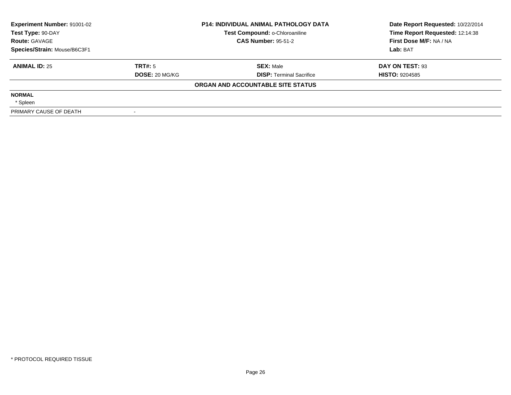| Experiment Number: 91001-02<br><b>P14: INDIVIDUAL ANIMAL PATHOLOGY DATA</b><br>Test Type: 90-DAY |                            | Test Compound: o-Chloroaniline    | Date Report Requested: 10/22/2014<br>Time Report Requested: 12:14:38 |
|--------------------------------------------------------------------------------------------------|----------------------------|-----------------------------------|----------------------------------------------------------------------|
| <b>Route: GAVAGE</b>                                                                             | <b>CAS Number: 95-51-2</b> |                                   | First Dose M/F: NA / NA                                              |
| Species/Strain: Mouse/B6C3F1                                                                     |                            |                                   | Lab: BAT                                                             |
| <b>ANIMAL ID: 25</b>                                                                             | TRT#: 5                    | <b>SEX: Male</b>                  | DAY ON TEST: 93                                                      |
|                                                                                                  | <b>DOSE: 20 MG/KG</b>      | <b>DISP:</b> Terminal Sacrifice   | <b>HISTO: 9204585</b>                                                |
|                                                                                                  |                            | ORGAN AND ACCOUNTABLE SITE STATUS |                                                                      |
| <b>NORMAL</b>                                                                                    |                            |                                   |                                                                      |
| * Spleen                                                                                         |                            |                                   |                                                                      |
| PRIMARY CAUSE OF DEATH                                                                           |                            |                                   |                                                                      |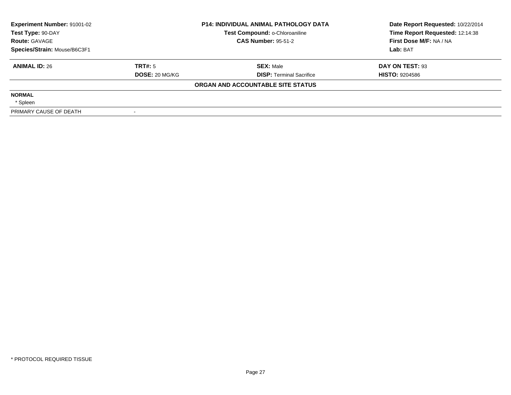| Experiment Number: 91001-02  | <b>P14: INDIVIDUAL ANIMAL PATHOLOGY DATA</b><br>Test Compound: o-Chloroaniline<br>Test Type: 90-DAY<br><b>CAS Number: 95-51-2</b> |                                   | Date Report Requested: 10/22/2014<br>Time Report Requested: 12:14:38 |  |
|------------------------------|-----------------------------------------------------------------------------------------------------------------------------------|-----------------------------------|----------------------------------------------------------------------|--|
| <b>Route: GAVAGE</b>         |                                                                                                                                   |                                   | First Dose M/F: NA / NA                                              |  |
| Species/Strain: Mouse/B6C3F1 |                                                                                                                                   |                                   | Lab: BAT                                                             |  |
| <b>ANIMAL ID: 26</b>         | TRT#: 5                                                                                                                           | <b>SEX: Male</b>                  | DAY ON TEST: 93                                                      |  |
|                              | <b>DOSE: 20 MG/KG</b>                                                                                                             | <b>DISP:</b> Terminal Sacrifice   | <b>HISTO: 9204586</b>                                                |  |
|                              |                                                                                                                                   | ORGAN AND ACCOUNTABLE SITE STATUS |                                                                      |  |
| <b>NORMAL</b>                |                                                                                                                                   |                                   |                                                                      |  |
| * Spleen                     |                                                                                                                                   |                                   |                                                                      |  |
| PRIMARY CAUSE OF DEATH       |                                                                                                                                   |                                   |                                                                      |  |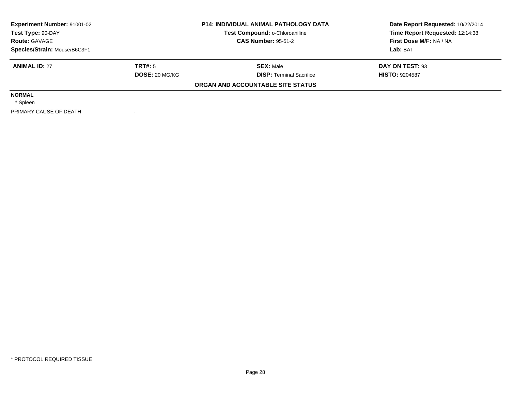| <b>Experiment Number: 91001-02</b><br>Test Type: 90-DAY<br><b>Route: GAVAGE</b><br>Species/Strain: Mouse/B6C3F1 |                       | <b>P14: INDIVIDUAL ANIMAL PATHOLOGY DATA</b><br>Test Compound: o-Chloroaniline | Date Report Requested: 10/22/2014<br>Time Report Requested: 12:14:38 |
|-----------------------------------------------------------------------------------------------------------------|-----------------------|--------------------------------------------------------------------------------|----------------------------------------------------------------------|
|                                                                                                                 |                       | <b>CAS Number: 95-51-2</b>                                                     | First Dose M/F: NA / NA                                              |
|                                                                                                                 |                       |                                                                                | Lab: BAT                                                             |
| <b>ANIMAL ID: 27</b>                                                                                            | TRT#: 5               | <b>SEX: Male</b>                                                               | DAY ON TEST: 93                                                      |
|                                                                                                                 | <b>DOSE: 20 MG/KG</b> | <b>DISP:</b> Terminal Sacrifice                                                | <b>HISTO: 9204587</b>                                                |
|                                                                                                                 |                       | ORGAN AND ACCOUNTABLE SITE STATUS                                              |                                                                      |
| <b>NORMAL</b>                                                                                                   |                       |                                                                                |                                                                      |
| * Spleen                                                                                                        |                       |                                                                                |                                                                      |
| PRIMARY CAUSE OF DEATH                                                                                          |                       |                                                                                |                                                                      |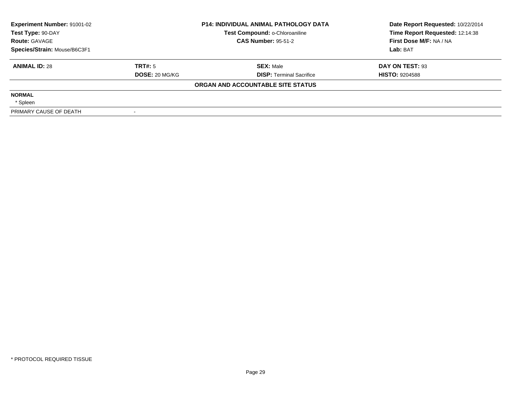| Experiment Number: 91001-02<br><b>P14: INDIVIDUAL ANIMAL PATHOLOGY DATA</b><br>Test Compound: o-Chloroaniline<br>Test Type: 90-DAY<br><b>CAS Number: 95-51-2</b><br><b>Route: GAVAGE</b><br>Species/Strain: Mouse/B6C3F1 |                       | Date Report Requested: 10/22/2014<br>Time Report Requested: 12:14:38 |                         |
|--------------------------------------------------------------------------------------------------------------------------------------------------------------------------------------------------------------------------|-----------------------|----------------------------------------------------------------------|-------------------------|
|                                                                                                                                                                                                                          |                       |                                                                      | First Dose M/F: NA / NA |
|                                                                                                                                                                                                                          |                       |                                                                      | Lab: BAT                |
| <b>ANIMAL ID: 28</b>                                                                                                                                                                                                     | TRT#: 5               | <b>SEX: Male</b>                                                     | DAY ON TEST: 93         |
|                                                                                                                                                                                                                          | <b>DOSE: 20 MG/KG</b> | <b>DISP:</b> Terminal Sacrifice                                      | <b>HISTO: 9204588</b>   |
|                                                                                                                                                                                                                          |                       | ORGAN AND ACCOUNTABLE SITE STATUS                                    |                         |
| <b>NORMAL</b>                                                                                                                                                                                                            |                       |                                                                      |                         |
| * Spleen                                                                                                                                                                                                                 |                       |                                                                      |                         |
| PRIMARY CAUSE OF DEATH                                                                                                                                                                                                   |                       |                                                                      |                         |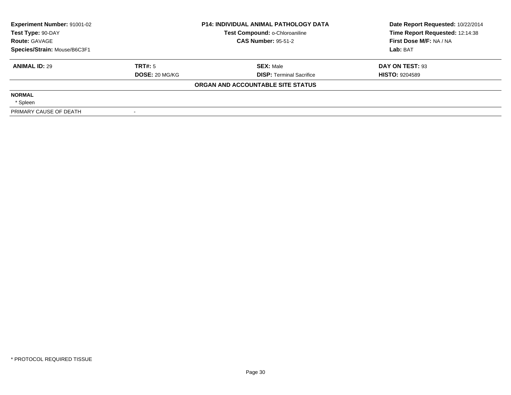| Experiment Number: 91001-02<br><b>P14: INDIVIDUAL ANIMAL PATHOLOGY DATA</b><br>Test Compound: o-Chloroaniline<br>Test Type: 90-DAY |                            | Date Report Requested: 10/22/2014<br>Time Report Requested: 12:14:38 |                         |
|------------------------------------------------------------------------------------------------------------------------------------|----------------------------|----------------------------------------------------------------------|-------------------------|
| <b>Route: GAVAGE</b>                                                                                                               | <b>CAS Number: 95-51-2</b> |                                                                      | First Dose M/F: NA / NA |
| Species/Strain: Mouse/B6C3F1                                                                                                       |                            |                                                                      | Lab: BAT                |
| <b>ANIMAL ID: 29</b>                                                                                                               | TRT#: 5                    | <b>SEX: Male</b>                                                     | DAY ON TEST: 93         |
|                                                                                                                                    | <b>DOSE: 20 MG/KG</b>      | <b>DISP:</b> Terminal Sacrifice                                      | <b>HISTO: 9204589</b>   |
|                                                                                                                                    |                            | ORGAN AND ACCOUNTABLE SITE STATUS                                    |                         |
| <b>NORMAL</b>                                                                                                                      |                            |                                                                      |                         |
| * Spleen                                                                                                                           |                            |                                                                      |                         |
| PRIMARY CAUSE OF DEATH                                                                                                             |                            |                                                                      |                         |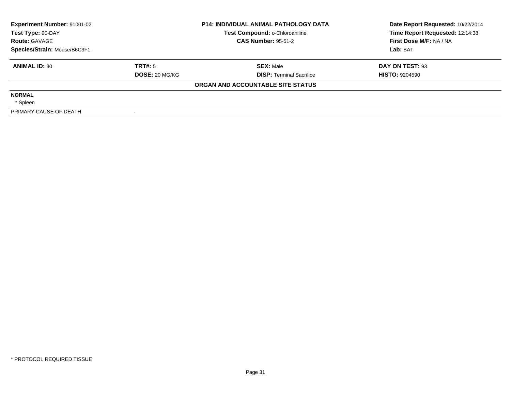| <b>Experiment Number: 91001-02</b><br>Test Type: 90-DAY<br><b>Route: GAVAGE</b><br>Species/Strain: Mouse/B6C3F1 |                       | <b>P14: INDIVIDUAL ANIMAL PATHOLOGY DATA</b><br>Test Compound: o-Chloroaniline | Date Report Requested: 10/22/2014<br>Time Report Requested: 12:14:38 |
|-----------------------------------------------------------------------------------------------------------------|-----------------------|--------------------------------------------------------------------------------|----------------------------------------------------------------------|
|                                                                                                                 |                       | <b>CAS Number: 95-51-2</b>                                                     | First Dose M/F: NA / NA                                              |
|                                                                                                                 |                       |                                                                                | Lab: BAT                                                             |
| <b>ANIMAL ID: 30</b>                                                                                            | TRT#: 5               | <b>SEX: Male</b>                                                               | DAY ON TEST: 93                                                      |
|                                                                                                                 | <b>DOSE: 20 MG/KG</b> | <b>DISP:</b> Terminal Sacrifice                                                | <b>HISTO: 9204590</b>                                                |
|                                                                                                                 |                       | ORGAN AND ACCOUNTABLE SITE STATUS                                              |                                                                      |
| <b>NORMAL</b>                                                                                                   |                       |                                                                                |                                                                      |
| * Spleen                                                                                                        |                       |                                                                                |                                                                      |
| PRIMARY CAUSE OF DEATH                                                                                          |                       |                                                                                |                                                                      |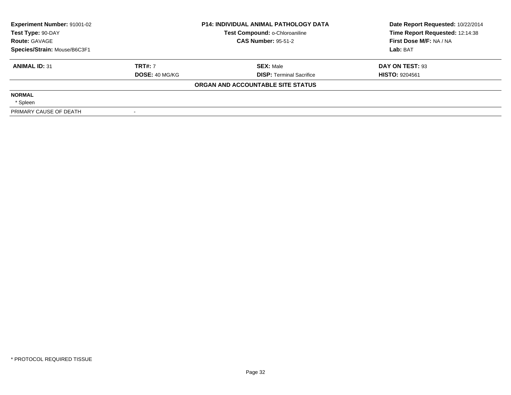| <b>Experiment Number: 91001-02</b><br>Test Type: 90-DAY<br><b>Route: GAVAGE</b><br>Species/Strain: Mouse/B6C3F1 |                       | <b>P14: INDIVIDUAL ANIMAL PATHOLOGY DATA</b><br>Test Compound: o-Chloroaniline | Date Report Requested: 10/22/2014<br>Time Report Requested: 12:14:38 |
|-----------------------------------------------------------------------------------------------------------------|-----------------------|--------------------------------------------------------------------------------|----------------------------------------------------------------------|
|                                                                                                                 |                       | <b>CAS Number: 95-51-2</b>                                                     | First Dose M/F: NA / NA                                              |
|                                                                                                                 |                       |                                                                                | Lab: BAT                                                             |
| <b>ANIMAL ID: 31</b>                                                                                            | <b>TRT#: 7</b>        | <b>SEX: Male</b>                                                               | DAY ON TEST: 93                                                      |
|                                                                                                                 | <b>DOSE: 40 MG/KG</b> | <b>DISP:</b> Terminal Sacrifice                                                | <b>HISTO: 9204561</b>                                                |
|                                                                                                                 |                       | ORGAN AND ACCOUNTABLE SITE STATUS                                              |                                                                      |
| <b>NORMAL</b>                                                                                                   |                       |                                                                                |                                                                      |
| * Spleen                                                                                                        |                       |                                                                                |                                                                      |
| PRIMARY CAUSE OF DEATH                                                                                          |                       |                                                                                |                                                                      |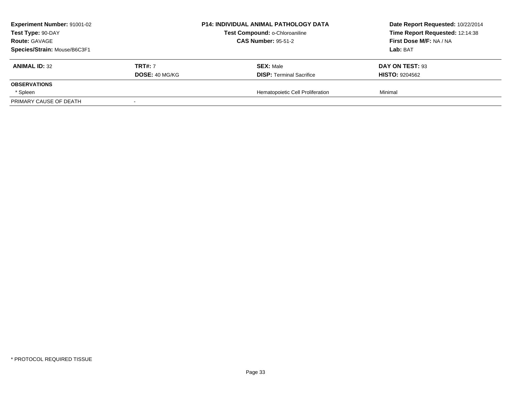| <b>Experiment Number: 91001-02</b>        |                       | <b>P14: INDIVIDUAL ANIMAL PATHOLOGY DATA</b> | Date Report Requested: 10/22/2014 |
|-------------------------------------------|-----------------------|----------------------------------------------|-----------------------------------|
| Test Type: 90-DAY<br><b>Route: GAVAGE</b> |                       | Test Compound: o-Chloroaniline               | Time Report Requested: 12:14:38   |
|                                           |                       | <b>CAS Number: 95-51-2</b>                   | First Dose M/F: NA / NA           |
| Species/Strain: Mouse/B6C3F1              |                       |                                              | <b>Lab:</b> BAT                   |
| <b>ANIMAL ID: 32</b>                      | <b>TRT#: 7</b>        | <b>SEX: Male</b>                             | DAY ON TEST: 93                   |
|                                           | <b>DOSE: 40 MG/KG</b> | <b>DISP: Terminal Sacrifice</b>              | <b>HISTO: 9204562</b>             |
| <b>OBSERVATIONS</b>                       |                       |                                              |                                   |
| * Spleen                                  |                       | Hematopoietic Cell Proliferation             | Minimal                           |
| PRIMARY CAUSE OF DEATH                    |                       |                                              |                                   |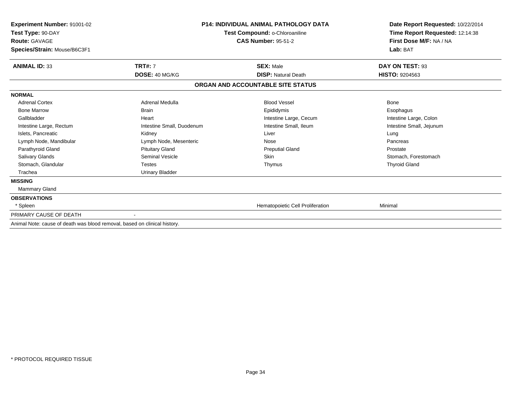| <b>Experiment Number: 91001-02</b><br>Test Type: 90-DAY<br><b>Route: GAVAGE</b> |                           | <b>P14: INDIVIDUAL ANIMAL PATHOLOGY DATA</b><br>Test Compound: o-Chloroaniline<br><b>CAS Number: 95-51-2</b> | Date Report Requested: 10/22/2014<br>Time Report Requested: 12:14:38<br>First Dose M/F: NA / NA |
|---------------------------------------------------------------------------------|---------------------------|--------------------------------------------------------------------------------------------------------------|-------------------------------------------------------------------------------------------------|
| Species/Strain: Mouse/B6C3F1                                                    |                           |                                                                                                              | Lab: BAT                                                                                        |
| <b>ANIMAL ID: 33</b>                                                            | <b>TRT#: 7</b>            | <b>SEX: Male</b>                                                                                             | DAY ON TEST: 93                                                                                 |
|                                                                                 | DOSE: 40 MG/KG            | <b>DISP: Natural Death</b>                                                                                   | <b>HISTO: 9204563</b>                                                                           |
|                                                                                 |                           | ORGAN AND ACCOUNTABLE SITE STATUS                                                                            |                                                                                                 |
| <b>NORMAL</b>                                                                   |                           |                                                                                                              |                                                                                                 |
| <b>Adrenal Cortex</b>                                                           | Adrenal Medulla           | <b>Blood Vessel</b>                                                                                          | Bone                                                                                            |
| <b>Bone Marrow</b>                                                              | <b>Brain</b>              | Epididymis                                                                                                   | Esophagus                                                                                       |
| Gallbladder                                                                     | Heart                     | Intestine Large, Cecum                                                                                       | Intestine Large, Colon                                                                          |
| Intestine Large, Rectum                                                         | Intestine Small, Duodenum | Intestine Small, Ileum                                                                                       | Intestine Small, Jejunum                                                                        |
| Islets, Pancreatic                                                              | Kidney                    | Liver                                                                                                        | Lung                                                                                            |
| Lymph Node, Mandibular                                                          | Lymph Node, Mesenteric    | Nose                                                                                                         | Pancreas                                                                                        |
| Parathyroid Gland                                                               | <b>Pituitary Gland</b>    | <b>Preputial Gland</b>                                                                                       | Prostate                                                                                        |
| Salivary Glands                                                                 | Seminal Vesicle           | <b>Skin</b>                                                                                                  | Stomach, Forestomach                                                                            |
| Stomach, Glandular                                                              | <b>Testes</b>             | Thymus                                                                                                       | <b>Thyroid Gland</b>                                                                            |
| Trachea                                                                         | <b>Urinary Bladder</b>    |                                                                                                              |                                                                                                 |
| <b>MISSING</b>                                                                  |                           |                                                                                                              |                                                                                                 |
| <b>Mammary Gland</b>                                                            |                           |                                                                                                              |                                                                                                 |
| <b>OBSERVATIONS</b>                                                             |                           |                                                                                                              |                                                                                                 |
| * Spleen                                                                        |                           | Hematopoietic Cell Proliferation                                                                             | Minimal                                                                                         |
| PRIMARY CAUSE OF DEATH                                                          |                           |                                                                                                              |                                                                                                 |
| Animal Note: cause of death was blood removal, based on clinical history.       |                           |                                                                                                              |                                                                                                 |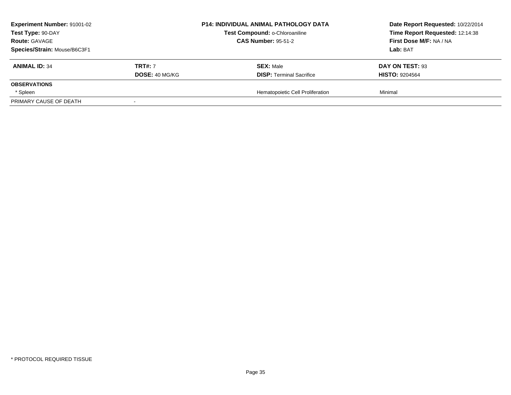| <b>Experiment Number: 91001-02</b><br>Test Type: 90-DAY<br><b>Route: GAVAGE</b> |                       | <b>P14: INDIVIDUAL ANIMAL PATHOLOGY DATA</b> | Date Report Requested: 10/22/2014<br>Time Report Requested: 12:14:38<br>First Dose M/F: NA / NA |
|---------------------------------------------------------------------------------|-----------------------|----------------------------------------------|-------------------------------------------------------------------------------------------------|
|                                                                                 |                       | Test Compound: o-Chloroaniline               |                                                                                                 |
|                                                                                 |                       | <b>CAS Number: 95-51-2</b>                   |                                                                                                 |
| Species/Strain: Mouse/B6C3F1                                                    |                       |                                              | <b>Lab:</b> BAT                                                                                 |
| <b>ANIMAL ID: 34</b>                                                            | <b>TRT#: 7</b>        | <b>SEX: Male</b>                             | DAY ON TEST: 93                                                                                 |
|                                                                                 | <b>DOSE: 40 MG/KG</b> | <b>DISP: Terminal Sacrifice</b>              | <b>HISTO: 9204564</b>                                                                           |
| <b>OBSERVATIONS</b>                                                             |                       |                                              |                                                                                                 |
| * Spleen                                                                        |                       | Hematopoietic Cell Proliferation             | Minimal                                                                                         |
| PRIMARY CAUSE OF DEATH                                                          |                       |                                              |                                                                                                 |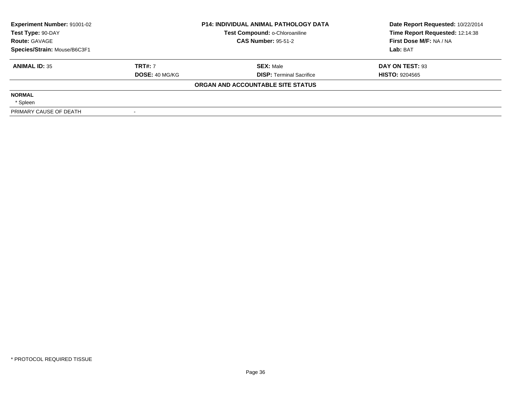| Experiment Number: 91001-02<br>Test Type: 90-DAY |                       | <b>P14: INDIVIDUAL ANIMAL PATHOLOGY DATA</b><br>Test Compound: o-Chloroaniline | Date Report Requested: 10/22/2014<br>Time Report Requested: 12:14:38 |
|--------------------------------------------------|-----------------------|--------------------------------------------------------------------------------|----------------------------------------------------------------------|
| <b>Route: GAVAGE</b>                             |                       | <b>CAS Number: 95-51-2</b>                                                     | First Dose M/F: NA / NA                                              |
| Species/Strain: Mouse/B6C3F1                     |                       |                                                                                | Lab: BAT                                                             |
| <b>ANIMAL ID: 35</b>                             | <b>TRT#: 7</b>        | <b>SEX: Male</b>                                                               | DAY ON TEST: 93                                                      |
|                                                  | <b>DOSE: 40 MG/KG</b> | <b>DISP:</b> Terminal Sacrifice                                                | <b>HISTO: 9204565</b>                                                |
|                                                  |                       | ORGAN AND ACCOUNTABLE SITE STATUS                                              |                                                                      |
| <b>NORMAL</b>                                    |                       |                                                                                |                                                                      |
| * Spleen                                         |                       |                                                                                |                                                                      |
| PRIMARY CAUSE OF DEATH                           |                       |                                                                                |                                                                      |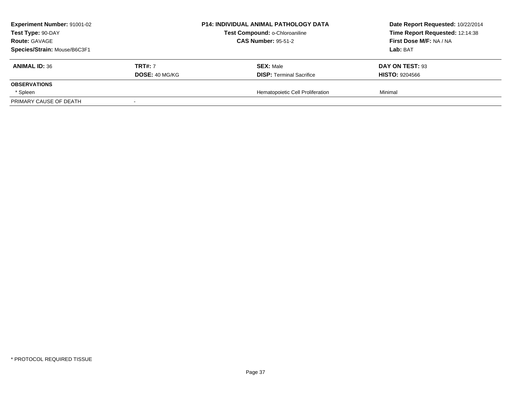| <b>Experiment Number: 91001-02</b> |                       | <b>P14: INDIVIDUAL ANIMAL PATHOLOGY DATA</b> | Date Report Requested: 10/22/2014 |
|------------------------------------|-----------------------|----------------------------------------------|-----------------------------------|
| Test Type: 90-DAY                  |                       | Test Compound: o-Chloroaniline               | Time Report Requested: 12:14:38   |
| <b>Route: GAVAGE</b>               |                       | <b>CAS Number: 95-51-2</b>                   | First Dose M/F: NA / NA           |
| Species/Strain: Mouse/B6C3F1       |                       |                                              | <b>Lab:</b> BAT                   |
| <b>ANIMAL ID: 36</b>               | <b>TRT#: 7</b>        | <b>SEX: Male</b>                             | DAY ON TEST: 93                   |
|                                    | <b>DOSE: 40 MG/KG</b> | <b>DISP: Terminal Sacrifice</b>              | <b>HISTO: 9204566</b>             |
| <b>OBSERVATIONS</b>                |                       |                                              |                                   |
| * Spleen                           |                       | Hematopoietic Cell Proliferation             | Minimal                           |
| PRIMARY CAUSE OF DEATH             |                       |                                              |                                   |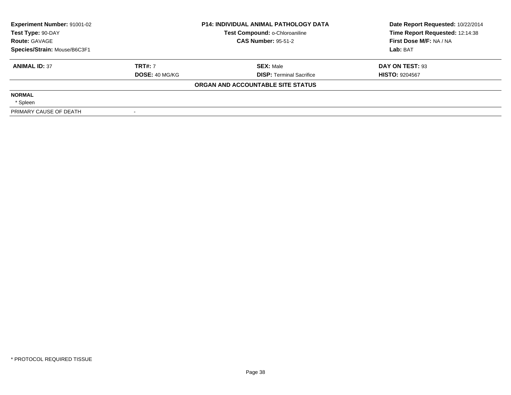| Experiment Number: 91001-02<br>Test Type: 90-DAY |                       | <b>P14: INDIVIDUAL ANIMAL PATHOLOGY DATA</b><br>Test Compound: o-Chloroaniline | Date Report Requested: 10/22/2014<br>Time Report Requested: 12:14:38 |
|--------------------------------------------------|-----------------------|--------------------------------------------------------------------------------|----------------------------------------------------------------------|
| <b>Route: GAVAGE</b>                             |                       | <b>CAS Number: 95-51-2</b>                                                     | First Dose M/F: NA / NA                                              |
| Species/Strain: Mouse/B6C3F1                     |                       |                                                                                | Lab: BAT                                                             |
| <b>ANIMAL ID: 37</b>                             | <b>TRT#: 7</b>        | <b>SEX: Male</b>                                                               | DAY ON TEST: 93                                                      |
|                                                  | <b>DOSE: 40 MG/KG</b> | <b>DISP:</b> Terminal Sacrifice                                                | <b>HISTO: 9204567</b>                                                |
|                                                  |                       | ORGAN AND ACCOUNTABLE SITE STATUS                                              |                                                                      |
| <b>NORMAL</b>                                    |                       |                                                                                |                                                                      |
| * Spleen                                         |                       |                                                                                |                                                                      |
| PRIMARY CAUSE OF DEATH                           |                       |                                                                                |                                                                      |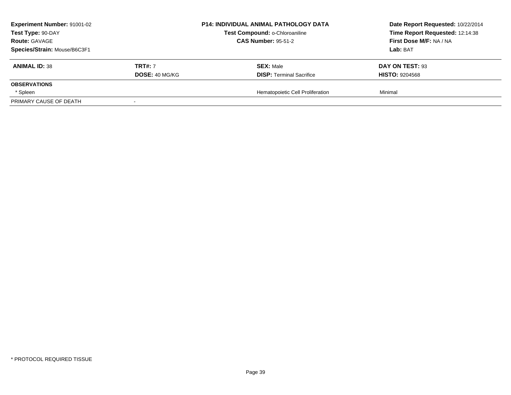| <b>Experiment Number: 91001-02</b> |                       | <b>P14: INDIVIDUAL ANIMAL PATHOLOGY DATA</b> | Date Report Requested: 10/22/2014 |
|------------------------------------|-----------------------|----------------------------------------------|-----------------------------------|
| Test Type: 90-DAY                  |                       | Test Compound: o-Chloroaniline               | Time Report Requested: 12:14:38   |
| <b>Route: GAVAGE</b>               |                       | <b>CAS Number: 95-51-2</b>                   | First Dose M/F: NA / NA           |
| Species/Strain: Mouse/B6C3F1       |                       |                                              | <b>Lab:</b> BAT                   |
| <b>ANIMAL ID: 38</b>               | <b>TRT#: 7</b>        | <b>SEX: Male</b>                             | DAY ON TEST: 93                   |
|                                    | <b>DOSE: 40 MG/KG</b> | <b>DISP: Terminal Sacrifice</b>              | <b>HISTO: 9204568</b>             |
| <b>OBSERVATIONS</b>                |                       |                                              |                                   |
| * Spleen                           |                       | Hematopoietic Cell Proliferation             | Minimal                           |
| PRIMARY CAUSE OF DEATH             |                       |                                              |                                   |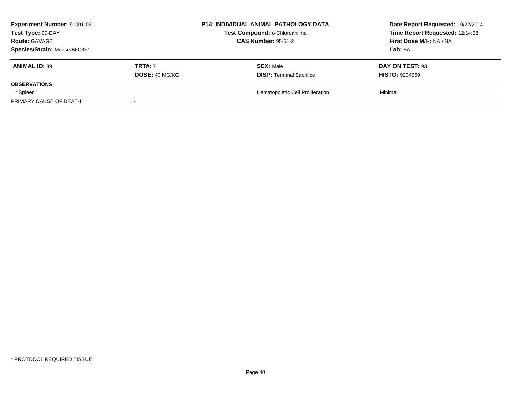| <b>Experiment Number: 91001-02</b>     | <b>P14: INDIVIDUAL ANIMAL PATHOLOGY DATA</b>             | Date Report Requested: 10/22/2014 |
|----------------------------------------|----------------------------------------------------------|-----------------------------------|
| Test Type: 90-DAY                      | Test Compound: o-Chloroaniline                           | Time Report Requested: 12:14:38   |
| <b>Route: GAVAGE</b>                   | <b>CAS Number: 95-51-2</b>                               | First Dose M/F: NA / NA           |
| Species/Strain: Mouse/B6C3F1           |                                                          | <b>Lab:</b> BAT                   |
| <b>ANIMAL ID: 39</b><br><b>TRT#: 7</b> | <b>SEX: Male</b>                                         | DAY ON TEST: 93                   |
|                                        | <b>DOSE: 40 MG/KG</b><br><b>DISP: Terminal Sacrifice</b> | <b>HISTO: 9204569</b>             |
| <b>OBSERVATIONS</b>                    |                                                          |                                   |
| * Spleen                               | Hematopoietic Cell Proliferation                         | Minimal                           |
| PRIMARY CAUSE OF DEATH                 |                                                          |                                   |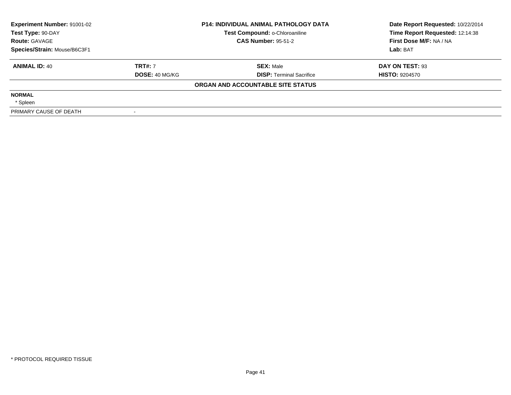| Experiment Number: 91001-02<br>Test Type: 90-DAY |                       | <b>P14: INDIVIDUAL ANIMAL PATHOLOGY DATA</b><br>Test Compound: o-Chloroaniline | Date Report Requested: 10/22/2014<br>Time Report Requested: 12:14:38 |
|--------------------------------------------------|-----------------------|--------------------------------------------------------------------------------|----------------------------------------------------------------------|
| <b>Route: GAVAGE</b>                             |                       | <b>CAS Number: 95-51-2</b>                                                     | First Dose M/F: NA / NA                                              |
| Species/Strain: Mouse/B6C3F1                     |                       |                                                                                | Lab: BAT                                                             |
| <b>ANIMAL ID: 40</b>                             | <b>TRT#: 7</b>        | <b>SEX: Male</b>                                                               | DAY ON TEST: 93                                                      |
|                                                  | <b>DOSE: 40 MG/KG</b> | <b>DISP:</b> Terminal Sacrifice                                                | <b>HISTO: 9204570</b>                                                |
|                                                  |                       | ORGAN AND ACCOUNTABLE SITE STATUS                                              |                                                                      |
| <b>NORMAL</b>                                    |                       |                                                                                |                                                                      |
| * Spleen                                         |                       |                                                                                |                                                                      |
| PRIMARY CAUSE OF DEATH                           |                       |                                                                                |                                                                      |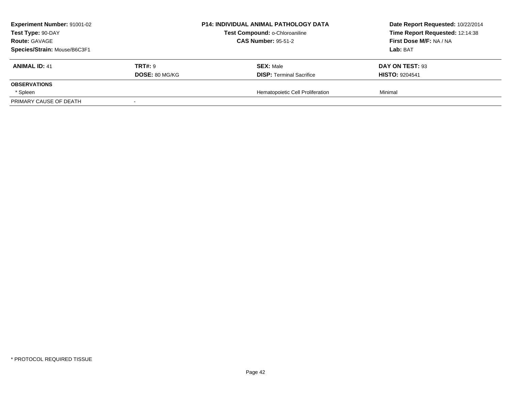| <b>Experiment Number: 91001-02</b> |                       | <b>P14: INDIVIDUAL ANIMAL PATHOLOGY DATA</b> | Date Report Requested: 10/22/2014 |
|------------------------------------|-----------------------|----------------------------------------------|-----------------------------------|
| Test Type: 90-DAY                  |                       | Test Compound: o-Chloroaniline               | Time Report Requested: 12:14:38   |
| <b>Route: GAVAGE</b>               |                       | <b>CAS Number: 95-51-2</b>                   | First Dose M/F: NA / NA           |
| Species/Strain: Mouse/B6C3F1       |                       |                                              | <b>Lab:</b> BAT                   |
| <b>ANIMAL ID: 41</b>               | <b>TRT#: 9</b>        | <b>SEX: Male</b>                             | DAY ON TEST: 93                   |
|                                    | <b>DOSE: 80 MG/KG</b> | <b>DISP: Terminal Sacrifice</b>              | <b>HISTO: 9204541</b>             |
| <b>OBSERVATIONS</b>                |                       |                                              |                                   |
| * Spleen                           |                       | Hematopoietic Cell Proliferation             | Minimal                           |
| PRIMARY CAUSE OF DEATH             |                       |                                              |                                   |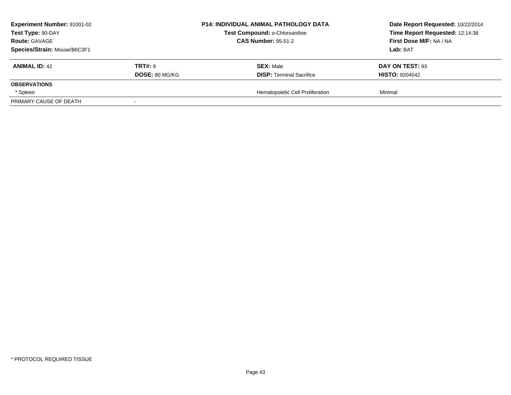| <b>Experiment Number: 91001-02</b> |                       | <b>P14: INDIVIDUAL ANIMAL PATHOLOGY DATA</b> | Date Report Requested: 10/22/2014 |
|------------------------------------|-----------------------|----------------------------------------------|-----------------------------------|
| Test Type: 90-DAY                  |                       | Test Compound: o-Chloroaniline               | Time Report Requested: 12:14:38   |
| <b>Route: GAVAGE</b>               |                       | <b>CAS Number: 95-51-2</b>                   | First Dose M/F: NA / NA           |
| Species/Strain: Mouse/B6C3F1       |                       |                                              | <b>Lab:</b> BAT                   |
| <b>ANIMAL ID: 42</b>               | <b>TRT#: 9</b>        | <b>SEX: Male</b>                             | DAY ON TEST: 93                   |
|                                    | <b>DOSE: 80 MG/KG</b> | <b>DISP: Terminal Sacrifice</b>              | <b>HISTO: 9204542</b>             |
| <b>OBSERVATIONS</b>                |                       |                                              |                                   |
| * Spleen                           |                       | Hematopoietic Cell Proliferation             | Minimal                           |
| PRIMARY CAUSE OF DEATH             |                       |                                              |                                   |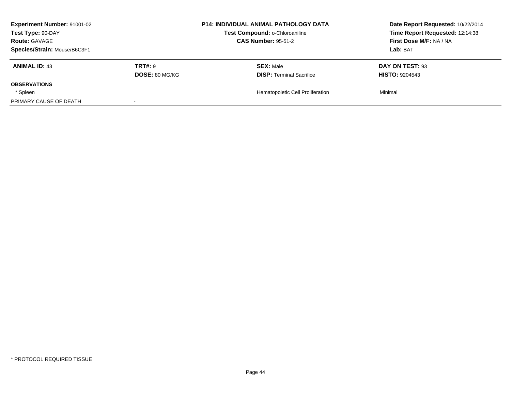| <b>Experiment Number: 91001-02</b> |                       | <b>P14: INDIVIDUAL ANIMAL PATHOLOGY DATA</b> | Date Report Requested: 10/22/2014 |
|------------------------------------|-----------------------|----------------------------------------------|-----------------------------------|
| Test Type: 90-DAY                  |                       | Test Compound: o-Chloroaniline               | Time Report Requested: 12:14:38   |
| <b>Route: GAVAGE</b>               |                       | <b>CAS Number: 95-51-2</b>                   | First Dose M/F: NA / NA           |
| Species/Strain: Mouse/B6C3F1       |                       |                                              | <b>Lab:</b> BAT                   |
| <b>ANIMAL ID: 43</b>               | <b>TRT#: 9</b>        | <b>SEX: Male</b>                             | DAY ON TEST: 93                   |
|                                    | <b>DOSE: 80 MG/KG</b> | <b>DISP: Terminal Sacrifice</b>              | <b>HISTO: 9204543</b>             |
| <b>OBSERVATIONS</b>                |                       |                                              |                                   |
| * Spleen                           |                       | Hematopoietic Cell Proliferation             | Minimal                           |
| PRIMARY CAUSE OF DEATH             |                       |                                              |                                   |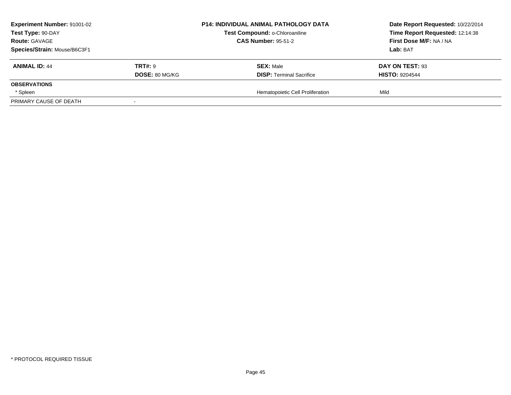| <b>Experiment Number: 91001-02</b><br>Test Type: 90-DAY<br><b>Route: GAVAGE</b> |                       | P14: INDIVIDUAL ANIMAL PATHOLOGY DATA<br>Test Compound: o-Chloroaniline<br><b>CAS Number: 95-51-2</b> | Date Report Requested: 10/22/2014<br>Time Report Requested: 12:14:38<br>First Dose M/F: NA / NA |
|---------------------------------------------------------------------------------|-----------------------|-------------------------------------------------------------------------------------------------------|-------------------------------------------------------------------------------------------------|
| Species/Strain: Mouse/B6C3F1                                                    |                       |                                                                                                       | Lab: BAT                                                                                        |
| <b>ANIMAL ID: 44</b>                                                            | <b>TRT#: 9</b>        | <b>SEX: Male</b>                                                                                      | DAY ON TEST: 93                                                                                 |
|                                                                                 | <b>DOSE: 80 MG/KG</b> | <b>DISP: Terminal Sacrifice</b>                                                                       | <b>HISTO: 9204544</b>                                                                           |
| <b>OBSERVATIONS</b>                                                             |                       |                                                                                                       |                                                                                                 |
| * Spleen                                                                        |                       | Hematopoietic Cell Proliferation                                                                      | Mild                                                                                            |
| PRIMARY CAUSE OF DEATH                                                          |                       |                                                                                                       |                                                                                                 |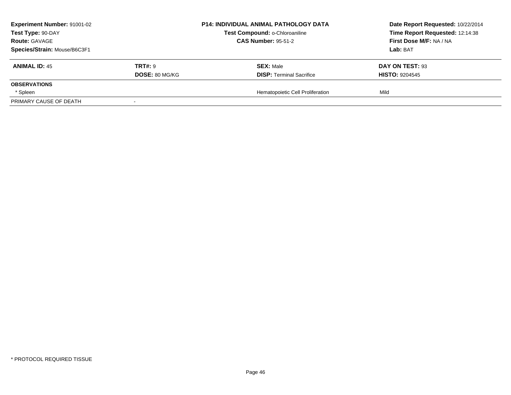| <b>Experiment Number: 91001-02</b> |                       | P14: INDIVIDUAL ANIMAL PATHOLOGY DATA | Date Report Requested: 10/22/2014 |
|------------------------------------|-----------------------|---------------------------------------|-----------------------------------|
| Test Type: 90-DAY                  |                       | Test Compound: o-Chloroaniline        | Time Report Requested: 12:14:38   |
| <b>Route: GAVAGE</b>               |                       | <b>CAS Number: 95-51-2</b>            | First Dose M/F: NA / NA           |
| Species/Strain: Mouse/B6C3F1       |                       |                                       | Lab: BAT                          |
| <b>ANIMAL ID: 45</b>               | <b>TRT#: 9</b>        | <b>SEX: Male</b>                      | DAY ON TEST: 93                   |
|                                    | <b>DOSE: 80 MG/KG</b> | <b>DISP: Terminal Sacrifice</b>       | <b>HISTO: 9204545</b>             |
| <b>OBSERVATIONS</b>                |                       |                                       |                                   |
| * Spleen                           |                       | Hematopoietic Cell Proliferation      | Mild                              |
| PRIMARY CAUSE OF DEATH             |                       |                                       |                                   |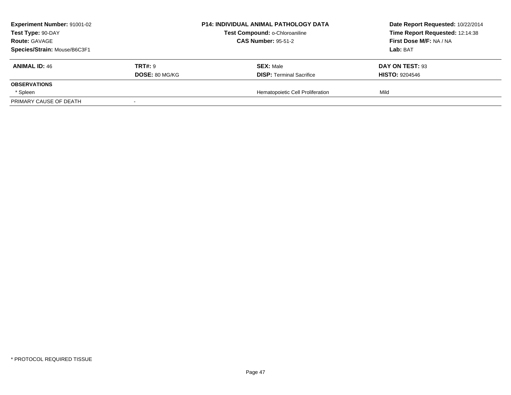| <b>Experiment Number: 91001-02</b><br>Test Type: 90-DAY |                       | P14: INDIVIDUAL ANIMAL PATHOLOGY DATA<br>Test Compound: o-Chloroaniline | Date Report Requested: 10/22/2014<br>Time Report Requested: 12:14:38 |
|---------------------------------------------------------|-----------------------|-------------------------------------------------------------------------|----------------------------------------------------------------------|
| <b>Route: GAVAGE</b>                                    |                       | <b>CAS Number: 95-51-2</b>                                              | First Dose M/F: NA / NA                                              |
| Species/Strain: Mouse/B6C3F1                            |                       |                                                                         | Lab: BAT                                                             |
| <b>ANIMAL ID: 46</b>                                    | <b>TRT#: 9</b>        | <b>SEX: Male</b>                                                        | DAY ON TEST: 93                                                      |
|                                                         | <b>DOSE: 80 MG/KG</b> | <b>DISP: Terminal Sacrifice</b>                                         | <b>HISTO: 9204546</b>                                                |
| <b>OBSERVATIONS</b>                                     |                       |                                                                         |                                                                      |
| * Spleen                                                |                       | Hematopoietic Cell Proliferation                                        | Mild                                                                 |
| PRIMARY CAUSE OF DEATH                                  |                       |                                                                         |                                                                      |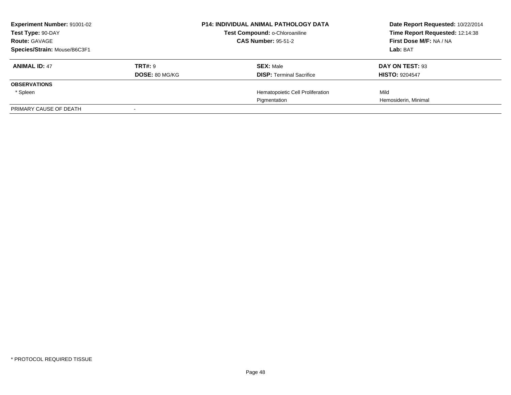| <b>Experiment Number: 91001-02</b><br>Test Type: 90-DAY<br><b>Route: GAVAGE</b> |                       | <b>P14: INDIVIDUAL ANIMAL PATHOLOGY DATA</b><br>Test Compound: o-Chloroaniline<br><b>CAS Number: 95-51-2</b> | Date Report Requested: 10/22/2014<br>Time Report Requested: 12:14:38<br>First Dose M/F: NA / NA |
|---------------------------------------------------------------------------------|-----------------------|--------------------------------------------------------------------------------------------------------------|-------------------------------------------------------------------------------------------------|
| Species/Strain: Mouse/B6C3F1                                                    |                       |                                                                                                              | Lab: BAT                                                                                        |
| <b>ANIMAL ID: 47</b>                                                            | TRT#: 9               | <b>SEX: Male</b>                                                                                             | DAY ON TEST: 93                                                                                 |
|                                                                                 | <b>DOSE: 80 MG/KG</b> | <b>DISP:</b> Terminal Sacrifice                                                                              | <b>HISTO: 9204547</b>                                                                           |
| <b>OBSERVATIONS</b>                                                             |                       |                                                                                                              |                                                                                                 |
| * Spleen                                                                        |                       | Hematopoietic Cell Proliferation                                                                             | Mild                                                                                            |
|                                                                                 |                       | Pigmentation                                                                                                 | Hemosiderin, Minimal                                                                            |
| PRIMARY CAUSE OF DEATH                                                          |                       |                                                                                                              |                                                                                                 |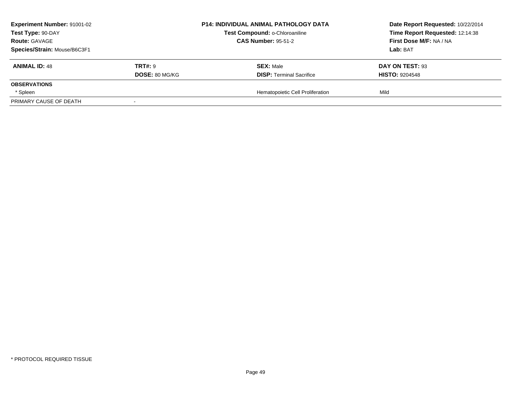| <b>Experiment Number: 91001-02</b>        |                       | P14: INDIVIDUAL ANIMAL PATHOLOGY DATA                        | Date Report Requested: 10/22/2014<br>Time Report Requested: 12:14:38 |
|-------------------------------------------|-----------------------|--------------------------------------------------------------|----------------------------------------------------------------------|
| Test Type: 90-DAY<br><b>Route: GAVAGE</b> |                       | Test Compound: o-Chloroaniline<br><b>CAS Number: 95-51-2</b> | First Dose M/F: NA / NA                                              |
| Species/Strain: Mouse/B6C3F1              |                       |                                                              | Lab: BAT                                                             |
| <b>ANIMAL ID: 48</b>                      | <b>TRT#: 9</b>        | <b>SEX: Male</b>                                             | DAY ON TEST: 93                                                      |
|                                           | <b>DOSE: 80 MG/KG</b> | <b>DISP: Terminal Sacrifice</b>                              | <b>HISTO: 9204548</b>                                                |
| <b>OBSERVATIONS</b>                       |                       |                                                              |                                                                      |
| * Spleen                                  |                       | Hematopoietic Cell Proliferation                             | Mild                                                                 |
| PRIMARY CAUSE OF DEATH                    |                       |                                                              |                                                                      |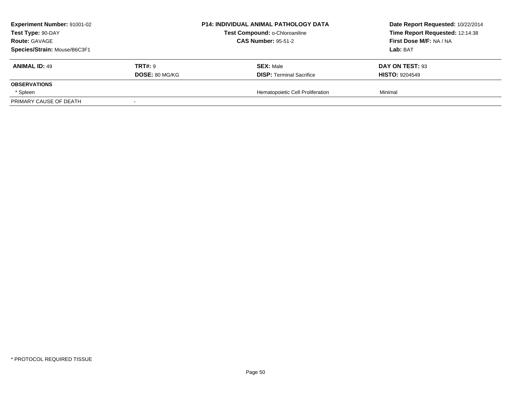| <b>Experiment Number: 91001-02</b><br>Test Type: 90-DAY<br><b>Route: GAVAGE</b><br>Species/Strain: Mouse/B6C3F1 |                       | <b>P14: INDIVIDUAL ANIMAL PATHOLOGY DATA</b><br>Test Compound: o-Chloroaniline<br><b>CAS Number: 95-51-2</b> | Date Report Requested: 10/22/2014<br>Time Report Requested: 12:14:38<br>First Dose M/F: NA / NA<br>Lab: BAT |
|-----------------------------------------------------------------------------------------------------------------|-----------------------|--------------------------------------------------------------------------------------------------------------|-------------------------------------------------------------------------------------------------------------|
| <b>ANIMAL ID: 49</b>                                                                                            | <b>TRT#: 9</b>        | <b>SEX: Male</b>                                                                                             | DAY ON TEST: 93                                                                                             |
| <b>OBSERVATIONS</b><br>* Spleen                                                                                 | <b>DOSE: 80 MG/KG</b> | <b>DISP: Terminal Sacrifice</b><br>Hematopoietic Cell Proliferation                                          | <b>HISTO: 9204549</b><br>Minimal                                                                            |
| PRIMARY CAUSE OF DEATH                                                                                          |                       |                                                                                                              |                                                                                                             |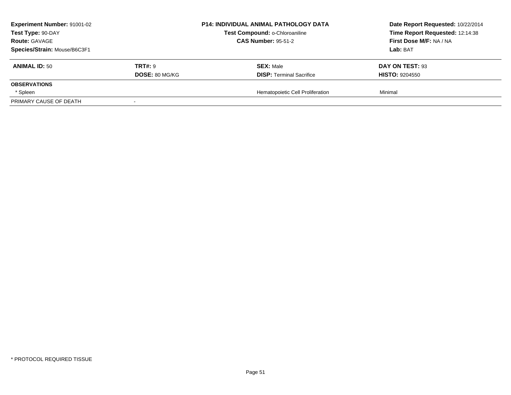| <b>Experiment Number: 91001-02</b> |                       | <b>P14: INDIVIDUAL ANIMAL PATHOLOGY DATA</b> | Date Report Requested: 10/22/2014 |
|------------------------------------|-----------------------|----------------------------------------------|-----------------------------------|
| Test Type: 90-DAY                  |                       | Test Compound: o-Chloroaniline               | Time Report Requested: 12:14:38   |
| <b>Route: GAVAGE</b>               |                       | <b>CAS Number: 95-51-2</b>                   | First Dose M/F: NA / NA           |
| Species/Strain: Mouse/B6C3F1       |                       |                                              | <b>Lab:</b> BAT                   |
| <b>ANIMAL ID: 50</b>               | <b>TRT#: 9</b>        | <b>SEX: Male</b>                             | DAY ON TEST: 93                   |
|                                    | <b>DOSE: 80 MG/KG</b> | <b>DISP: Terminal Sacrifice</b>              | <b>HISTO: 9204550</b>             |
| <b>OBSERVATIONS</b>                |                       |                                              |                                   |
| * Spleen                           |                       | Hematopoietic Cell Proliferation             | Minimal                           |
| PRIMARY CAUSE OF DEATH             |                       |                                              |                                   |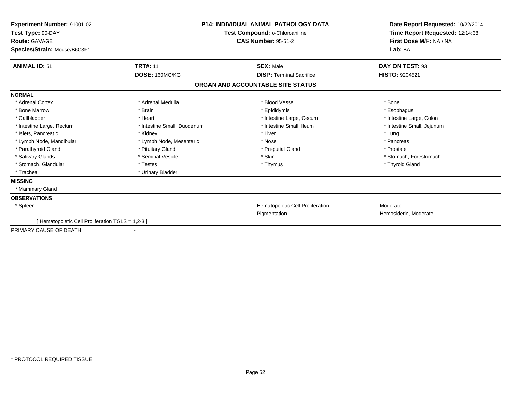| Experiment Number: 91001-02<br>Test Type: 90-DAY<br>Route: GAVAGE<br>Species/Strain: Mouse/B6C3F1 |                             | <b>P14: INDIVIDUAL ANIMAL PATHOLOGY DATA</b><br>Test Compound: o-Chloroaniline<br><b>CAS Number: 95-51-2</b> | Date Report Requested: 10/22/2014<br>Time Report Requested: 12:14:38<br>First Dose M/F: NA / NA<br>Lab: BAT |
|---------------------------------------------------------------------------------------------------|-----------------------------|--------------------------------------------------------------------------------------------------------------|-------------------------------------------------------------------------------------------------------------|
| <b>ANIMAL ID: 51</b>                                                                              | <b>TRT#: 11</b>             | <b>SEX: Male</b>                                                                                             | DAY ON TEST: 93                                                                                             |
|                                                                                                   | DOSE: 160MG/KG              | <b>DISP: Terminal Sacrifice</b>                                                                              | HISTO: 9204521                                                                                              |
|                                                                                                   |                             | ORGAN AND ACCOUNTABLE SITE STATUS                                                                            |                                                                                                             |
| <b>NORMAL</b>                                                                                     |                             |                                                                                                              |                                                                                                             |
| * Adrenal Cortex                                                                                  | * Adrenal Medulla           | * Blood Vessel                                                                                               | * Bone                                                                                                      |
| * Bone Marrow                                                                                     | * Brain                     | * Epididymis                                                                                                 | * Esophagus                                                                                                 |
| * Gallbladder                                                                                     | * Heart                     | * Intestine Large, Cecum                                                                                     | * Intestine Large, Colon                                                                                    |
| * Intestine Large, Rectum                                                                         | * Intestine Small, Duodenum | * Intestine Small. Ileum                                                                                     | * Intestine Small, Jejunum                                                                                  |
| * Islets. Pancreatic                                                                              | * Kidney                    | * Liver                                                                                                      | * Lung                                                                                                      |
| * Lymph Node, Mandibular                                                                          | * Lymph Node, Mesenteric    | * Nose                                                                                                       | * Pancreas                                                                                                  |
| * Parathyroid Gland                                                                               | * Pituitary Gland           | * Preputial Gland                                                                                            | * Prostate                                                                                                  |
| * Salivary Glands                                                                                 | * Seminal Vesicle           | * Skin                                                                                                       | * Stomach, Forestomach                                                                                      |
| * Stomach, Glandular                                                                              | * Testes                    | * Thymus                                                                                                     | * Thyroid Gland                                                                                             |
| * Trachea                                                                                         | * Urinary Bladder           |                                                                                                              |                                                                                                             |
| <b>MISSING</b>                                                                                    |                             |                                                                                                              |                                                                                                             |
| * Mammary Gland                                                                                   |                             |                                                                                                              |                                                                                                             |
| <b>OBSERVATIONS</b>                                                                               |                             |                                                                                                              |                                                                                                             |
| * Spleen                                                                                          |                             | Hematopoietic Cell Proliferation                                                                             | Moderate                                                                                                    |
|                                                                                                   |                             | Pigmentation                                                                                                 | Hemosiderin, Moderate                                                                                       |
| [ Hematopoietic Cell Proliferation TGLS = 1,2-3 ]                                                 |                             |                                                                                                              |                                                                                                             |
| PRIMARY CAUSE OF DEATH                                                                            |                             |                                                                                                              |                                                                                                             |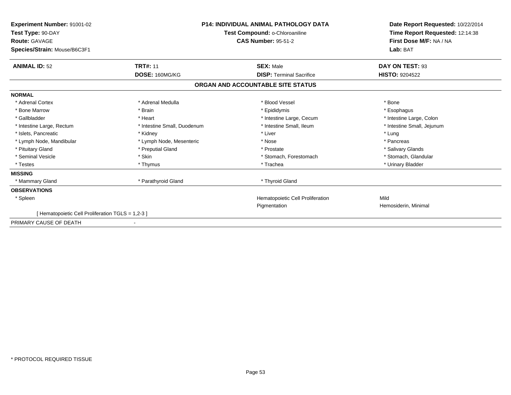| <b>Experiment Number: 91001-02</b><br>Test Type: 90-DAY<br><b>Route: GAVAGE</b><br>Species/Strain: Mouse/B6C3F1 |                             | <b>P14: INDIVIDUAL ANIMAL PATHOLOGY DATA</b><br>Test Compound: o-Chloroaniline<br><b>CAS Number: 95-51-2</b> | Date Report Requested: 10/22/2014<br>Time Report Requested: 12:14:38<br>First Dose M/F: NA / NA<br>Lab: BAT |  |
|-----------------------------------------------------------------------------------------------------------------|-----------------------------|--------------------------------------------------------------------------------------------------------------|-------------------------------------------------------------------------------------------------------------|--|
| <b>ANIMAL ID: 52</b>                                                                                            | <b>TRT#: 11</b>             | <b>SEX: Male</b>                                                                                             | DAY ON TEST: 93                                                                                             |  |
|                                                                                                                 | DOSE: 160MG/KG              | <b>DISP: Terminal Sacrifice</b>                                                                              | <b>HISTO: 9204522</b>                                                                                       |  |
|                                                                                                                 |                             | ORGAN AND ACCOUNTABLE SITE STATUS                                                                            |                                                                                                             |  |
| <b>NORMAL</b>                                                                                                   |                             |                                                                                                              |                                                                                                             |  |
| * Adrenal Cortex                                                                                                | * Adrenal Medulla           | * Blood Vessel                                                                                               | * Bone                                                                                                      |  |
| * Bone Marrow                                                                                                   | * Brain                     | * Epididymis                                                                                                 | * Esophagus                                                                                                 |  |
| * Gallbladder                                                                                                   | * Heart                     | * Intestine Large, Cecum                                                                                     | * Intestine Large, Colon                                                                                    |  |
| * Intestine Large, Rectum                                                                                       | * Intestine Small, Duodenum | * Intestine Small, Ileum                                                                                     | * Intestine Small, Jejunum                                                                                  |  |
| * Islets, Pancreatic                                                                                            | * Kidney                    | * Liver                                                                                                      | * Lung                                                                                                      |  |
| * Lymph Node, Mandibular                                                                                        | * Lymph Node, Mesenteric    | * Nose                                                                                                       | * Pancreas                                                                                                  |  |
| * Pituitary Gland                                                                                               | * Preputial Gland           | * Prostate                                                                                                   | * Salivary Glands                                                                                           |  |
| * Seminal Vesicle                                                                                               | * Skin                      | * Stomach, Forestomach                                                                                       | * Stomach, Glandular                                                                                        |  |
| * Testes                                                                                                        | * Thymus                    | * Trachea                                                                                                    | * Urinary Bladder                                                                                           |  |
| <b>MISSING</b>                                                                                                  |                             |                                                                                                              |                                                                                                             |  |
| * Mammary Gland                                                                                                 | * Parathyroid Gland         | * Thyroid Gland                                                                                              |                                                                                                             |  |
| <b>OBSERVATIONS</b>                                                                                             |                             |                                                                                                              |                                                                                                             |  |
| * Spleen                                                                                                        |                             | Hematopoietic Cell Proliferation                                                                             | Mild                                                                                                        |  |
|                                                                                                                 |                             | Pigmentation                                                                                                 | Hemosiderin, Minimal                                                                                        |  |
| [ Hematopoietic Cell Proliferation TGLS = 1,2-3 ]                                                               |                             |                                                                                                              |                                                                                                             |  |
| PRIMARY CAUSE OF DEATH                                                                                          |                             |                                                                                                              |                                                                                                             |  |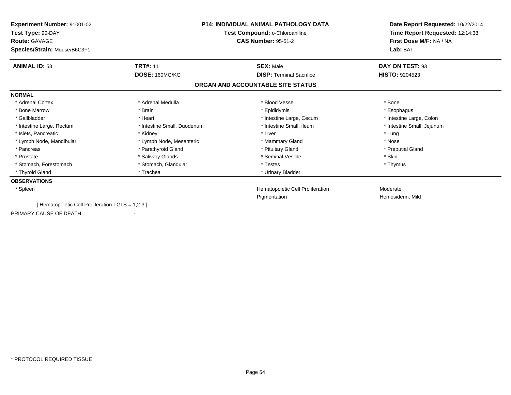| <b>Experiment Number: 91001-02</b><br>Test Type: 90-DAY | <b>P14: INDIVIDUAL ANIMAL PATHOLOGY DATA</b><br>Test Compound: o-Chloroaniline |                                   | Date Report Requested: 10/22/2014<br>Time Report Requested: 12:14:38 |
|---------------------------------------------------------|--------------------------------------------------------------------------------|-----------------------------------|----------------------------------------------------------------------|
| <b>Route: GAVAGE</b><br>Species/Strain: Mouse/B6C3F1    |                                                                                | <b>CAS Number: 95-51-2</b>        | First Dose M/F: NA / NA<br>Lab: BAT                                  |
| <b>ANIMAL ID: 53</b>                                    | <b>TRT#: 11</b>                                                                | <b>SEX: Male</b>                  | DAY ON TEST: 93                                                      |
|                                                         | DOSE: 160MG/KG                                                                 | <b>DISP: Terminal Sacrifice</b>   | <b>HISTO: 9204523</b>                                                |
|                                                         |                                                                                | ORGAN AND ACCOUNTABLE SITE STATUS |                                                                      |
| <b>NORMAL</b>                                           |                                                                                |                                   |                                                                      |
| * Adrenal Cortex                                        | * Adrenal Medulla                                                              | * Blood Vessel                    | * Bone                                                               |
| * Bone Marrow                                           | * Brain                                                                        | * Epididymis                      | * Esophagus                                                          |
| * Gallbladder                                           | * Heart                                                                        | * Intestine Large, Cecum          | * Intestine Large, Colon                                             |
| * Intestine Large, Rectum                               | * Intestine Small, Duodenum                                                    | * Intestine Small, Ileum          | * Intestine Small, Jejunum                                           |
| * Islets, Pancreatic                                    | * Kidney                                                                       | * Liver                           | * Lung                                                               |
| * Lymph Node, Mandibular                                | * Lymph Node, Mesenteric                                                       | * Mammary Gland                   | * Nose                                                               |
| * Pancreas                                              | * Parathyroid Gland                                                            | * Pituitary Gland                 | * Preputial Gland                                                    |
| * Prostate                                              | * Salivary Glands                                                              | * Seminal Vesicle                 | * Skin                                                               |
| * Stomach, Forestomach                                  | * Stomach, Glandular                                                           | * Testes                          | * Thymus                                                             |
| * Thyroid Gland                                         | * Trachea                                                                      | * Urinary Bladder                 |                                                                      |
| <b>OBSERVATIONS</b>                                     |                                                                                |                                   |                                                                      |
| * Spleen                                                |                                                                                | Hematopoietic Cell Proliferation  | Moderate                                                             |
|                                                         |                                                                                | Pigmentation                      | Hemosiderin, Mild                                                    |
| [ Hematopoietic Cell Proliferation TGLS = 1,2-3 ]       |                                                                                |                                   |                                                                      |
| PRIMARY CAUSE OF DEATH                                  |                                                                                |                                   |                                                                      |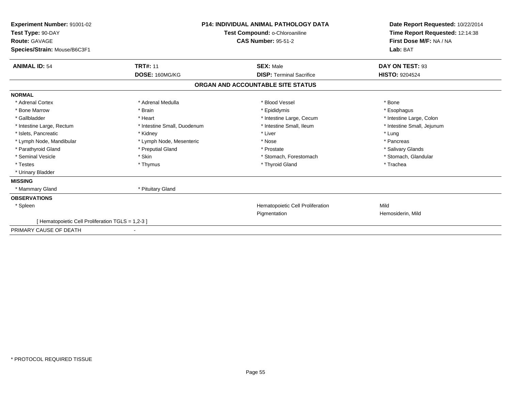| Experiment Number: 91001-02<br>Test Type: 90-DAY<br>Route: GAVAGE<br>Species/Strain: Mouse/B6C3F1 | <b>P14: INDIVIDUAL ANIMAL PATHOLOGY DATA</b><br>Test Compound: o-Chloroaniline<br><b>CAS Number: 95-51-2</b> |                                   | Date Report Requested: 10/22/2014<br>Time Report Requested: 12:14:38<br>First Dose M/F: NA / NA<br>Lab: BAT |
|---------------------------------------------------------------------------------------------------|--------------------------------------------------------------------------------------------------------------|-----------------------------------|-------------------------------------------------------------------------------------------------------------|
| <b>ANIMAL ID: 54</b>                                                                              | <b>TRT#: 11</b>                                                                                              | <b>SEX: Male</b>                  | DAY ON TEST: 93                                                                                             |
|                                                                                                   | DOSE: 160MG/KG                                                                                               | <b>DISP: Terminal Sacrifice</b>   | <b>HISTO: 9204524</b>                                                                                       |
|                                                                                                   |                                                                                                              | ORGAN AND ACCOUNTABLE SITE STATUS |                                                                                                             |
| <b>NORMAL</b>                                                                                     |                                                                                                              |                                   |                                                                                                             |
| * Adrenal Cortex                                                                                  | * Adrenal Medulla                                                                                            | * Blood Vessel                    | * Bone                                                                                                      |
| * Bone Marrow                                                                                     | * Brain                                                                                                      | * Epididymis                      | * Esophagus                                                                                                 |
| * Gallbladder                                                                                     | * Heart                                                                                                      | * Intestine Large, Cecum          | * Intestine Large, Colon                                                                                    |
| * Intestine Large, Rectum                                                                         | * Intestine Small, Duodenum                                                                                  | * Intestine Small, Ileum          | * Intestine Small, Jejunum                                                                                  |
| * Islets, Pancreatic                                                                              | * Kidney                                                                                                     | * Liver                           | * Lung                                                                                                      |
| * Lymph Node, Mandibular                                                                          | * Lymph Node, Mesenteric                                                                                     | * Nose                            | * Pancreas                                                                                                  |
| * Parathyroid Gland                                                                               | * Preputial Gland                                                                                            | * Prostate                        | * Salivary Glands                                                                                           |
| * Seminal Vesicle                                                                                 | * Skin                                                                                                       | * Stomach, Forestomach            | * Stomach, Glandular                                                                                        |
| * Testes                                                                                          | * Thymus                                                                                                     | * Thyroid Gland                   | * Trachea                                                                                                   |
| * Urinary Bladder                                                                                 |                                                                                                              |                                   |                                                                                                             |
| <b>MISSING</b>                                                                                    |                                                                                                              |                                   |                                                                                                             |
| * Mammary Gland                                                                                   | * Pituitary Gland                                                                                            |                                   |                                                                                                             |
| <b>OBSERVATIONS</b>                                                                               |                                                                                                              |                                   |                                                                                                             |
| * Spleen                                                                                          |                                                                                                              | Hematopoietic Cell Proliferation  | Mild                                                                                                        |
|                                                                                                   |                                                                                                              | Pigmentation                      | Hemosiderin, Mild                                                                                           |
| [ Hematopoietic Cell Proliferation TGLS = 1,2-3 ]                                                 |                                                                                                              |                                   |                                                                                                             |
| PRIMARY CAUSE OF DEATH                                                                            |                                                                                                              |                                   |                                                                                                             |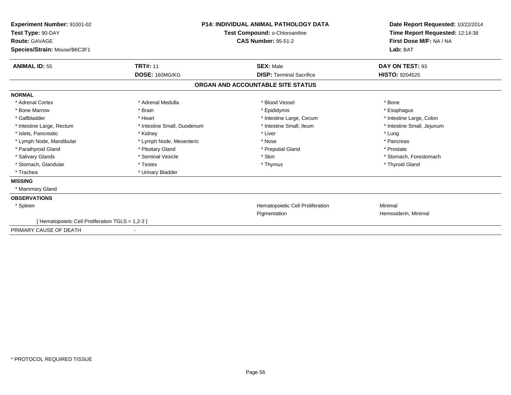| Experiment Number: 91001-02<br>Test Type: 90-DAY<br>Route: GAVAGE<br>Species/Strain: Mouse/B6C3F1 | <b>P14: INDIVIDUAL ANIMAL PATHOLOGY DATA</b><br>Test Compound: o-Chloroaniline<br><b>CAS Number: 95-51-2</b> |                                   | Date Report Requested: 10/22/2014<br>Time Report Requested: 12:14:38<br>First Dose M/F: NA / NA<br>Lab: BAT |
|---------------------------------------------------------------------------------------------------|--------------------------------------------------------------------------------------------------------------|-----------------------------------|-------------------------------------------------------------------------------------------------------------|
| <b>ANIMAL ID: 55</b>                                                                              | <b>TRT#: 11</b>                                                                                              | <b>SEX: Male</b>                  | DAY ON TEST: 93                                                                                             |
|                                                                                                   | DOSE: 160MG/KG                                                                                               | <b>DISP: Terminal Sacrifice</b>   | <b>HISTO: 9204525</b>                                                                                       |
|                                                                                                   |                                                                                                              | ORGAN AND ACCOUNTABLE SITE STATUS |                                                                                                             |
| <b>NORMAL</b>                                                                                     |                                                                                                              |                                   |                                                                                                             |
| * Adrenal Cortex                                                                                  | * Adrenal Medulla                                                                                            | * Blood Vessel                    | * Bone                                                                                                      |
| * Bone Marrow                                                                                     | * Brain                                                                                                      | * Epididymis                      | * Esophagus                                                                                                 |
| * Gallbladder                                                                                     | * Heart                                                                                                      | * Intestine Large, Cecum          | * Intestine Large, Colon                                                                                    |
| * Intestine Large, Rectum                                                                         | * Intestine Small, Duodenum                                                                                  | * Intestine Small, Ileum          | * Intestine Small, Jejunum                                                                                  |
| * Islets, Pancreatic                                                                              | * Kidney                                                                                                     | * Liver                           | * Lung                                                                                                      |
| * Lymph Node, Mandibular                                                                          | * Lymph Node, Mesenteric                                                                                     | * Nose                            | * Pancreas                                                                                                  |
| * Parathyroid Gland                                                                               | * Pituitary Gland                                                                                            | * Preputial Gland                 | * Prostate                                                                                                  |
| * Salivary Glands                                                                                 | * Seminal Vesicle                                                                                            | * Skin                            | * Stomach, Forestomach                                                                                      |
| * Stomach, Glandular                                                                              | * Testes                                                                                                     | * Thymus                          | * Thyroid Gland                                                                                             |
| * Trachea                                                                                         | * Urinary Bladder                                                                                            |                                   |                                                                                                             |
| <b>MISSING</b>                                                                                    |                                                                                                              |                                   |                                                                                                             |
| * Mammary Gland                                                                                   |                                                                                                              |                                   |                                                                                                             |
| <b>OBSERVATIONS</b>                                                                               |                                                                                                              |                                   |                                                                                                             |
| * Spleen                                                                                          |                                                                                                              | Hematopoietic Cell Proliferation  | Minimal                                                                                                     |
|                                                                                                   |                                                                                                              | Pigmentation                      | Hemosiderin, Minimal                                                                                        |
| [ Hematopoietic Cell Proliferation TGLS = 1,2-3 ]                                                 |                                                                                                              |                                   |                                                                                                             |
| PRIMARY CAUSE OF DEATH                                                                            |                                                                                                              |                                   |                                                                                                             |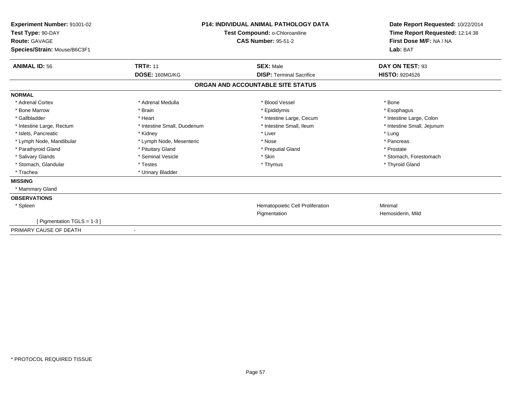| Experiment Number: 91001-02<br>Test Type: 90-DAY<br><b>Route: GAVAGE</b><br>Species/Strain: Mouse/B6C3F1 | <b>P14: INDIVIDUAL ANIMAL PATHOLOGY DATA</b><br>Test Compound: o-Chloroaniline<br><b>CAS Number: 95-51-2</b> |                                   | Date Report Requested: 10/22/2014<br>Time Report Requested: 12:14:38<br>First Dose M/F: NA / NA<br>Lab: BAT |
|----------------------------------------------------------------------------------------------------------|--------------------------------------------------------------------------------------------------------------|-----------------------------------|-------------------------------------------------------------------------------------------------------------|
| <b>ANIMAL ID: 56</b>                                                                                     | <b>TRT#: 11</b>                                                                                              | <b>SEX: Male</b>                  | DAY ON TEST: 93                                                                                             |
|                                                                                                          | DOSE: 160MG/KG                                                                                               | <b>DISP: Terminal Sacrifice</b>   | HISTO: 9204526                                                                                              |
|                                                                                                          |                                                                                                              | ORGAN AND ACCOUNTABLE SITE STATUS |                                                                                                             |
| <b>NORMAL</b>                                                                                            |                                                                                                              |                                   |                                                                                                             |
| * Adrenal Cortex                                                                                         | * Adrenal Medulla                                                                                            | * Blood Vessel                    | * Bone                                                                                                      |
| * Bone Marrow                                                                                            | * Brain                                                                                                      | * Epididymis                      | * Esophagus                                                                                                 |
| * Gallbladder                                                                                            | * Heart                                                                                                      | * Intestine Large, Cecum          | * Intestine Large, Colon                                                                                    |
| * Intestine Large, Rectum                                                                                | * Intestine Small, Duodenum                                                                                  | * Intestine Small, Ileum          | * Intestine Small, Jejunum                                                                                  |
| * Islets, Pancreatic                                                                                     | * Kidney                                                                                                     | * Liver                           | * Lung                                                                                                      |
| * Lymph Node, Mandibular                                                                                 | * Lymph Node, Mesenteric                                                                                     | * Nose                            | * Pancreas                                                                                                  |
| * Parathyroid Gland                                                                                      | * Pituitary Gland                                                                                            | * Preputial Gland                 | * Prostate                                                                                                  |
| * Salivary Glands                                                                                        | * Seminal Vesicle                                                                                            | * Skin                            | * Stomach, Forestomach                                                                                      |
| * Stomach, Glandular                                                                                     | * Testes                                                                                                     | * Thymus                          | * Thyroid Gland                                                                                             |
| * Trachea                                                                                                | * Urinary Bladder                                                                                            |                                   |                                                                                                             |
| <b>MISSING</b>                                                                                           |                                                                                                              |                                   |                                                                                                             |
| * Mammary Gland                                                                                          |                                                                                                              |                                   |                                                                                                             |
| <b>OBSERVATIONS</b>                                                                                      |                                                                                                              |                                   |                                                                                                             |
| * Spleen                                                                                                 |                                                                                                              | Hematopoietic Cell Proliferation  | Minimal                                                                                                     |
|                                                                                                          |                                                                                                              | Pigmentation                      | Hemosiderin, Mild                                                                                           |
| Figmentation TGLS = 1-3 ]                                                                                |                                                                                                              |                                   |                                                                                                             |
| PRIMARY CAUSE OF DEATH                                                                                   |                                                                                                              |                                   |                                                                                                             |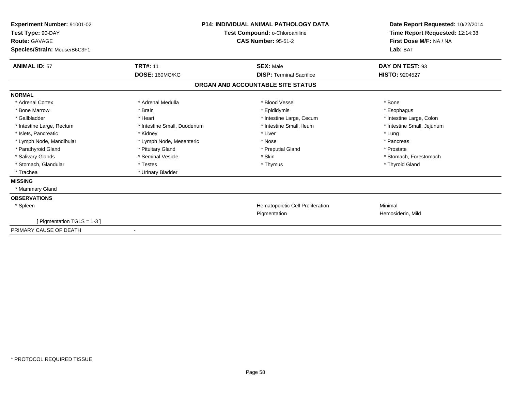| Experiment Number: 91001-02<br>Test Type: 90-DAY<br><b>Route: GAVAGE</b><br>Species/Strain: Mouse/B6C3F1 | <b>P14: INDIVIDUAL ANIMAL PATHOLOGY DATA</b><br>Test Compound: o-Chloroaniline<br><b>CAS Number: 95-51-2</b> |                                   | Date Report Requested: 10/22/2014<br>Time Report Requested: 12:14:38<br>First Dose M/F: NA / NA<br>Lab: BAT |
|----------------------------------------------------------------------------------------------------------|--------------------------------------------------------------------------------------------------------------|-----------------------------------|-------------------------------------------------------------------------------------------------------------|
| <b>ANIMAL ID: 57</b>                                                                                     | <b>TRT#: 11</b>                                                                                              | <b>SEX: Male</b>                  | DAY ON TEST: 93                                                                                             |
|                                                                                                          | DOSE: 160MG/KG                                                                                               | <b>DISP: Terminal Sacrifice</b>   | HISTO: 9204527                                                                                              |
|                                                                                                          |                                                                                                              | ORGAN AND ACCOUNTABLE SITE STATUS |                                                                                                             |
| <b>NORMAL</b>                                                                                            |                                                                                                              |                                   |                                                                                                             |
| * Adrenal Cortex                                                                                         | * Adrenal Medulla                                                                                            | * Blood Vessel                    | * Bone                                                                                                      |
| * Bone Marrow                                                                                            | * Brain                                                                                                      | * Epididymis                      | * Esophagus                                                                                                 |
| * Gallbladder                                                                                            | * Heart                                                                                                      | * Intestine Large, Cecum          | * Intestine Large, Colon                                                                                    |
| * Intestine Large, Rectum                                                                                | * Intestine Small, Duodenum                                                                                  | * Intestine Small, Ileum          | * Intestine Small, Jejunum                                                                                  |
| * Islets, Pancreatic                                                                                     | * Kidney                                                                                                     | * Liver                           | * Lung                                                                                                      |
| * Lymph Node, Mandibular                                                                                 | * Lymph Node, Mesenteric                                                                                     | * Nose                            | * Pancreas                                                                                                  |
| * Parathyroid Gland                                                                                      | * Pituitary Gland                                                                                            | * Preputial Gland                 | * Prostate                                                                                                  |
| * Salivary Glands                                                                                        | * Seminal Vesicle                                                                                            | * Skin                            | * Stomach, Forestomach                                                                                      |
| * Stomach, Glandular                                                                                     | * Testes                                                                                                     | * Thymus                          | * Thyroid Gland                                                                                             |
| * Trachea                                                                                                | * Urinary Bladder                                                                                            |                                   |                                                                                                             |
| <b>MISSING</b>                                                                                           |                                                                                                              |                                   |                                                                                                             |
| * Mammary Gland                                                                                          |                                                                                                              |                                   |                                                                                                             |
| <b>OBSERVATIONS</b>                                                                                      |                                                                                                              |                                   |                                                                                                             |
| * Spleen                                                                                                 |                                                                                                              | Hematopoietic Cell Proliferation  | Minimal                                                                                                     |
|                                                                                                          |                                                                                                              | Pigmentation                      | Hemosiderin, Mild                                                                                           |
| Figmentation TGLS = 1-3 ]                                                                                |                                                                                                              |                                   |                                                                                                             |
| PRIMARY CAUSE OF DEATH                                                                                   |                                                                                                              |                                   |                                                                                                             |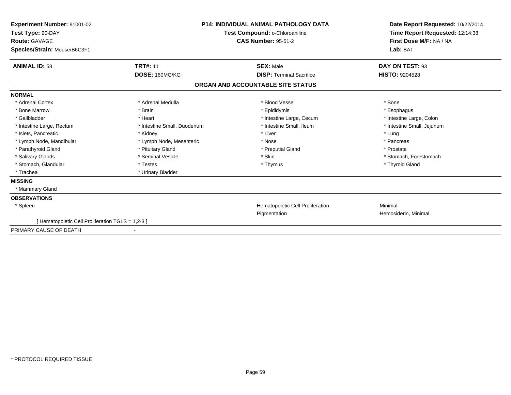| Experiment Number: 91001-02<br>Test Type: 90-DAY<br>Route: GAVAGE<br>Species/Strain: Mouse/B6C3F1 |                             | <b>P14: INDIVIDUAL ANIMAL PATHOLOGY DATA</b><br>Test Compound: o-Chloroaniline<br><b>CAS Number: 95-51-2</b> | Date Report Requested: 10/22/2014<br>Time Report Requested: 12:14:38<br>First Dose M/F: NA / NA<br>Lab: BAT |
|---------------------------------------------------------------------------------------------------|-----------------------------|--------------------------------------------------------------------------------------------------------------|-------------------------------------------------------------------------------------------------------------|
| <b>ANIMAL ID: 58</b>                                                                              | <b>TRT#: 11</b>             | <b>SEX: Male</b>                                                                                             | DAY ON TEST: 93                                                                                             |
|                                                                                                   | DOSE: 160MG/KG              | <b>DISP: Terminal Sacrifice</b>                                                                              | <b>HISTO: 9204528</b>                                                                                       |
|                                                                                                   |                             | ORGAN AND ACCOUNTABLE SITE STATUS                                                                            |                                                                                                             |
| <b>NORMAL</b>                                                                                     |                             |                                                                                                              |                                                                                                             |
| * Adrenal Cortex                                                                                  | * Adrenal Medulla           | * Blood Vessel                                                                                               | * Bone                                                                                                      |
| * Bone Marrow                                                                                     | * Brain                     | * Epididymis                                                                                                 | * Esophagus                                                                                                 |
| * Gallbladder                                                                                     | * Heart                     | * Intestine Large, Cecum                                                                                     | * Intestine Large, Colon                                                                                    |
| * Intestine Large, Rectum                                                                         | * Intestine Small, Duodenum | * Intestine Small, Ileum                                                                                     | * Intestine Small, Jejunum                                                                                  |
| * Islets, Pancreatic                                                                              | * Kidney                    | * Liver                                                                                                      | * Lung                                                                                                      |
| * Lymph Node, Mandibular                                                                          | * Lymph Node, Mesenteric    | * Nose                                                                                                       | * Pancreas                                                                                                  |
| * Parathyroid Gland                                                                               | * Pituitary Gland           | * Preputial Gland                                                                                            | * Prostate                                                                                                  |
| * Salivary Glands                                                                                 | * Seminal Vesicle           | * Skin                                                                                                       | * Stomach, Forestomach                                                                                      |
| * Stomach, Glandular                                                                              | * Testes                    | * Thymus                                                                                                     | * Thyroid Gland                                                                                             |
| * Trachea                                                                                         | * Urinary Bladder           |                                                                                                              |                                                                                                             |
| <b>MISSING</b>                                                                                    |                             |                                                                                                              |                                                                                                             |
| * Mammary Gland                                                                                   |                             |                                                                                                              |                                                                                                             |
| <b>OBSERVATIONS</b>                                                                               |                             |                                                                                                              |                                                                                                             |
| * Spleen                                                                                          |                             | Hematopoietic Cell Proliferation                                                                             | Minimal                                                                                                     |
|                                                                                                   |                             | Pigmentation                                                                                                 | Hemosiderin, Minimal                                                                                        |
| [ Hematopoietic Cell Proliferation TGLS = 1,2-3 ]                                                 |                             |                                                                                                              |                                                                                                             |
| PRIMARY CAUSE OF DEATH                                                                            |                             |                                                                                                              |                                                                                                             |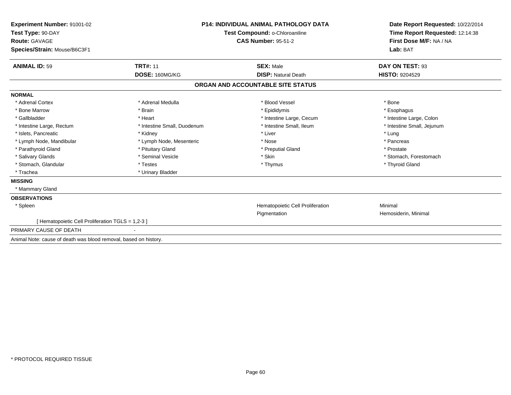| <b>Experiment Number: 91001-02</b>                               |                             | <b>P14: INDIVIDUAL ANIMAL PATHOLOGY DATA</b> | Date Report Requested: 10/22/2014   |
|------------------------------------------------------------------|-----------------------------|----------------------------------------------|-------------------------------------|
| Test Type: 90-DAY                                                |                             | Test Compound: o-Chloroaniline               | Time Report Requested: 12:14:38     |
| <b>Route: GAVAGE</b>                                             |                             | <b>CAS Number: 95-51-2</b>                   | First Dose M/F: NA / NA<br>Lab: BAT |
| Species/Strain: Mouse/B6C3F1                                     |                             |                                              |                                     |
| <b>ANIMAL ID: 59</b>                                             | <b>TRT#: 11</b>             | <b>SEX: Male</b>                             | DAY ON TEST: 93                     |
|                                                                  | DOSE: 160MG/KG              | <b>DISP: Natural Death</b>                   | <b>HISTO: 9204529</b>               |
|                                                                  |                             | ORGAN AND ACCOUNTABLE SITE STATUS            |                                     |
| <b>NORMAL</b>                                                    |                             |                                              |                                     |
| * Adrenal Cortex                                                 | * Adrenal Medulla           | * Blood Vessel                               | * Bone                              |
| * Bone Marrow                                                    | * Brain                     | * Epididymis                                 | * Esophagus                         |
| * Gallbladder                                                    | * Heart                     | * Intestine Large, Cecum                     | * Intestine Large, Colon            |
| * Intestine Large, Rectum                                        | * Intestine Small, Duodenum | * Intestine Small, Ileum                     | * Intestine Small, Jejunum          |
| * Islets, Pancreatic                                             | * Kidney                    | * Liver                                      | * Lung                              |
| * Lymph Node, Mandibular                                         | * Lymph Node, Mesenteric    | * Nose                                       | * Pancreas                          |
| * Parathyroid Gland                                              | * Pituitary Gland           | * Preputial Gland                            | * Prostate                          |
| * Salivary Glands                                                | * Seminal Vesicle           | * Skin                                       | * Stomach. Forestomach              |
| * Stomach, Glandular                                             | * Testes                    | * Thymus                                     | * Thyroid Gland                     |
| * Trachea                                                        | * Urinary Bladder           |                                              |                                     |
| <b>MISSING</b>                                                   |                             |                                              |                                     |
| * Mammary Gland                                                  |                             |                                              |                                     |
| <b>OBSERVATIONS</b>                                              |                             |                                              |                                     |
| * Spleen                                                         |                             | Hematopoietic Cell Proliferation             | Minimal                             |
|                                                                  |                             | Pigmentation                                 | Hemosiderin, Minimal                |
| [ Hematopoietic Cell Proliferation TGLS = 1,2-3 ]                |                             |                                              |                                     |
| PRIMARY CAUSE OF DEATH                                           |                             |                                              |                                     |
| Animal Note: cause of death was blood removal, based on history. |                             |                                              |                                     |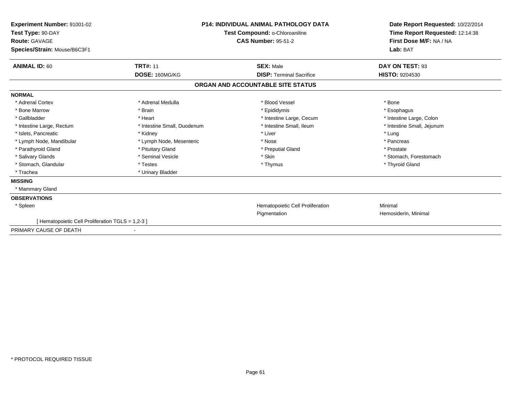| Experiment Number: 91001-02<br>Test Type: 90-DAY<br>Route: GAVAGE<br>Species/Strain: Mouse/B6C3F1 |                             | <b>P14: INDIVIDUAL ANIMAL PATHOLOGY DATA</b><br>Test Compound: o-Chloroaniline<br><b>CAS Number: 95-51-2</b> | Date Report Requested: 10/22/2014<br>Time Report Requested: 12:14:38<br>First Dose M/F: NA / NA<br>Lab: BAT |
|---------------------------------------------------------------------------------------------------|-----------------------------|--------------------------------------------------------------------------------------------------------------|-------------------------------------------------------------------------------------------------------------|
| <b>ANIMAL ID: 60</b>                                                                              | <b>TRT#: 11</b>             | <b>SEX: Male</b>                                                                                             | DAY ON TEST: 93                                                                                             |
|                                                                                                   | DOSE: 160MG/KG              | <b>DISP: Terminal Sacrifice</b>                                                                              | HISTO: 9204530                                                                                              |
|                                                                                                   |                             | ORGAN AND ACCOUNTABLE SITE STATUS                                                                            |                                                                                                             |
| <b>NORMAL</b>                                                                                     |                             |                                                                                                              |                                                                                                             |
| * Adrenal Cortex                                                                                  | * Adrenal Medulla           | * Blood Vessel                                                                                               | * Bone                                                                                                      |
| * Bone Marrow                                                                                     | * Brain                     | * Epididymis                                                                                                 | * Esophagus                                                                                                 |
| * Gallbladder                                                                                     | * Heart                     | * Intestine Large, Cecum                                                                                     | * Intestine Large, Colon                                                                                    |
| * Intestine Large, Rectum                                                                         | * Intestine Small, Duodenum | * Intestine Small, Ileum                                                                                     | * Intestine Small, Jejunum                                                                                  |
| * Islets, Pancreatic                                                                              | * Kidney                    | * Liver                                                                                                      | * Lung                                                                                                      |
| * Lymph Node, Mandibular                                                                          | * Lymph Node, Mesenteric    | * Nose                                                                                                       | * Pancreas                                                                                                  |
| * Parathyroid Gland                                                                               | * Pituitary Gland           | * Preputial Gland                                                                                            | * Prostate                                                                                                  |
| * Salivary Glands                                                                                 | * Seminal Vesicle           | * Skin                                                                                                       | * Stomach, Forestomach                                                                                      |
| * Stomach, Glandular                                                                              | * Testes                    | * Thymus                                                                                                     | * Thyroid Gland                                                                                             |
| * Trachea                                                                                         | * Urinary Bladder           |                                                                                                              |                                                                                                             |
| <b>MISSING</b>                                                                                    |                             |                                                                                                              |                                                                                                             |
| * Mammary Gland                                                                                   |                             |                                                                                                              |                                                                                                             |
| <b>OBSERVATIONS</b>                                                                               |                             |                                                                                                              |                                                                                                             |
| * Spleen                                                                                          |                             | Hematopoietic Cell Proliferation                                                                             | Minimal                                                                                                     |
|                                                                                                   |                             | Pigmentation                                                                                                 | Hemosiderin, Minimal                                                                                        |
| [ Hematopoietic Cell Proliferation TGLS = 1,2-3 ]                                                 |                             |                                                                                                              |                                                                                                             |
| PRIMARY CAUSE OF DEATH                                                                            |                             |                                                                                                              |                                                                                                             |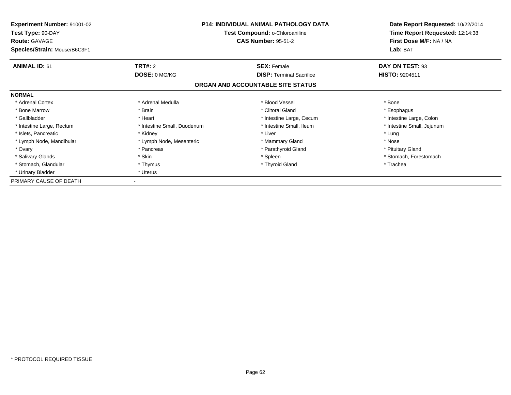| Experiment Number: 91001-02<br>Test Type: 90-DAY     |                             | <b>P14: INDIVIDUAL ANIMAL PATHOLOGY DATA</b><br>Test Compound: o-Chloroaniline | Date Report Requested: 10/22/2014<br>Time Report Requested: 12:14:38 |
|------------------------------------------------------|-----------------------------|--------------------------------------------------------------------------------|----------------------------------------------------------------------|
| <b>Route: GAVAGE</b><br>Species/Strain: Mouse/B6C3F1 |                             | <b>CAS Number: 95-51-2</b>                                                     | First Dose M/F: NA / NA<br>Lab: BAT                                  |
| <b>ANIMAL ID: 61</b>                                 | <b>TRT#: 2</b>              | <b>SEX: Female</b>                                                             | DAY ON TEST: 93                                                      |
|                                                      | DOSE: 0 MG/KG               | <b>DISP:</b> Terminal Sacrifice                                                | <b>HISTO: 9204511</b>                                                |
|                                                      |                             | ORGAN AND ACCOUNTABLE SITE STATUS                                              |                                                                      |
| <b>NORMAL</b>                                        |                             |                                                                                |                                                                      |
| * Adrenal Cortex                                     | * Adrenal Medulla           | * Blood Vessel                                                                 | * Bone                                                               |
| * Bone Marrow                                        | * Brain                     | * Clitoral Gland                                                               | * Esophagus                                                          |
| * Gallbladder                                        | * Heart                     | * Intestine Large, Cecum                                                       | * Intestine Large, Colon                                             |
| * Intestine Large, Rectum                            | * Intestine Small, Duodenum | * Intestine Small, Ileum                                                       | * Intestine Small, Jejunum                                           |
| * Islets, Pancreatic                                 | * Kidney                    | * Liver                                                                        | * Lung                                                               |
| * Lymph Node, Mandibular                             | * Lymph Node, Mesenteric    | * Mammary Gland                                                                | * Nose                                                               |
| * Ovary                                              | * Pancreas                  | * Parathyroid Gland                                                            | * Pituitary Gland                                                    |
| * Salivary Glands                                    | * Skin                      | * Spleen                                                                       | * Stomach, Forestomach                                               |
| * Stomach, Glandular                                 | * Thymus                    | * Thyroid Gland                                                                | * Trachea                                                            |
| * Urinary Bladder                                    | * Uterus                    |                                                                                |                                                                      |
| PRIMARY CAUSE OF DEATH                               |                             |                                                                                |                                                                      |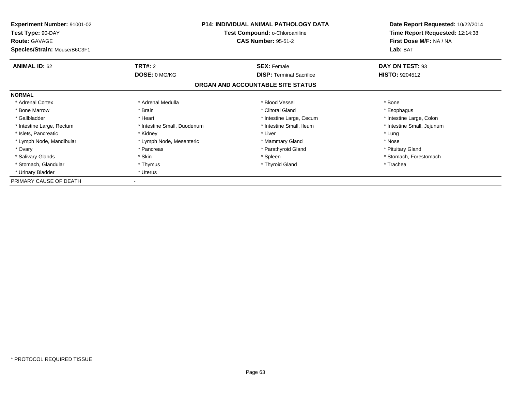| <b>Experiment Number: 91001-02</b><br>Test Type: 90-DAY<br><b>Route: GAVAGE</b> | <b>P14: INDIVIDUAL ANIMAL PATHOLOGY DATA</b><br>Test Compound: o-Chloroaniline<br><b>CAS Number: 95-51-2</b> |                                   | Date Report Requested: 10/22/2014<br>Time Report Requested: 12:14:38<br>First Dose M/F: NA / NA |  |
|---------------------------------------------------------------------------------|--------------------------------------------------------------------------------------------------------------|-----------------------------------|-------------------------------------------------------------------------------------------------|--|
| Species/Strain: Mouse/B6C3F1                                                    |                                                                                                              |                                   | Lab: BAT                                                                                        |  |
| <b>ANIMAL ID: 62</b>                                                            | <b>TRT#: 2</b>                                                                                               | <b>SEX: Female</b>                | DAY ON TEST: 93                                                                                 |  |
|                                                                                 | DOSE: 0 MG/KG                                                                                                | <b>DISP:</b> Terminal Sacrifice   | <b>HISTO: 9204512</b>                                                                           |  |
|                                                                                 |                                                                                                              | ORGAN AND ACCOUNTABLE SITE STATUS |                                                                                                 |  |
| <b>NORMAL</b>                                                                   |                                                                                                              |                                   |                                                                                                 |  |
| * Adrenal Cortex                                                                | * Adrenal Medulla                                                                                            | * Blood Vessel                    | * Bone                                                                                          |  |
| * Bone Marrow                                                                   | * Brain                                                                                                      | * Clitoral Gland                  | * Esophagus                                                                                     |  |
| * Gallbladder                                                                   | * Heart                                                                                                      | * Intestine Large, Cecum          | * Intestine Large, Colon                                                                        |  |
| * Intestine Large, Rectum                                                       | * Intestine Small, Duodenum                                                                                  | * Intestine Small, Ileum          | * Intestine Small, Jejunum                                                                      |  |
| * Islets, Pancreatic                                                            | * Kidney                                                                                                     | * Liver                           | * Lung                                                                                          |  |
| * Lymph Node, Mandibular                                                        | * Lymph Node, Mesenteric                                                                                     | * Mammary Gland                   | * Nose                                                                                          |  |
| * Ovary                                                                         | * Pancreas                                                                                                   | * Parathyroid Gland               | * Pituitary Gland                                                                               |  |
| * Salivary Glands                                                               | * Skin                                                                                                       | * Spleen                          | * Stomach, Forestomach                                                                          |  |
| * Stomach, Glandular                                                            | * Thymus                                                                                                     | * Thyroid Gland                   | * Trachea                                                                                       |  |
| * Urinary Bladder                                                               | * Uterus                                                                                                     |                                   |                                                                                                 |  |
| PRIMARY CAUSE OF DEATH                                                          |                                                                                                              |                                   |                                                                                                 |  |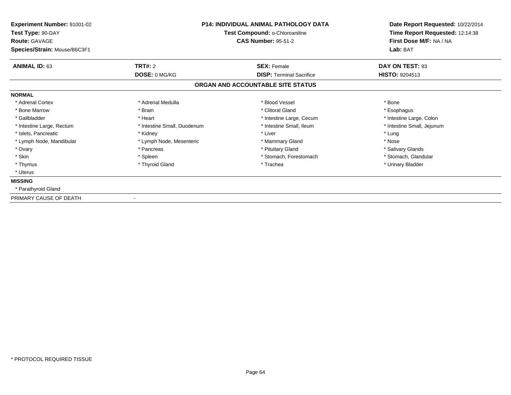|                             | <b>P14: INDIVIDUAL ANIMAL PATHOLOGY DATA</b><br>Test Compound: o-Chloroaniline<br><b>CAS Number: 95-51-2</b> |                                                         |
|-----------------------------|--------------------------------------------------------------------------------------------------------------|---------------------------------------------------------|
|                             |                                                                                                              | Lab: BAT<br>DAY ON TEST: 93                             |
| DOSE: 0 MG/KG               | <b>DISP:</b> Terminal Sacrifice                                                                              | <b>HISTO: 9204513</b>                                   |
|                             |                                                                                                              |                                                         |
|                             |                                                                                                              |                                                         |
| * Adrenal Medulla           | * Blood Vessel                                                                                               | * Bone                                                  |
| * Brain                     | * Clitoral Gland                                                                                             | * Esophagus                                             |
| * Heart                     | * Intestine Large, Cecum                                                                                     | * Intestine Large, Colon                                |
| * Intestine Small, Duodenum | * Intestine Small, Ileum                                                                                     | * Intestine Small, Jejunum                              |
| * Kidney                    | * Liver                                                                                                      | * Lung                                                  |
| * Lymph Node, Mesenteric    | * Mammary Gland                                                                                              | * Nose                                                  |
| * Pancreas                  | * Pituitary Gland                                                                                            | * Salivary Glands                                       |
| * Spleen                    | * Stomach, Forestomach                                                                                       | * Stomach, Glandular                                    |
| * Thyroid Gland             | * Trachea                                                                                                    | * Urinary Bladder                                       |
|                             |                                                                                                              |                                                         |
|                             |                                                                                                              |                                                         |
|                             |                                                                                                              |                                                         |
|                             | TRT#: 2                                                                                                      | <b>SEX: Female</b><br>ORGAN AND ACCOUNTABLE SITE STATUS |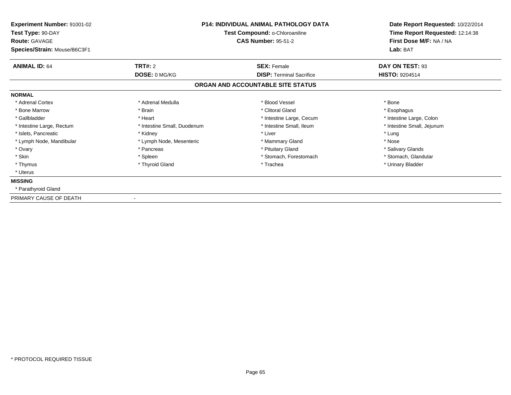| Experiment Number: 91001-02<br>Test Type: 90-DAY<br><b>Route: GAVAGE</b> |                             | <b>P14: INDIVIDUAL ANIMAL PATHOLOGY DATA</b><br>Test Compound: o-Chloroaniline<br><b>CAS Number: 95-51-2</b> | Date Report Requested: 10/22/2014<br>Time Report Requested: 12:14:38<br>First Dose M/F: NA / NA |  |
|--------------------------------------------------------------------------|-----------------------------|--------------------------------------------------------------------------------------------------------------|-------------------------------------------------------------------------------------------------|--|
| Species/Strain: Mouse/B6C3F1                                             |                             |                                                                                                              | Lab: BAT                                                                                        |  |
| <b>ANIMAL ID: 64</b>                                                     | TRT#: 2                     | <b>SEX: Female</b>                                                                                           | DAY ON TEST: 93                                                                                 |  |
|                                                                          | DOSE: 0 MG/KG               | <b>DISP: Terminal Sacrifice</b>                                                                              | <b>HISTO: 9204514</b>                                                                           |  |
|                                                                          |                             | ORGAN AND ACCOUNTABLE SITE STATUS                                                                            |                                                                                                 |  |
| <b>NORMAL</b>                                                            |                             |                                                                                                              |                                                                                                 |  |
| * Adrenal Cortex                                                         | * Adrenal Medulla           | * Blood Vessel                                                                                               | * Bone                                                                                          |  |
| * Bone Marrow                                                            | * Brain                     | * Clitoral Gland                                                                                             | * Esophagus                                                                                     |  |
| * Gallbladder                                                            | * Heart                     | * Intestine Large, Cecum                                                                                     | * Intestine Large, Colon                                                                        |  |
| * Intestine Large, Rectum                                                | * Intestine Small, Duodenum | * Intestine Small, Ileum                                                                                     | * Intestine Small, Jejunum                                                                      |  |
| * Islets, Pancreatic                                                     | * Kidney                    | * Liver                                                                                                      | * Lung                                                                                          |  |
| * Lymph Node, Mandibular                                                 | * Lymph Node, Mesenteric    | * Mammary Gland                                                                                              | * Nose                                                                                          |  |
| * Ovary                                                                  | * Pancreas                  | * Pituitary Gland                                                                                            | * Salivary Glands                                                                               |  |
| * Skin                                                                   | * Spleen                    | * Stomach, Forestomach                                                                                       | * Stomach, Glandular                                                                            |  |
| * Thymus                                                                 | * Thyroid Gland             | * Trachea                                                                                                    | * Urinary Bladder                                                                               |  |
| * Uterus                                                                 |                             |                                                                                                              |                                                                                                 |  |
| <b>MISSING</b>                                                           |                             |                                                                                                              |                                                                                                 |  |
| * Parathyroid Gland                                                      |                             |                                                                                                              |                                                                                                 |  |
| PRIMARY CAUSE OF DEATH                                                   |                             |                                                                                                              |                                                                                                 |  |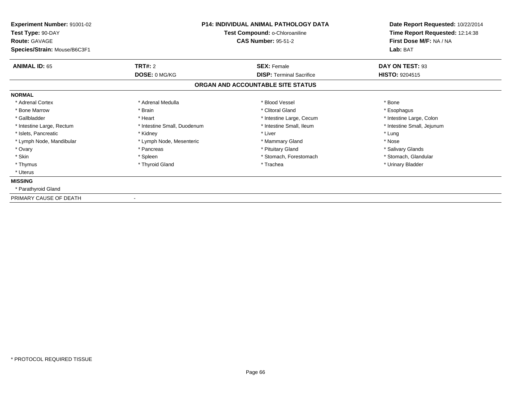| Experiment Number: 91001-02<br>Test Type: 90-DAY     |                             | <b>P14: INDIVIDUAL ANIMAL PATHOLOGY DATA</b><br>Test Compound: o-Chloroaniline | Date Report Requested: 10/22/2014<br>Time Report Requested: 12:14:38 |  |
|------------------------------------------------------|-----------------------------|--------------------------------------------------------------------------------|----------------------------------------------------------------------|--|
| <b>Route: GAVAGE</b><br>Species/Strain: Mouse/B6C3F1 |                             | <b>CAS Number: 95-51-2</b>                                                     | First Dose M/F: NA / NA<br>Lab: BAT                                  |  |
| <b>ANIMAL ID: 65</b>                                 | TRT#: 2                     | <b>SEX: Female</b>                                                             | DAY ON TEST: 93                                                      |  |
|                                                      | DOSE: 0 MG/KG               | <b>DISP: Terminal Sacrifice</b>                                                | <b>HISTO: 9204515</b>                                                |  |
|                                                      |                             | ORGAN AND ACCOUNTABLE SITE STATUS                                              |                                                                      |  |
| <b>NORMAL</b>                                        |                             |                                                                                |                                                                      |  |
| * Adrenal Cortex                                     | * Adrenal Medulla           | * Blood Vessel                                                                 | * Bone                                                               |  |
| * Bone Marrow                                        | * Brain                     | * Clitoral Gland                                                               | * Esophagus                                                          |  |
| * Gallbladder                                        | * Heart                     | * Intestine Large, Cecum                                                       | * Intestine Large, Colon                                             |  |
| * Intestine Large, Rectum                            | * Intestine Small, Duodenum | * Intestine Small, Ileum                                                       | * Intestine Small, Jejunum                                           |  |
| * Islets, Pancreatic                                 | * Kidney                    | * Liver                                                                        | * Lung                                                               |  |
| * Lymph Node, Mandibular                             | * Lymph Node, Mesenteric    | * Mammary Gland                                                                | * Nose                                                               |  |
| * Ovary                                              | * Pancreas                  | * Pituitary Gland                                                              | * Salivary Glands                                                    |  |
| * Skin                                               | * Spleen                    | * Stomach, Forestomach                                                         | * Stomach, Glandular                                                 |  |
| * Thymus                                             | * Thyroid Gland             | * Trachea                                                                      | * Urinary Bladder                                                    |  |
| * Uterus                                             |                             |                                                                                |                                                                      |  |
| <b>MISSING</b>                                       |                             |                                                                                |                                                                      |  |
| * Parathyroid Gland                                  |                             |                                                                                |                                                                      |  |
| PRIMARY CAUSE OF DEATH                               |                             |                                                                                |                                                                      |  |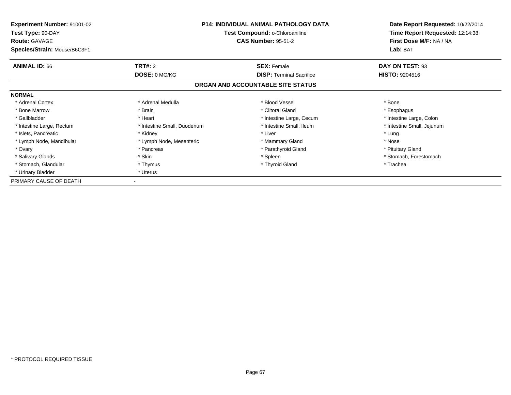| <b>Experiment Number: 91001-02</b><br>Test Type: 90-DAY<br><b>Route: GAVAGE</b> | <b>P14: INDIVIDUAL ANIMAL PATHOLOGY DATA</b><br>Test Compound: o-Chloroaniline<br><b>CAS Number: 95-51-2</b> |                                   | Date Report Requested: 10/22/2014<br>Time Report Requested: 12:14:38<br>First Dose M/F: NA / NA |  |
|---------------------------------------------------------------------------------|--------------------------------------------------------------------------------------------------------------|-----------------------------------|-------------------------------------------------------------------------------------------------|--|
| Species/Strain: Mouse/B6C3F1                                                    |                                                                                                              |                                   | Lab: BAT                                                                                        |  |
| <b>ANIMAL ID: 66</b>                                                            | <b>TRT#: 2</b>                                                                                               | <b>SEX: Female</b>                | DAY ON TEST: 93                                                                                 |  |
|                                                                                 | DOSE: 0 MG/KG                                                                                                | <b>DISP:</b> Terminal Sacrifice   | <b>HISTO: 9204516</b>                                                                           |  |
|                                                                                 |                                                                                                              | ORGAN AND ACCOUNTABLE SITE STATUS |                                                                                                 |  |
| <b>NORMAL</b>                                                                   |                                                                                                              |                                   |                                                                                                 |  |
| * Adrenal Cortex                                                                | * Adrenal Medulla                                                                                            | * Blood Vessel                    | * Bone                                                                                          |  |
| * Bone Marrow                                                                   | * Brain                                                                                                      | * Clitoral Gland                  | * Esophagus                                                                                     |  |
| * Gallbladder                                                                   | * Heart                                                                                                      | * Intestine Large, Cecum          | * Intestine Large, Colon                                                                        |  |
| * Intestine Large, Rectum                                                       | * Intestine Small, Duodenum                                                                                  | * Intestine Small, Ileum          | * Intestine Small, Jejunum                                                                      |  |
| * Islets, Pancreatic                                                            | * Kidney                                                                                                     | * Liver                           | * Lung                                                                                          |  |
| * Lymph Node, Mandibular                                                        | * Lymph Node, Mesenteric                                                                                     | * Mammary Gland                   | * Nose                                                                                          |  |
| * Ovary                                                                         | * Pancreas                                                                                                   | * Parathyroid Gland               | * Pituitary Gland                                                                               |  |
| * Salivary Glands                                                               | * Skin                                                                                                       | * Spleen                          | * Stomach, Forestomach                                                                          |  |
| * Stomach, Glandular                                                            | * Thymus                                                                                                     | * Thyroid Gland                   | * Trachea                                                                                       |  |
| * Urinary Bladder                                                               | * Uterus                                                                                                     |                                   |                                                                                                 |  |
| PRIMARY CAUSE OF DEATH                                                          |                                                                                                              |                                   |                                                                                                 |  |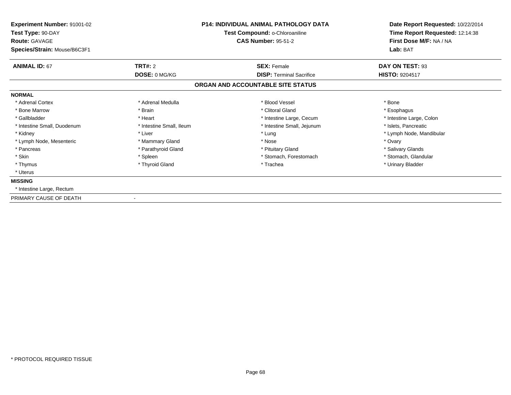| Experiment Number: 91001-02<br>Test Type: 90-DAY<br><b>Route: GAVAGE</b> |                          | <b>P14: INDIVIDUAL ANIMAL PATHOLOGY DATA</b><br>Test Compound: o-Chloroaniline<br><b>CAS Number: 95-51-2</b> | Date Report Requested: 10/22/2014<br>Time Report Requested: 12:14:38<br>First Dose M/F: NA / NA |  |
|--------------------------------------------------------------------------|--------------------------|--------------------------------------------------------------------------------------------------------------|-------------------------------------------------------------------------------------------------|--|
| Species/Strain: Mouse/B6C3F1                                             |                          |                                                                                                              | Lab: BAT                                                                                        |  |
| <b>ANIMAL ID: 67</b>                                                     | TRT#: 2                  | <b>SEX: Female</b>                                                                                           | DAY ON TEST: 93                                                                                 |  |
|                                                                          | DOSE: 0 MG/KG            | <b>DISP: Terminal Sacrifice</b>                                                                              | <b>HISTO: 9204517</b>                                                                           |  |
|                                                                          |                          | ORGAN AND ACCOUNTABLE SITE STATUS                                                                            |                                                                                                 |  |
| <b>NORMAL</b>                                                            |                          |                                                                                                              |                                                                                                 |  |
| * Adrenal Cortex                                                         | * Adrenal Medulla        | * Blood Vessel                                                                                               | * Bone                                                                                          |  |
| * Bone Marrow                                                            | * Brain                  | * Clitoral Gland                                                                                             | * Esophagus                                                                                     |  |
| * Gallbladder                                                            | * Heart                  | * Intestine Large, Cecum                                                                                     | * Intestine Large, Colon                                                                        |  |
| * Intestine Small, Duodenum                                              | * Intestine Small, Ileum | * Intestine Small, Jejunum                                                                                   | * Islets, Pancreatic                                                                            |  |
| * Kidney                                                                 | * Liver                  | * Lung                                                                                                       | * Lymph Node, Mandibular                                                                        |  |
| * Lymph Node, Mesenteric                                                 | * Mammary Gland          | * Nose                                                                                                       | * Ovary                                                                                         |  |
| * Pancreas                                                               | * Parathyroid Gland      | * Pituitary Gland                                                                                            | * Salivary Glands                                                                               |  |
| * Skin                                                                   | * Spleen                 | * Stomach, Forestomach                                                                                       | * Stomach, Glandular                                                                            |  |
| * Thymus                                                                 | * Thyroid Gland          | * Trachea                                                                                                    | * Urinary Bladder                                                                               |  |
| * Uterus                                                                 |                          |                                                                                                              |                                                                                                 |  |
| <b>MISSING</b>                                                           |                          |                                                                                                              |                                                                                                 |  |
| * Intestine Large, Rectum                                                |                          |                                                                                                              |                                                                                                 |  |
| PRIMARY CAUSE OF DEATH                                                   |                          |                                                                                                              |                                                                                                 |  |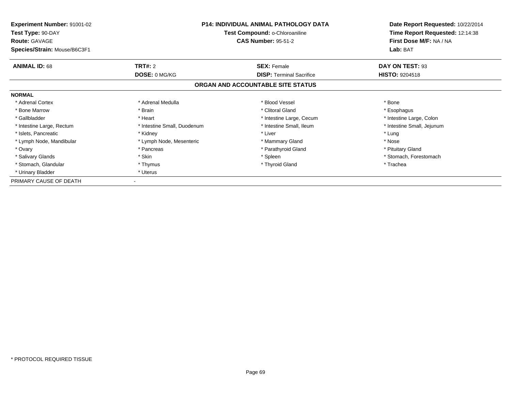| <b>Experiment Number: 91001-02</b><br>Test Type: 90-DAY<br><b>Route: GAVAGE</b> | <b>P14: INDIVIDUAL ANIMAL PATHOLOGY DATA</b><br>Test Compound: o-Chloroaniline<br><b>CAS Number: 95-51-2</b> |                                   | Date Report Requested: 10/22/2014<br>Time Report Requested: 12:14:38<br>First Dose M/F: NA / NA |  |
|---------------------------------------------------------------------------------|--------------------------------------------------------------------------------------------------------------|-----------------------------------|-------------------------------------------------------------------------------------------------|--|
| Species/Strain: Mouse/B6C3F1                                                    |                                                                                                              |                                   | Lab: BAT                                                                                        |  |
| <b>ANIMAL ID: 68</b>                                                            | <b>TRT#: 2</b>                                                                                               | <b>SEX: Female</b>                | DAY ON TEST: 93                                                                                 |  |
|                                                                                 | DOSE: 0 MG/KG                                                                                                | <b>DISP:</b> Terminal Sacrifice   | <b>HISTO: 9204518</b>                                                                           |  |
|                                                                                 |                                                                                                              | ORGAN AND ACCOUNTABLE SITE STATUS |                                                                                                 |  |
| <b>NORMAL</b>                                                                   |                                                                                                              |                                   |                                                                                                 |  |
| * Adrenal Cortex                                                                | * Adrenal Medulla                                                                                            | * Blood Vessel                    | * Bone                                                                                          |  |
| * Bone Marrow                                                                   | * Brain                                                                                                      | * Clitoral Gland                  | * Esophagus                                                                                     |  |
| * Gallbladder                                                                   | * Heart                                                                                                      | * Intestine Large, Cecum          | * Intestine Large, Colon                                                                        |  |
| * Intestine Large, Rectum                                                       | * Intestine Small, Duodenum                                                                                  | * Intestine Small, Ileum          | * Intestine Small, Jejunum                                                                      |  |
| * Islets, Pancreatic                                                            | * Kidney                                                                                                     | * Liver                           | * Lung                                                                                          |  |
| * Lymph Node, Mandibular                                                        | * Lymph Node, Mesenteric                                                                                     | * Mammary Gland                   | * Nose                                                                                          |  |
| * Ovary                                                                         | * Pancreas                                                                                                   | * Parathyroid Gland               | * Pituitary Gland                                                                               |  |
| * Salivary Glands                                                               | * Skin                                                                                                       | * Spleen                          | * Stomach, Forestomach                                                                          |  |
| * Stomach, Glandular                                                            | * Thymus                                                                                                     | * Thyroid Gland                   | * Trachea                                                                                       |  |
| * Urinary Bladder                                                               | * Uterus                                                                                                     |                                   |                                                                                                 |  |
| PRIMARY CAUSE OF DEATH                                                          |                                                                                                              |                                   |                                                                                                 |  |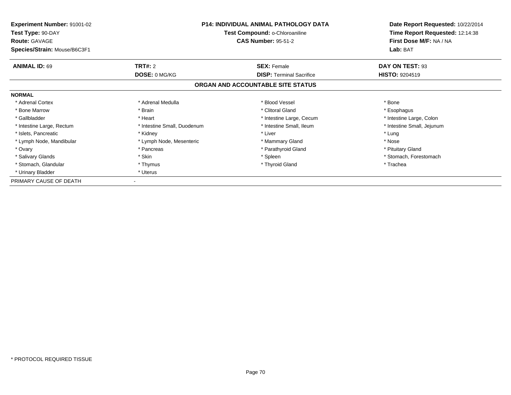| <b>Experiment Number: 91001-02</b><br>Test Type: 90-DAY<br><b>Route: GAVAGE</b> | <b>P14: INDIVIDUAL ANIMAL PATHOLOGY DATA</b><br>Test Compound: o-Chloroaniline<br><b>CAS Number: 95-51-2</b> |                                   | Date Report Requested: 10/22/2014<br>Time Report Requested: 12:14:38<br>First Dose M/F: NA / NA |  |
|---------------------------------------------------------------------------------|--------------------------------------------------------------------------------------------------------------|-----------------------------------|-------------------------------------------------------------------------------------------------|--|
| Species/Strain: Mouse/B6C3F1                                                    |                                                                                                              |                                   | Lab: BAT                                                                                        |  |
| <b>ANIMAL ID: 69</b>                                                            | <b>TRT#: 2</b>                                                                                               | <b>SEX: Female</b>                | DAY ON TEST: 93                                                                                 |  |
|                                                                                 | DOSE: 0 MG/KG                                                                                                | <b>DISP:</b> Terminal Sacrifice   | <b>HISTO: 9204519</b>                                                                           |  |
|                                                                                 |                                                                                                              | ORGAN AND ACCOUNTABLE SITE STATUS |                                                                                                 |  |
| <b>NORMAL</b>                                                                   |                                                                                                              |                                   |                                                                                                 |  |
| * Adrenal Cortex                                                                | * Adrenal Medulla                                                                                            | * Blood Vessel                    | * Bone                                                                                          |  |
| * Bone Marrow                                                                   | * Brain                                                                                                      | * Clitoral Gland                  | * Esophagus                                                                                     |  |
| * Gallbladder                                                                   | * Heart                                                                                                      | * Intestine Large, Cecum          | * Intestine Large, Colon                                                                        |  |
| * Intestine Large, Rectum                                                       | * Intestine Small, Duodenum                                                                                  | * Intestine Small, Ileum          | * Intestine Small, Jejunum                                                                      |  |
| * Islets, Pancreatic                                                            | * Kidney                                                                                                     | * Liver                           | * Lung                                                                                          |  |
| * Lymph Node, Mandibular                                                        | * Lymph Node, Mesenteric                                                                                     | * Mammary Gland                   | * Nose                                                                                          |  |
| * Ovary                                                                         | * Pancreas                                                                                                   | * Parathyroid Gland               | * Pituitary Gland                                                                               |  |
| * Salivary Glands                                                               | * Skin                                                                                                       | * Spleen                          | * Stomach, Forestomach                                                                          |  |
| * Stomach, Glandular                                                            | * Thymus                                                                                                     | * Thyroid Gland                   | * Trachea                                                                                       |  |
| * Urinary Bladder                                                               | * Uterus                                                                                                     |                                   |                                                                                                 |  |
| PRIMARY CAUSE OF DEATH                                                          |                                                                                                              |                                   |                                                                                                 |  |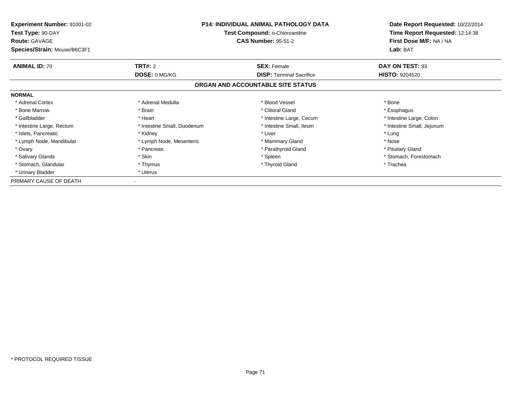| <b>Experiment Number: 91001-02</b><br>Test Type: 90-DAY<br><b>Route: GAVAGE</b> | <b>P14: INDIVIDUAL ANIMAL PATHOLOGY DATA</b><br>Test Compound: o-Chloroaniline<br><b>CAS Number: 95-51-2</b> |                                   | Date Report Requested: 10/22/2014<br>Time Report Requested: 12:14:38<br>First Dose M/F: NA / NA |  |
|---------------------------------------------------------------------------------|--------------------------------------------------------------------------------------------------------------|-----------------------------------|-------------------------------------------------------------------------------------------------|--|
| Species/Strain: Mouse/B6C3F1                                                    |                                                                                                              |                                   | Lab: BAT                                                                                        |  |
| <b>ANIMAL ID: 70</b>                                                            | <b>TRT#: 2</b>                                                                                               | <b>SEX: Female</b>                | DAY ON TEST: 93                                                                                 |  |
|                                                                                 | DOSE: 0 MG/KG                                                                                                | <b>DISP:</b> Terminal Sacrifice   | <b>HISTO: 9204520</b>                                                                           |  |
|                                                                                 |                                                                                                              | ORGAN AND ACCOUNTABLE SITE STATUS |                                                                                                 |  |
| <b>NORMAL</b>                                                                   |                                                                                                              |                                   |                                                                                                 |  |
| * Adrenal Cortex                                                                | * Adrenal Medulla                                                                                            | * Blood Vessel                    | * Bone                                                                                          |  |
| * Bone Marrow                                                                   | * Brain                                                                                                      | * Clitoral Gland                  | * Esophagus                                                                                     |  |
| * Gallbladder                                                                   | * Heart                                                                                                      | * Intestine Large, Cecum          | * Intestine Large, Colon                                                                        |  |
| * Intestine Large, Rectum                                                       | * Intestine Small, Duodenum                                                                                  | * Intestine Small, Ileum          | * Intestine Small, Jejunum                                                                      |  |
| * Islets, Pancreatic                                                            | * Kidney                                                                                                     | * Liver                           | * Lung                                                                                          |  |
| * Lymph Node, Mandibular                                                        | * Lymph Node, Mesenteric                                                                                     | * Mammary Gland                   | * Nose                                                                                          |  |
| * Ovary                                                                         | * Pancreas                                                                                                   | * Parathyroid Gland               | * Pituitary Gland                                                                               |  |
| * Salivary Glands                                                               | * Skin                                                                                                       | * Spleen                          | * Stomach, Forestomach                                                                          |  |
| * Stomach, Glandular                                                            | * Thymus                                                                                                     | * Thyroid Gland                   | * Trachea                                                                                       |  |
| * Urinary Bladder                                                               | * Uterus                                                                                                     |                                   |                                                                                                 |  |
| PRIMARY CAUSE OF DEATH                                                          |                                                                                                              |                                   |                                                                                                 |  |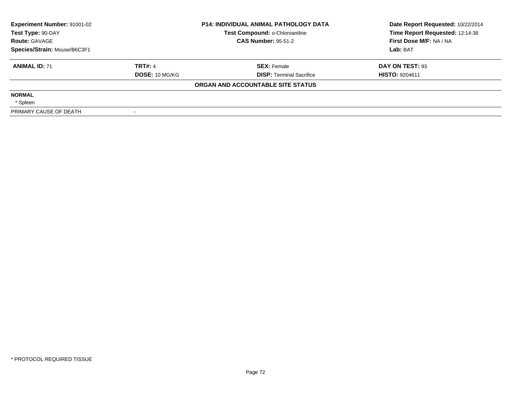| Experiment Number: 91001-02<br>Test Type: 90-DAY<br><b>Route: GAVAGE</b><br>Species/Strain: Mouse/B6C3F1 |                       | <b>P14: INDIVIDUAL ANIMAL PATHOLOGY DATA</b><br>Test Compound: o-Chloroaniline | Date Report Requested: 10/22/2014<br>Time Report Requested: 12:14:38 |
|----------------------------------------------------------------------------------------------------------|-----------------------|--------------------------------------------------------------------------------|----------------------------------------------------------------------|
|                                                                                                          |                       | <b>CAS Number: 95-51-2</b>                                                     | First Dose M/F: NA / NA                                              |
|                                                                                                          |                       |                                                                                | Lab: BAT                                                             |
| <b>ANIMAL ID: 71</b>                                                                                     | <b>TRT#: 4</b>        | <b>SEX: Female</b>                                                             | DAY ON TEST: 93                                                      |
|                                                                                                          | <b>DOSE: 10 MG/KG</b> | <b>DISP:</b> Terminal Sacrifice                                                | <b>HISTO: 9204611</b>                                                |
|                                                                                                          |                       | ORGAN AND ACCOUNTABLE SITE STATUS                                              |                                                                      |
| <b>NORMAL</b>                                                                                            |                       |                                                                                |                                                                      |
| * Spleen                                                                                                 |                       |                                                                                |                                                                      |
| PRIMARY CAUSE OF DEATH                                                                                   |                       |                                                                                |                                                                      |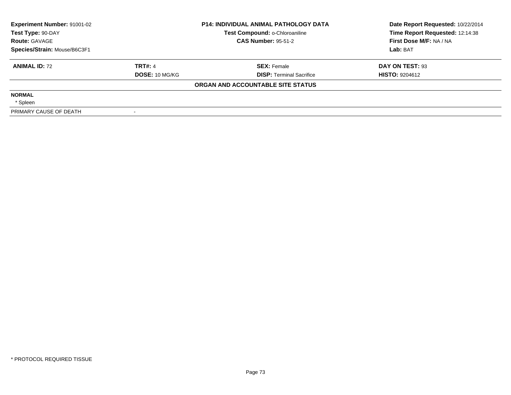| <b>Experiment Number: 91001-02</b><br>Test Type: 90-DAY |                       | <b>P14: INDIVIDUAL ANIMAL PATHOLOGY DATA</b><br>Test Compound: o-Chloroaniline | Date Report Requested: 10/22/2014<br>Time Report Requested: 12:14:38 |
|---------------------------------------------------------|-----------------------|--------------------------------------------------------------------------------|----------------------------------------------------------------------|
| <b>Route: GAVAGE</b>                                    |                       | <b>CAS Number: 95-51-2</b>                                                     | First Dose M/F: NA / NA                                              |
| Species/Strain: Mouse/B6C3F1                            |                       |                                                                                | Lab: BAT                                                             |
| <b>ANIMAL ID: 72</b>                                    | <b>TRT#: 4</b>        | <b>SEX: Female</b>                                                             | DAY ON TEST: 93                                                      |
|                                                         | <b>DOSE: 10 MG/KG</b> | <b>DISP:</b> Terminal Sacrifice                                                | <b>HISTO: 9204612</b>                                                |
|                                                         |                       | ORGAN AND ACCOUNTABLE SITE STATUS                                              |                                                                      |
| <b>NORMAL</b>                                           |                       |                                                                                |                                                                      |
| * Spleen                                                |                       |                                                                                |                                                                      |
| PRIMARY CAUSE OF DEATH                                  |                       |                                                                                |                                                                      |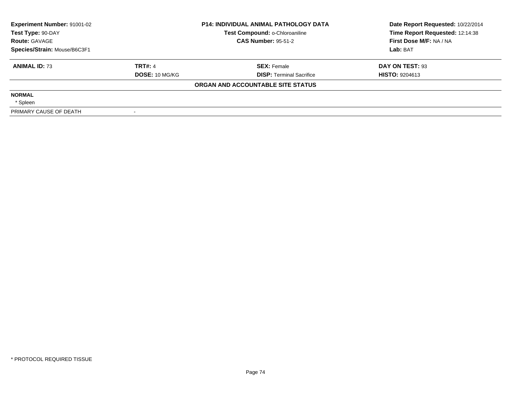| <b>Experiment Number: 91001-02</b><br>Test Type: 90-DAY |                       | <b>P14: INDIVIDUAL ANIMAL PATHOLOGY DATA</b><br>Test Compound: o-Chloroaniline | Date Report Requested: 10/22/2014<br>Time Report Requested: 12:14:38 |
|---------------------------------------------------------|-----------------------|--------------------------------------------------------------------------------|----------------------------------------------------------------------|
| <b>Route: GAVAGE</b>                                    |                       | <b>CAS Number: 95-51-2</b>                                                     | First Dose M/F: NA / NA                                              |
| Species/Strain: Mouse/B6C3F1                            |                       |                                                                                | Lab: BAT                                                             |
| <b>ANIMAL ID: 73</b>                                    | <b>TRT#: 4</b>        | <b>SEX: Female</b>                                                             | DAY ON TEST: 93                                                      |
|                                                         | <b>DOSE: 10 MG/KG</b> | <b>DISP:</b> Terminal Sacrifice                                                | <b>HISTO: 9204613</b>                                                |
|                                                         |                       | ORGAN AND ACCOUNTABLE SITE STATUS                                              |                                                                      |
| <b>NORMAL</b>                                           |                       |                                                                                |                                                                      |
| * Spleen                                                |                       |                                                                                |                                                                      |
| PRIMARY CAUSE OF DEATH                                  |                       |                                                                                |                                                                      |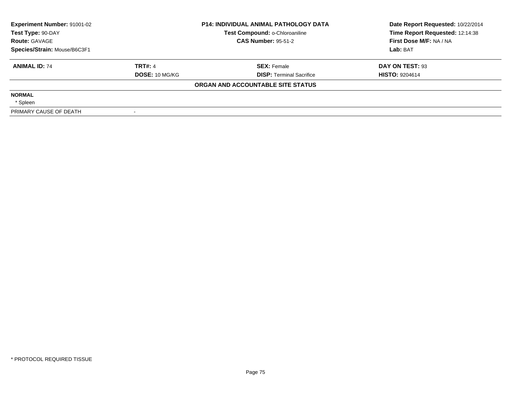| Experiment Number: 91001-02<br>Test Type: 90-DAY |                | <b>P14: INDIVIDUAL ANIMAL PATHOLOGY DATA</b><br>Test Compound: o-Chloroaniline | Date Report Requested: 10/22/2014<br>Time Report Requested: 12:14:38 |
|--------------------------------------------------|----------------|--------------------------------------------------------------------------------|----------------------------------------------------------------------|
| <b>Route: GAVAGE</b>                             |                | <b>CAS Number: 95-51-2</b>                                                     | First Dose M/F: NA / NA                                              |
| Species/Strain: Mouse/B6C3F1                     |                |                                                                                | Lab: BAT                                                             |
| <b>ANIMAL ID: 74</b>                             | <b>TRT#: 4</b> | <b>SEX: Female</b>                                                             | DAY ON TEST: 93                                                      |
|                                                  | DOSE: 10 MG/KG | <b>DISP:</b> Terminal Sacrifice                                                | <b>HISTO: 9204614</b>                                                |
|                                                  |                | ORGAN AND ACCOUNTABLE SITE STATUS                                              |                                                                      |
| <b>NORMAL</b>                                    |                |                                                                                |                                                                      |
| * Spleen                                         |                |                                                                                |                                                                      |
| PRIMARY CAUSE OF DEATH                           |                |                                                                                |                                                                      |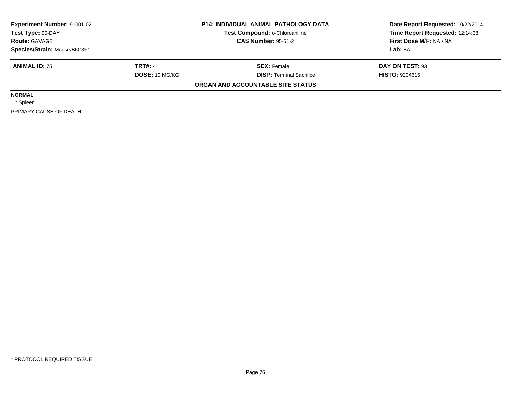| <b>Experiment Number: 91001-02</b><br>Test Type: 90-DAY |                       | <b>P14: INDIVIDUAL ANIMAL PATHOLOGY DATA</b><br>Test Compound: o-Chloroaniline | Date Report Requested: 10/22/2014<br>Time Report Requested: 12:14:38 |
|---------------------------------------------------------|-----------------------|--------------------------------------------------------------------------------|----------------------------------------------------------------------|
| <b>Route: GAVAGE</b>                                    |                       | <b>CAS Number: 95-51-2</b>                                                     | First Dose M/F: NA / NA                                              |
| Species/Strain: Mouse/B6C3F1                            |                       |                                                                                | Lab: BAT                                                             |
| <b>ANIMAL ID: 75</b>                                    | <b>TRT#: 4</b>        | <b>SEX: Female</b>                                                             | DAY ON TEST: 93                                                      |
|                                                         | <b>DOSE: 10 MG/KG</b> | <b>DISP:</b> Terminal Sacrifice                                                | <b>HISTO: 9204615</b>                                                |
|                                                         |                       | ORGAN AND ACCOUNTABLE SITE STATUS                                              |                                                                      |
| <b>NORMAL</b>                                           |                       |                                                                                |                                                                      |
| * Spleen                                                |                       |                                                                                |                                                                      |
| PRIMARY CAUSE OF DEATH                                  |                       |                                                                                |                                                                      |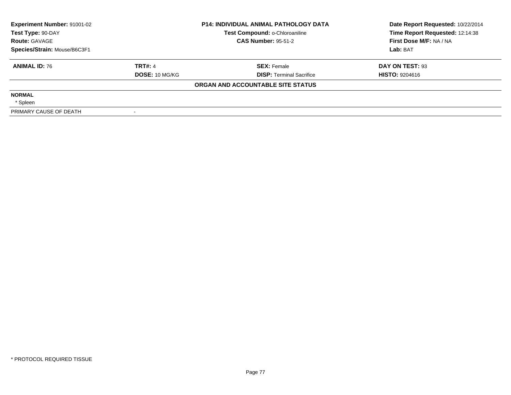| <b>Experiment Number: 91001-02</b><br>Test Type: 90-DAY |                       | <b>P14: INDIVIDUAL ANIMAL PATHOLOGY DATA</b><br>Test Compound: o-Chloroaniline | Date Report Requested: 10/22/2014<br>Time Report Requested: 12:14:38 |
|---------------------------------------------------------|-----------------------|--------------------------------------------------------------------------------|----------------------------------------------------------------------|
| <b>Route: GAVAGE</b>                                    |                       | <b>CAS Number: 95-51-2</b>                                                     | First Dose M/F: NA / NA                                              |
| Species/Strain: Mouse/B6C3F1                            |                       |                                                                                | Lab: BAT                                                             |
| <b>ANIMAL ID: 76</b>                                    | <b>TRT#: 4</b>        | <b>SEX: Female</b>                                                             | DAY ON TEST: 93                                                      |
|                                                         | <b>DOSE: 10 MG/KG</b> | <b>DISP:</b> Terminal Sacrifice                                                | <b>HISTO: 9204616</b>                                                |
|                                                         |                       | ORGAN AND ACCOUNTABLE SITE STATUS                                              |                                                                      |
| <b>NORMAL</b>                                           |                       |                                                                                |                                                                      |
| * Spleen                                                |                       |                                                                                |                                                                      |
| PRIMARY CAUSE OF DEATH                                  |                       |                                                                                |                                                                      |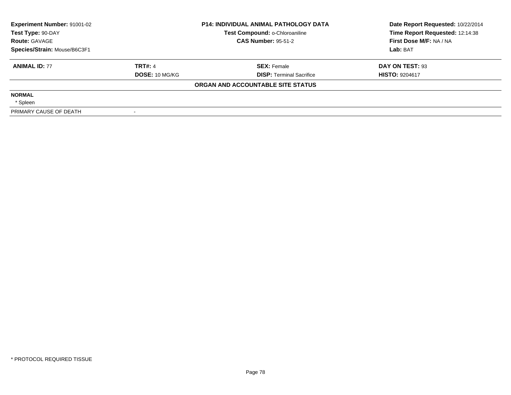| Experiment Number: 91001-02<br>Test Type: 90-DAY |                | <b>P14: INDIVIDUAL ANIMAL PATHOLOGY DATA</b><br>Test Compound: o-Chloroaniline | Date Report Requested: 10/22/2014<br>Time Report Requested: 12:14:38 |
|--------------------------------------------------|----------------|--------------------------------------------------------------------------------|----------------------------------------------------------------------|
| <b>Route: GAVAGE</b>                             |                | <b>CAS Number: 95-51-2</b>                                                     | First Dose M/F: NA / NA                                              |
| Species/Strain: Mouse/B6C3F1                     |                |                                                                                | Lab: BAT                                                             |
| <b>ANIMAL ID: 77</b>                             | <b>TRT#: 4</b> | <b>SEX: Female</b>                                                             | DAY ON TEST: 93                                                      |
|                                                  | DOSE: 10 MG/KG | <b>DISP:</b> Terminal Sacrifice                                                | <b>HISTO: 9204617</b>                                                |
|                                                  |                | ORGAN AND ACCOUNTABLE SITE STATUS                                              |                                                                      |
| <b>NORMAL</b>                                    |                |                                                                                |                                                                      |
| * Spleen                                         |                |                                                                                |                                                                      |
| PRIMARY CAUSE OF DEATH                           |                |                                                                                |                                                                      |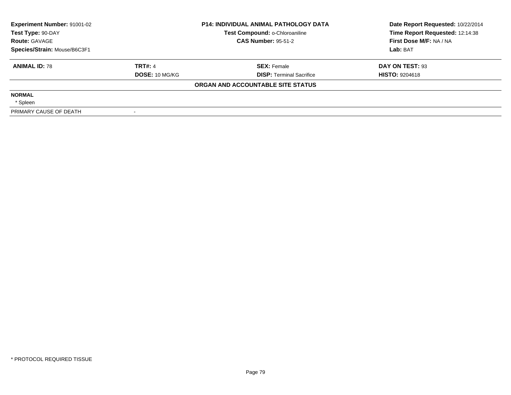| <b>Experiment Number: 91001-02</b><br>Test Type: 90-DAY |                       | <b>P14: INDIVIDUAL ANIMAL PATHOLOGY DATA</b><br>Test Compound: o-Chloroaniline | Date Report Requested: 10/22/2014<br>Time Report Requested: 12:14:38 |
|---------------------------------------------------------|-----------------------|--------------------------------------------------------------------------------|----------------------------------------------------------------------|
| <b>Route: GAVAGE</b>                                    |                       | <b>CAS Number: 95-51-2</b>                                                     | First Dose M/F: NA / NA                                              |
| Species/Strain: Mouse/B6C3F1                            |                       |                                                                                | Lab: BAT                                                             |
| <b>ANIMAL ID: 78</b>                                    | <b>TRT#: 4</b>        | <b>SEX: Female</b>                                                             | DAY ON TEST: 93                                                      |
|                                                         | <b>DOSE: 10 MG/KG</b> | <b>DISP:</b> Terminal Sacrifice                                                | <b>HISTO: 9204618</b>                                                |
|                                                         |                       | ORGAN AND ACCOUNTABLE SITE STATUS                                              |                                                                      |
| <b>NORMAL</b>                                           |                       |                                                                                |                                                                      |
| * Spleen                                                |                       |                                                                                |                                                                      |
| PRIMARY CAUSE OF DEATH                                  |                       |                                                                                |                                                                      |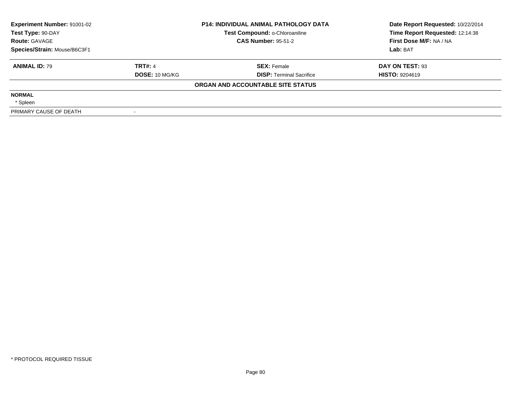| <b>Experiment Number: 91001-02</b><br>Test Type: 90-DAY |                       | <b>P14: INDIVIDUAL ANIMAL PATHOLOGY DATA</b><br>Test Compound: o-Chloroaniline | Date Report Requested: 10/22/2014<br>Time Report Requested: 12:14:38 |
|---------------------------------------------------------|-----------------------|--------------------------------------------------------------------------------|----------------------------------------------------------------------|
| <b>Route: GAVAGE</b>                                    |                       | <b>CAS Number: 95-51-2</b>                                                     | First Dose M/F: NA / NA                                              |
| Species/Strain: Mouse/B6C3F1                            |                       |                                                                                | Lab: BAT                                                             |
| <b>ANIMAL ID: 79</b>                                    | <b>TRT#: 4</b>        | <b>SEX: Female</b>                                                             | DAY ON TEST: 93                                                      |
|                                                         | <b>DOSE: 10 MG/KG</b> | <b>DISP:</b> Terminal Sacrifice                                                | <b>HISTO: 9204619</b>                                                |
|                                                         |                       | ORGAN AND ACCOUNTABLE SITE STATUS                                              |                                                                      |
| <b>NORMAL</b>                                           |                       |                                                                                |                                                                      |
| * Spleen                                                |                       |                                                                                |                                                                      |
| PRIMARY CAUSE OF DEATH                                  |                       |                                                                                |                                                                      |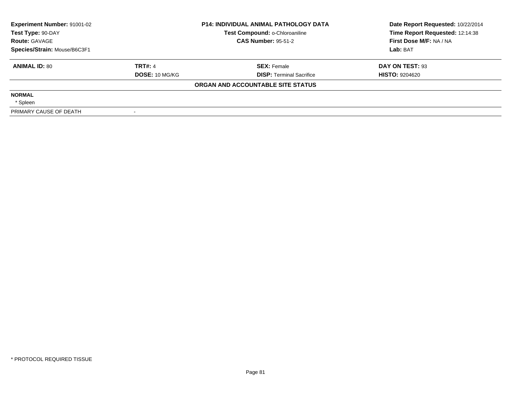| <b>Experiment Number: 91001-02</b><br>Test Type: 90-DAY |                       | <b>P14: INDIVIDUAL ANIMAL PATHOLOGY DATA</b><br>Test Compound: o-Chloroaniline | Date Report Requested: 10/22/2014<br>Time Report Requested: 12:14:38 |
|---------------------------------------------------------|-----------------------|--------------------------------------------------------------------------------|----------------------------------------------------------------------|
| <b>Route: GAVAGE</b>                                    |                       | <b>CAS Number: 95-51-2</b>                                                     | First Dose M/F: NA / NA                                              |
| Species/Strain: Mouse/B6C3F1                            |                       |                                                                                | Lab: BAT                                                             |
| <b>ANIMAL ID: 80</b>                                    | <b>TRT#: 4</b>        | <b>SEX: Female</b>                                                             | DAY ON TEST: 93                                                      |
|                                                         | <b>DOSE: 10 MG/KG</b> | <b>DISP:</b> Terminal Sacrifice                                                | <b>HISTO: 9204620</b>                                                |
|                                                         |                       | ORGAN AND ACCOUNTABLE SITE STATUS                                              |                                                                      |
| <b>NORMAL</b>                                           |                       |                                                                                |                                                                      |
| * Spleen                                                |                       |                                                                                |                                                                      |
| PRIMARY CAUSE OF DEATH                                  |                       |                                                                                |                                                                      |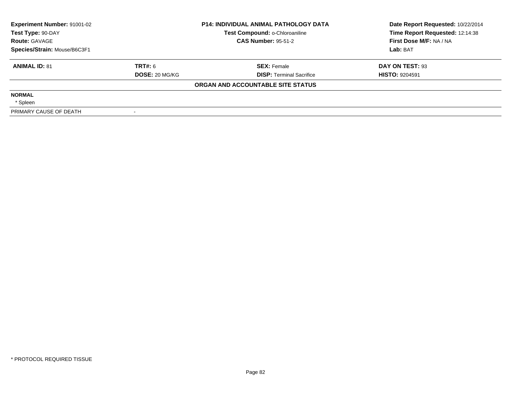| Experiment Number: 91001-02<br>Test Type: 90-DAY |                       | <b>P14: INDIVIDUAL ANIMAL PATHOLOGY DATA</b><br>Test Compound: o-Chloroaniline | Date Report Requested: 10/22/2014<br>Time Report Requested: 12:14:38 |
|--------------------------------------------------|-----------------------|--------------------------------------------------------------------------------|----------------------------------------------------------------------|
| <b>Route: GAVAGE</b>                             |                       | <b>CAS Number: 95-51-2</b>                                                     | First Dose M/F: NA / NA                                              |
| Species/Strain: Mouse/B6C3F1                     |                       |                                                                                | Lab: BAT                                                             |
| <b>ANIMAL ID: 81</b>                             | TRT#: 6               | <b>SEX: Female</b>                                                             | DAY ON TEST: 93                                                      |
|                                                  | <b>DOSE: 20 MG/KG</b> | <b>DISP:</b> Terminal Sacrifice                                                | <b>HISTO: 9204591</b>                                                |
|                                                  |                       | ORGAN AND ACCOUNTABLE SITE STATUS                                              |                                                                      |
| <b>NORMAL</b>                                    |                       |                                                                                |                                                                      |
| * Spleen                                         |                       |                                                                                |                                                                      |
| PRIMARY CAUSE OF DEATH                           |                       |                                                                                |                                                                      |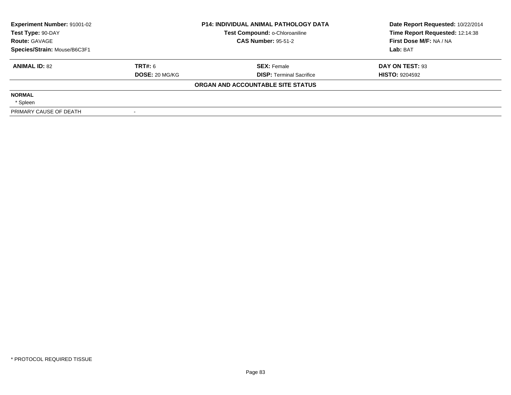| Experiment Number: 91001-02<br>Test Type: 90-DAY |                       | <b>P14: INDIVIDUAL ANIMAL PATHOLOGY DATA</b><br>Test Compound: o-Chloroaniline | Date Report Requested: 10/22/2014<br>Time Report Requested: 12:14:38 |
|--------------------------------------------------|-----------------------|--------------------------------------------------------------------------------|----------------------------------------------------------------------|
| <b>Route: GAVAGE</b>                             |                       | <b>CAS Number: 95-51-2</b>                                                     | First Dose M/F: NA / NA                                              |
| Species/Strain: Mouse/B6C3F1                     |                       |                                                                                | Lab: BAT                                                             |
| <b>ANIMAL ID: 82</b>                             | TRT#: 6               | <b>SEX: Female</b>                                                             | DAY ON TEST: 93                                                      |
|                                                  | <b>DOSE: 20 MG/KG</b> | <b>DISP:</b> Terminal Sacrifice                                                | <b>HISTO: 9204592</b>                                                |
|                                                  |                       | ORGAN AND ACCOUNTABLE SITE STATUS                                              |                                                                      |
| <b>NORMAL</b>                                    |                       |                                                                                |                                                                      |
| * Spleen                                         |                       |                                                                                |                                                                      |
| PRIMARY CAUSE OF DEATH                           |                       |                                                                                |                                                                      |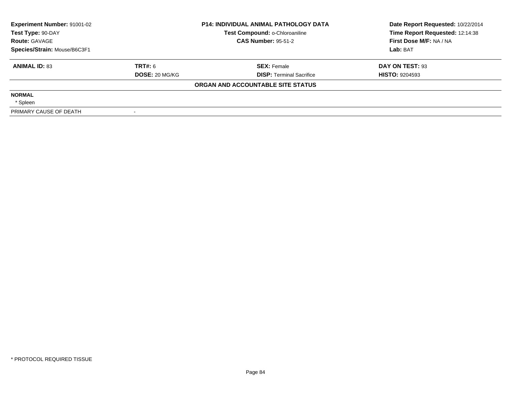| <b>Experiment Number: 91001-02</b><br>Test Type: 90-DAY |                       | <b>P14: INDIVIDUAL ANIMAL PATHOLOGY DATA</b><br>Test Compound: o-Chloroaniline | Date Report Requested: 10/22/2014<br>Time Report Requested: 12:14:38 |
|---------------------------------------------------------|-----------------------|--------------------------------------------------------------------------------|----------------------------------------------------------------------|
| <b>Route: GAVAGE</b>                                    |                       | <b>CAS Number: 95-51-2</b>                                                     | First Dose M/F: NA / NA                                              |
| Species/Strain: Mouse/B6C3F1                            |                       |                                                                                | Lab: BAT                                                             |
| <b>ANIMAL ID: 83</b>                                    | <b>TRT#: 6</b>        | <b>SEX: Female</b>                                                             | DAY ON TEST: 93                                                      |
|                                                         | <b>DOSE: 20 MG/KG</b> | <b>DISP:</b> Terminal Sacrifice                                                | <b>HISTO: 9204593</b>                                                |
|                                                         |                       | ORGAN AND ACCOUNTABLE SITE STATUS                                              |                                                                      |
| <b>NORMAL</b>                                           |                       |                                                                                |                                                                      |
| * Spleen                                                |                       |                                                                                |                                                                      |
| PRIMARY CAUSE OF DEATH                                  |                       |                                                                                |                                                                      |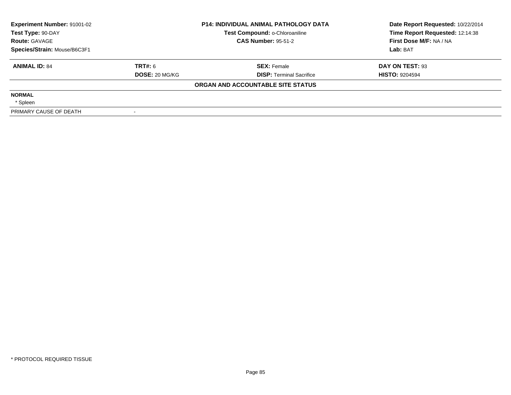| <b>Experiment Number: 91001-02</b><br>Test Type: 90-DAY<br><b>Route: GAVAGE</b> |                       | <b>P14: INDIVIDUAL ANIMAL PATHOLOGY DATA</b><br>Test Compound: o-Chloroaniline | Date Report Requested: 10/22/2014<br>Time Report Requested: 12:14:38 |  |
|---------------------------------------------------------------------------------|-----------------------|--------------------------------------------------------------------------------|----------------------------------------------------------------------|--|
|                                                                                 |                       | <b>CAS Number: 95-51-2</b>                                                     | First Dose M/F: NA / NA                                              |  |
| Species/Strain: Mouse/B6C3F1                                                    |                       |                                                                                | Lab: BAT                                                             |  |
| <b>ANIMAL ID: 84</b>                                                            | <b>TRT#: 6</b>        | <b>SEX: Female</b>                                                             | DAY ON TEST: 93                                                      |  |
|                                                                                 | <b>DOSE: 20 MG/KG</b> | <b>DISP:</b> Terminal Sacrifice                                                | <b>HISTO: 9204594</b>                                                |  |
|                                                                                 |                       | ORGAN AND ACCOUNTABLE SITE STATUS                                              |                                                                      |  |
| <b>NORMAL</b>                                                                   |                       |                                                                                |                                                                      |  |
| * Spleen                                                                        |                       |                                                                                |                                                                      |  |
| PRIMARY CAUSE OF DEATH                                                          |                       |                                                                                |                                                                      |  |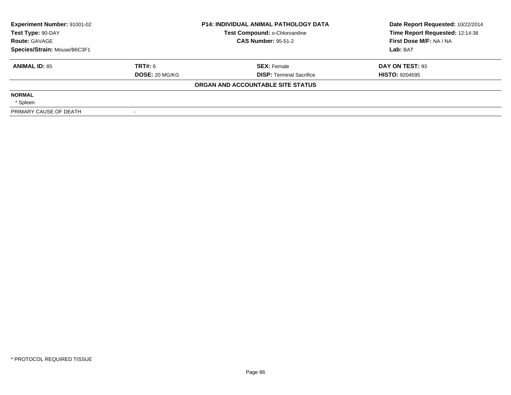| Experiment Number: 91001-02<br>Test Type: 90-DAY<br><b>Route: GAVAGE</b> |                       | <b>P14: INDIVIDUAL ANIMAL PATHOLOGY DATA</b><br>Test Compound: o-Chloroaniline | Date Report Requested: 10/22/2014<br>Time Report Requested: 12:14:38 |  |
|--------------------------------------------------------------------------|-----------------------|--------------------------------------------------------------------------------|----------------------------------------------------------------------|--|
|                                                                          |                       | <b>CAS Number: 95-51-2</b>                                                     | First Dose M/F: NA / NA                                              |  |
| Species/Strain: Mouse/B6C3F1                                             |                       |                                                                                | Lab: BAT                                                             |  |
| <b>ANIMAL ID: 85</b>                                                     | TRT#: 6               | <b>SEX: Female</b>                                                             | DAY ON TEST: 93                                                      |  |
|                                                                          | <b>DOSE: 20 MG/KG</b> | <b>DISP:</b> Terminal Sacrifice                                                | <b>HISTO: 9204595</b>                                                |  |
|                                                                          |                       | ORGAN AND ACCOUNTABLE SITE STATUS                                              |                                                                      |  |
| <b>NORMAL</b>                                                            |                       |                                                                                |                                                                      |  |
| * Spleen                                                                 |                       |                                                                                |                                                                      |  |
| PRIMARY CAUSE OF DEATH                                                   |                       |                                                                                |                                                                      |  |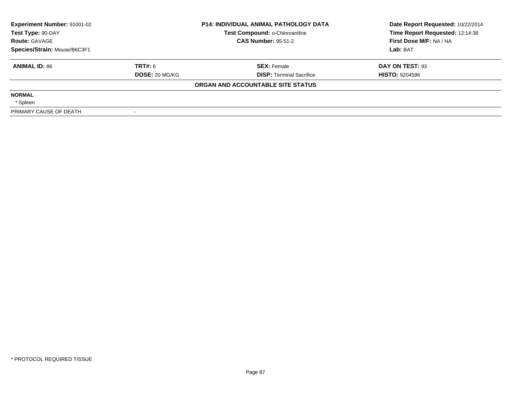| Experiment Number: 91001-02<br>Test Type: 90-DAY<br><b>Route: GAVAGE</b> |                       | <b>P14: INDIVIDUAL ANIMAL PATHOLOGY DATA</b><br>Test Compound: o-Chloroaniline | Date Report Requested: 10/22/2014<br>Time Report Requested: 12:14:38 |  |
|--------------------------------------------------------------------------|-----------------------|--------------------------------------------------------------------------------|----------------------------------------------------------------------|--|
|                                                                          |                       | <b>CAS Number: 95-51-2</b>                                                     | First Dose M/F: NA / NA                                              |  |
| Species/Strain: Mouse/B6C3F1                                             |                       |                                                                                | Lab: BAT                                                             |  |
| <b>ANIMAL ID: 86</b>                                                     | TRT#: 6               | <b>SEX: Female</b>                                                             | DAY ON TEST: 93                                                      |  |
|                                                                          | <b>DOSE: 20 MG/KG</b> | <b>DISP:</b> Terminal Sacrifice                                                | <b>HISTO: 9204596</b>                                                |  |
|                                                                          |                       | ORGAN AND ACCOUNTABLE SITE STATUS                                              |                                                                      |  |
| <b>NORMAL</b>                                                            |                       |                                                                                |                                                                      |  |
| * Spleen                                                                 |                       |                                                                                |                                                                      |  |
| PRIMARY CAUSE OF DEATH                                                   |                       |                                                                                |                                                                      |  |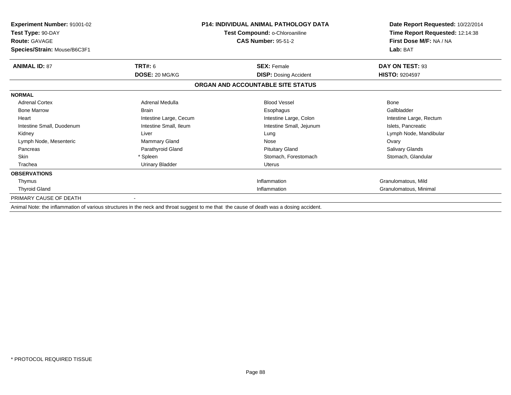| <b>Experiment Number: 91001-02</b><br>Test Type: 90-DAY                                                                                 | <b>P14: INDIVIDUAL ANIMAL PATHOLOGY DATA</b><br>Test Compound: o-Chloroaniline |                                   | Date Report Requested: 10/22/2014<br>Time Report Requested: 12:14:38<br>First Dose M/F: NA / NA |
|-----------------------------------------------------------------------------------------------------------------------------------------|--------------------------------------------------------------------------------|-----------------------------------|-------------------------------------------------------------------------------------------------|
| <b>Route: GAVAGE</b><br>Species/Strain: Mouse/B6C3F1                                                                                    |                                                                                | <b>CAS Number: 95-51-2</b>        |                                                                                                 |
| <b>ANIMAL ID: 87</b>                                                                                                                    | <b>TRT#: 6</b>                                                                 | <b>SEX: Female</b>                | DAY ON TEST: 93                                                                                 |
|                                                                                                                                         | DOSE: 20 MG/KG                                                                 | <b>DISP:</b> Dosing Accident      | <b>HISTO: 9204597</b>                                                                           |
|                                                                                                                                         |                                                                                | ORGAN AND ACCOUNTABLE SITE STATUS |                                                                                                 |
| <b>NORMAL</b>                                                                                                                           |                                                                                |                                   |                                                                                                 |
| <b>Adrenal Cortex</b>                                                                                                                   | Adrenal Medulla                                                                | <b>Blood Vessel</b>               | <b>Bone</b>                                                                                     |
| <b>Bone Marrow</b>                                                                                                                      | <b>Brain</b>                                                                   | Esophagus                         | Gallbladder                                                                                     |
| Heart                                                                                                                                   | Intestine Large, Cecum                                                         | Intestine Large, Colon            | Intestine Large, Rectum                                                                         |
| Intestine Small, Duodenum                                                                                                               | Intestine Small, Ileum                                                         | Intestine Small, Jejunum          | Islets, Pancreatic                                                                              |
| Kidney                                                                                                                                  | Liver                                                                          | Lung                              | Lymph Node, Mandibular                                                                          |
| Lymph Node, Mesenteric                                                                                                                  | Mammary Gland                                                                  | Nose                              | Ovary                                                                                           |
| Pancreas                                                                                                                                | Parathyroid Gland                                                              | <b>Pituitary Gland</b>            | Salivary Glands                                                                                 |
| <b>Skin</b>                                                                                                                             | * Spleen                                                                       | Stomach, Forestomach              | Stomach, Glandular                                                                              |
| Trachea                                                                                                                                 | Urinary Bladder                                                                | <b>Uterus</b>                     |                                                                                                 |
| <b>OBSERVATIONS</b>                                                                                                                     |                                                                                |                                   |                                                                                                 |
| Thymus                                                                                                                                  |                                                                                | Inflammation                      | Granulomatous, Mild                                                                             |
| <b>Thyroid Gland</b>                                                                                                                    |                                                                                | Inflammation                      | Granulomatous, Minimal                                                                          |
| PRIMARY CAUSE OF DEATH                                                                                                                  |                                                                                |                                   |                                                                                                 |
| Animal Note: the inflammation of various structures in the neck and throat suggest to me that the cause of death was a dosing accident. |                                                                                |                                   |                                                                                                 |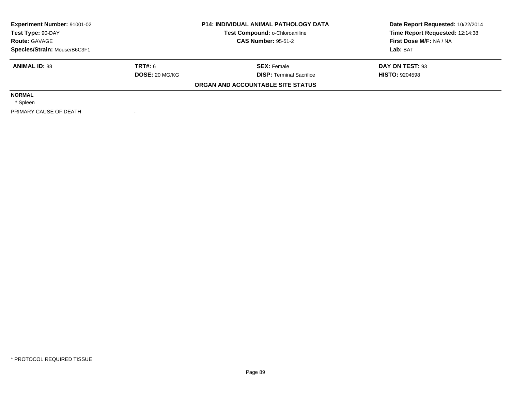| <b>Experiment Number: 91001-02</b><br>Test Type: 90-DAY<br><b>Route: GAVAGE</b> |                       | <b>P14: INDIVIDUAL ANIMAL PATHOLOGY DATA</b><br>Test Compound: o-Chloroaniline | Date Report Requested: 10/22/2014<br>Time Report Requested: 12:14:38 |  |
|---------------------------------------------------------------------------------|-----------------------|--------------------------------------------------------------------------------|----------------------------------------------------------------------|--|
|                                                                                 |                       | <b>CAS Number: 95-51-2</b>                                                     | First Dose M/F: NA / NA                                              |  |
| Species/Strain: Mouse/B6C3F1                                                    |                       |                                                                                | Lab: BAT                                                             |  |
| <b>ANIMAL ID: 88</b>                                                            | <b>TRT#: 6</b>        | <b>SEX: Female</b>                                                             | DAY ON TEST: 93                                                      |  |
|                                                                                 | <b>DOSE: 20 MG/KG</b> | <b>DISP:</b> Terminal Sacrifice                                                | <b>HISTO: 9204598</b>                                                |  |
|                                                                                 |                       | ORGAN AND ACCOUNTABLE SITE STATUS                                              |                                                                      |  |
| <b>NORMAL</b>                                                                   |                       |                                                                                |                                                                      |  |
| * Spleen                                                                        |                       |                                                                                |                                                                      |  |
| PRIMARY CAUSE OF DEATH                                                          |                       |                                                                                |                                                                      |  |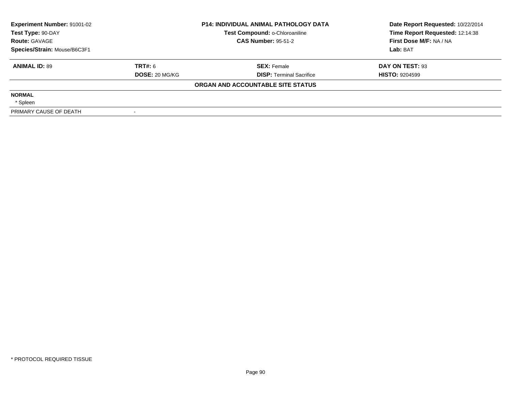| Experiment Number: 91001-02  | <b>P14: INDIVIDUAL ANIMAL PATHOLOGY DATA</b> |                                   | Date Report Requested: 10/22/2014 |  |
|------------------------------|----------------------------------------------|-----------------------------------|-----------------------------------|--|
| Test Type: 90-DAY            |                                              | Test Compound: o-Chloroaniline    | Time Report Requested: 12:14:38   |  |
| <b>Route: GAVAGE</b>         |                                              | <b>CAS Number: 95-51-2</b>        | First Dose M/F: NA / NA           |  |
| Species/Strain: Mouse/B6C3F1 |                                              |                                   | Lab: BAT                          |  |
| <b>ANIMAL ID: 89</b>         | <b>TRT#: 6</b>                               | <b>SEX:</b> Female                | DAY ON TEST: 93                   |  |
|                              | DOSE: 20 MG/KG                               | <b>DISP:</b> Terminal Sacrifice   | <b>HISTO: 9204599</b>             |  |
|                              |                                              | ORGAN AND ACCOUNTABLE SITE STATUS |                                   |  |
| <b>NORMAL</b>                |                                              |                                   |                                   |  |
| * Spleen                     |                                              |                                   |                                   |  |
| PRIMARY CAUSE OF DEATH       |                                              |                                   |                                   |  |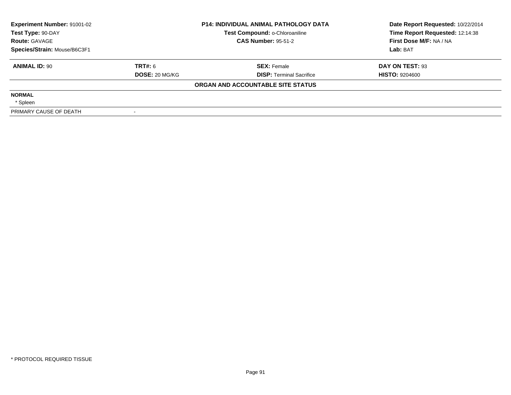| Experiment Number: 91001-02<br>Test Type: 90-DAY<br><b>Route: GAVAGE</b> |                       | <b>P14: INDIVIDUAL ANIMAL PATHOLOGY DATA</b><br>Test Compound: o-Chloroaniline | Date Report Requested: 10/22/2014<br>Time Report Requested: 12:14:38 |  |
|--------------------------------------------------------------------------|-----------------------|--------------------------------------------------------------------------------|----------------------------------------------------------------------|--|
|                                                                          |                       | <b>CAS Number: 95-51-2</b>                                                     | First Dose M/F: NA / NA                                              |  |
| Species/Strain: Mouse/B6C3F1                                             |                       |                                                                                | Lab: BAT                                                             |  |
| <b>ANIMAL ID: 90</b>                                                     | TRT#: 6               | <b>SEX: Female</b>                                                             | DAY ON TEST: 93                                                      |  |
|                                                                          | <b>DOSE: 20 MG/KG</b> | <b>DISP:</b> Terminal Sacrifice                                                | <b>HISTO: 9204600</b>                                                |  |
|                                                                          |                       | ORGAN AND ACCOUNTABLE SITE STATUS                                              |                                                                      |  |
| <b>NORMAL</b>                                                            |                       |                                                                                |                                                                      |  |
| * Spleen                                                                 |                       |                                                                                |                                                                      |  |
| PRIMARY CAUSE OF DEATH                                                   |                       |                                                                                |                                                                      |  |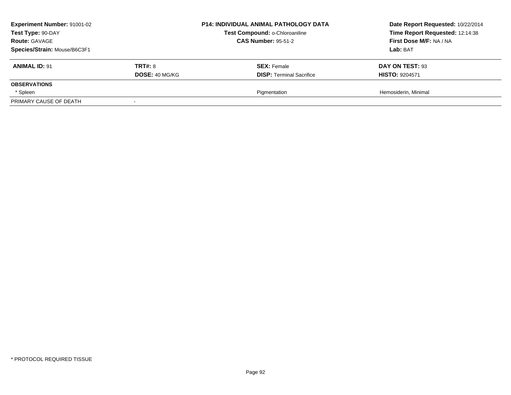| <b>Experiment Number: 91001-02</b><br>Test Type: 90-DAY<br><b>Route: GAVAGE</b><br>Species/Strain: Mouse/B6C3F1 |                                         | <b>P14: INDIVIDUAL ANIMAL PATHOLOGY DATA</b><br>Test Compound: o-Chloroaniline<br><b>CAS Number: 95-51-2</b> | Date Report Requested: 10/22/2014<br>Time Report Requested: 12:14:38<br>First Dose M/F: NA / NA<br>Lab: BAT |
|-----------------------------------------------------------------------------------------------------------------|-----------------------------------------|--------------------------------------------------------------------------------------------------------------|-------------------------------------------------------------------------------------------------------------|
| <b>ANIMAL ID: 91</b>                                                                                            | <b>TRT#: 8</b><br><b>DOSE: 40 MG/KG</b> | <b>SEX: Female</b><br><b>DISP:</b> Terminal Sacrifice                                                        | DAY ON TEST: 93<br><b>HISTO: 9204571</b>                                                                    |
| <b>OBSERVATIONS</b>                                                                                             |                                         |                                                                                                              |                                                                                                             |
| * Spleen                                                                                                        |                                         | Pigmentation                                                                                                 | Hemosiderin, Minimal                                                                                        |
| PRIMARY CAUSE OF DEATH                                                                                          |                                         |                                                                                                              |                                                                                                             |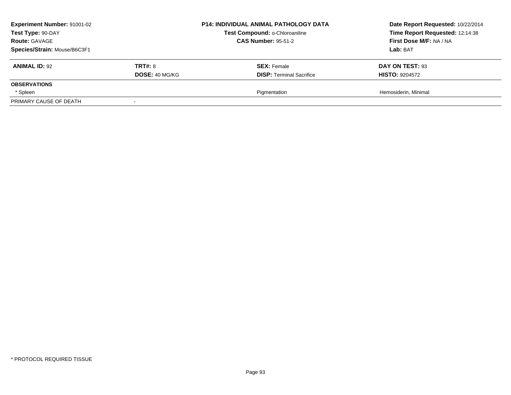| <b>Experiment Number: 91001-02</b><br>Test Type: 90-DAY<br><b>Route: GAVAGE</b><br>Species/Strain: Mouse/B6C3F1 |                                         | <b>P14: INDIVIDUAL ANIMAL PATHOLOGY DATA</b><br>Test Compound: o-Chloroaniline<br><b>CAS Number: 95-51-2</b> | Date Report Requested: 10/22/2014<br>Time Report Requested: 12:14:38<br>First Dose M/F: NA / NA<br>Lab: BAT |
|-----------------------------------------------------------------------------------------------------------------|-----------------------------------------|--------------------------------------------------------------------------------------------------------------|-------------------------------------------------------------------------------------------------------------|
| <b>ANIMAL ID: 92</b>                                                                                            | <b>TRT#: 8</b><br><b>DOSE: 40 MG/KG</b> | <b>SEX: Female</b><br><b>DISP:</b> Terminal Sacrifice                                                        | DAY ON TEST: 93<br><b>HISTO: 9204572</b>                                                                    |
| <b>OBSERVATIONS</b>                                                                                             |                                         |                                                                                                              |                                                                                                             |
| * Spleen                                                                                                        |                                         | Pigmentation                                                                                                 | Hemosiderin, Minimal                                                                                        |
| PRIMARY CAUSE OF DEATH                                                                                          |                                         |                                                                                                              |                                                                                                             |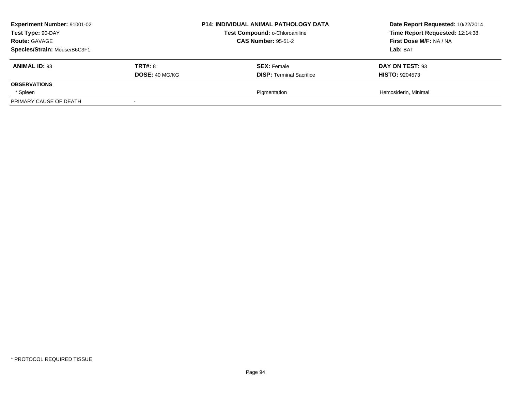| <b>Experiment Number: 91001-02</b><br>Test Type: 90-DAY<br><b>Route: GAVAGE</b><br>Species/Strain: Mouse/B6C3F1 |                                         | <b>P14: INDIVIDUAL ANIMAL PATHOLOGY DATA</b><br>Test Compound: o-Chloroaniline<br><b>CAS Number: 95-51-2</b> | Date Report Requested: 10/22/2014<br>Time Report Requested: 12:14:38<br>First Dose M/F: NA / NA<br>Lab: BAT |
|-----------------------------------------------------------------------------------------------------------------|-----------------------------------------|--------------------------------------------------------------------------------------------------------------|-------------------------------------------------------------------------------------------------------------|
| <b>ANIMAL ID: 93</b>                                                                                            | <b>TRT#: 8</b><br><b>DOSE: 40 MG/KG</b> | <b>SEX: Female</b><br><b>DISP:</b> Terminal Sacrifice                                                        | DAY ON TEST: 93<br><b>HISTO: 9204573</b>                                                                    |
| <b>OBSERVATIONS</b>                                                                                             |                                         |                                                                                                              |                                                                                                             |
| * Spleen                                                                                                        |                                         | Pigmentation                                                                                                 | Hemosiderin, Minimal                                                                                        |
| PRIMARY CAUSE OF DEATH                                                                                          |                                         |                                                                                                              |                                                                                                             |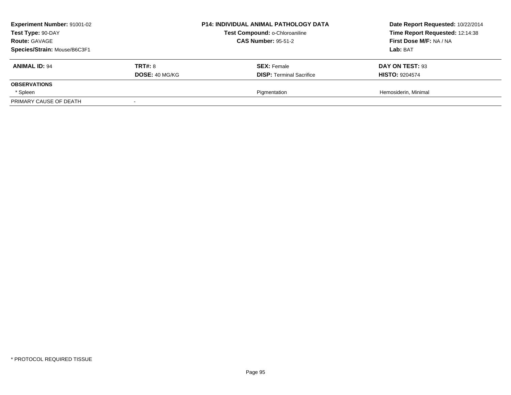| <b>Experiment Number: 91001-02</b><br>Test Type: 90-DAY<br><b>Route: GAVAGE</b><br>Species/Strain: Mouse/B6C3F1 |                                         | <b>P14: INDIVIDUAL ANIMAL PATHOLOGY DATA</b><br>Test Compound: o-Chloroaniline<br><b>CAS Number: 95-51-2</b> | Date Report Requested: 10/22/2014<br>Time Report Requested: 12:14:38<br>First Dose M/F: NA / NA<br>Lab: BAT |
|-----------------------------------------------------------------------------------------------------------------|-----------------------------------------|--------------------------------------------------------------------------------------------------------------|-------------------------------------------------------------------------------------------------------------|
| <b>ANIMAL ID: 94</b>                                                                                            | <b>TRT#: 8</b><br><b>DOSE: 40 MG/KG</b> | <b>SEX: Female</b><br><b>DISP:</b> Terminal Sacrifice                                                        | DAY ON TEST: 93<br><b>HISTO: 9204574</b>                                                                    |
| <b>OBSERVATIONS</b>                                                                                             |                                         |                                                                                                              |                                                                                                             |
| * Spleen                                                                                                        |                                         | Pigmentation                                                                                                 | Hemosiderin, Minimal                                                                                        |
| PRIMARY CAUSE OF DEATH                                                                                          |                                         |                                                                                                              |                                                                                                             |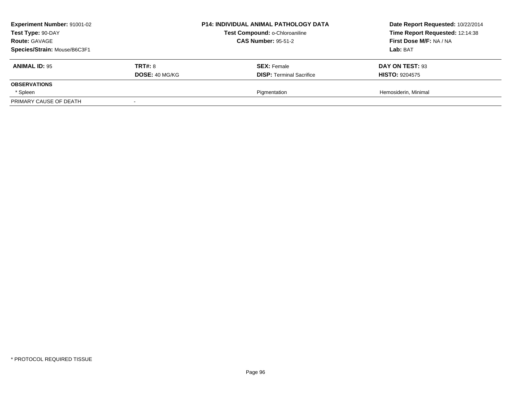| <b>Experiment Number: 91001-02</b><br>Test Type: 90-DAY<br><b>Route: GAVAGE</b><br>Species/Strain: Mouse/B6C3F1 |                                         | <b>P14: INDIVIDUAL ANIMAL PATHOLOGY DATA</b><br>Test Compound: o-Chloroaniline<br><b>CAS Number: 95-51-2</b> | Date Report Requested: 10/22/2014<br>Time Report Requested: 12:14:38<br>First Dose M/F: NA / NA<br>Lab: BAT |
|-----------------------------------------------------------------------------------------------------------------|-----------------------------------------|--------------------------------------------------------------------------------------------------------------|-------------------------------------------------------------------------------------------------------------|
| <b>ANIMAL ID: 95</b>                                                                                            | <b>TRT#: 8</b><br><b>DOSE: 40 MG/KG</b> | <b>SEX: Female</b><br><b>DISP:</b> Terminal Sacrifice                                                        | DAY ON TEST: 93<br><b>HISTO: 9204575</b>                                                                    |
| <b>OBSERVATIONS</b>                                                                                             |                                         |                                                                                                              |                                                                                                             |
| * Spleen                                                                                                        |                                         | Pigmentation                                                                                                 | Hemosiderin, Minimal                                                                                        |
| PRIMARY CAUSE OF DEATH                                                                                          |                                         |                                                                                                              |                                                                                                             |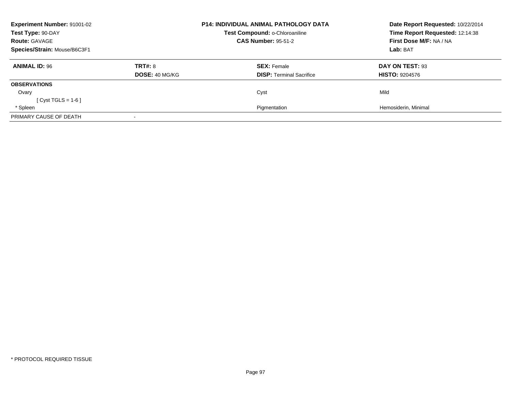| Experiment Number: 91001-02<br>Test Type: 90-DAY<br><b>Route: GAVAGE</b><br>Species/Strain: Mouse/B6C3F1 |                           | <b>P14: INDIVIDUAL ANIMAL PATHOLOGY DATA</b><br>Test Compound: o-Chloroaniline<br><b>CAS Number: 95-51-2</b> | Date Report Requested: 10/22/2014<br>Time Report Requested: 12:14:38<br>First Dose M/F: NA / NA<br>Lab: BAT |
|----------------------------------------------------------------------------------------------------------|---------------------------|--------------------------------------------------------------------------------------------------------------|-------------------------------------------------------------------------------------------------------------|
| <b>ANIMAL ID: 96</b>                                                                                     | TRT#: 8<br>DOSE: 40 MG/KG | <b>SEX: Female</b><br><b>DISP: Terminal Sacrifice</b>                                                        | DAY ON TEST: 93<br><b>HISTO: 9204576</b>                                                                    |
| <b>OBSERVATIONS</b>                                                                                      |                           |                                                                                                              |                                                                                                             |
| Ovary<br>$Cvst TGLS = 1-6$                                                                               |                           | Cyst                                                                                                         | Mild                                                                                                        |
| * Spleen                                                                                                 |                           | Pigmentation                                                                                                 | Hemosiderin, Minimal                                                                                        |
| PRIMARY CAUSE OF DEATH                                                                                   |                           |                                                                                                              |                                                                                                             |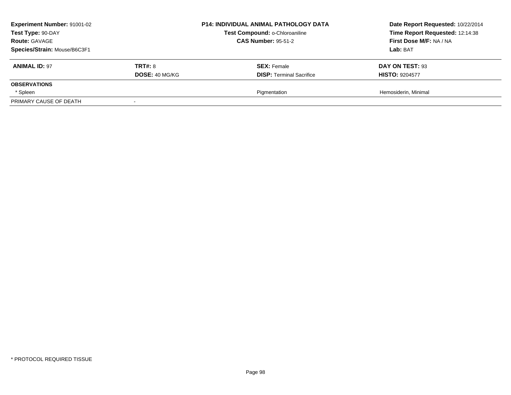| <b>Experiment Number: 91001-02</b><br>Test Type: 90-DAY<br><b>Route: GAVAGE</b><br>Species/Strain: Mouse/B6C3F1 |                                         | <b>P14: INDIVIDUAL ANIMAL PATHOLOGY DATA</b><br>Test Compound: o-Chloroaniline<br><b>CAS Number: 95-51-2</b> | Date Report Requested: 10/22/2014<br>Time Report Requested: 12:14:38<br>First Dose M/F: NA / NA<br>Lab: BAT |
|-----------------------------------------------------------------------------------------------------------------|-----------------------------------------|--------------------------------------------------------------------------------------------------------------|-------------------------------------------------------------------------------------------------------------|
| <b>ANIMAL ID: 97</b>                                                                                            | <b>TRT#: 8</b><br><b>DOSE: 40 MG/KG</b> | <b>SEX: Female</b><br><b>DISP:</b> Terminal Sacrifice                                                        | DAY ON TEST: 93<br><b>HISTO: 9204577</b>                                                                    |
| <b>OBSERVATIONS</b>                                                                                             |                                         |                                                                                                              |                                                                                                             |
| * Spleen                                                                                                        |                                         | Pigmentation                                                                                                 | Hemosiderin, Minimal                                                                                        |
| PRIMARY CAUSE OF DEATH                                                                                          |                                         |                                                                                                              |                                                                                                             |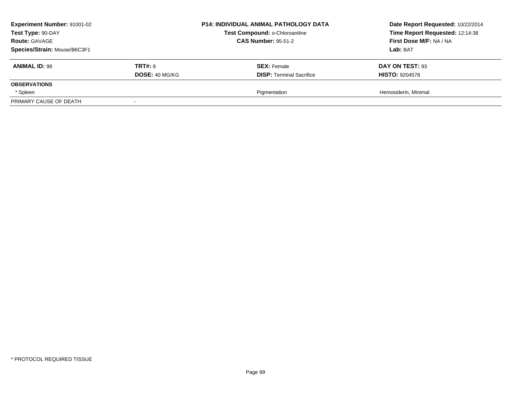| <b>Experiment Number: 91001-02</b><br>Test Type: 90-DAY<br><b>Route: GAVAGE</b><br>Species/Strain: Mouse/B6C3F1 |                                         | <b>P14: INDIVIDUAL ANIMAL PATHOLOGY DATA</b><br>Test Compound: o-Chloroaniline<br><b>CAS Number: 95-51-2</b> | Date Report Requested: 10/22/2014<br>Time Report Requested: 12:14:38<br>First Dose M/F: NA / NA<br>Lab: BAT |
|-----------------------------------------------------------------------------------------------------------------|-----------------------------------------|--------------------------------------------------------------------------------------------------------------|-------------------------------------------------------------------------------------------------------------|
| <b>ANIMAL ID: 98</b>                                                                                            | <b>TRT#: 8</b><br><b>DOSE: 40 MG/KG</b> | <b>SEX: Female</b><br><b>DISP:</b> Terminal Sacrifice                                                        | DAY ON TEST: 93<br><b>HISTO: 9204578</b>                                                                    |
| <b>OBSERVATIONS</b>                                                                                             |                                         |                                                                                                              |                                                                                                             |
| * Spleen                                                                                                        |                                         | Pigmentation                                                                                                 | Hemosiderin, Minimal                                                                                        |
| PRIMARY CAUSE OF DEATH                                                                                          |                                         |                                                                                                              |                                                                                                             |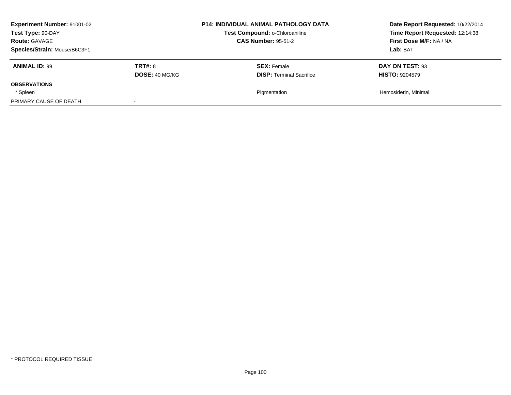| <b>Experiment Number: 91001-02</b><br>Test Type: 90-DAY<br><b>Route: GAVAGE</b><br>Species/Strain: Mouse/B6C3F1 |                                         | <b>P14: INDIVIDUAL ANIMAL PATHOLOGY DATA</b><br>Test Compound: o-Chloroaniline<br><b>CAS Number: 95-51-2</b> | Date Report Requested: 10/22/2014<br>Time Report Requested: 12:14:38<br>First Dose M/F: NA / NA<br>Lab: BAT |
|-----------------------------------------------------------------------------------------------------------------|-----------------------------------------|--------------------------------------------------------------------------------------------------------------|-------------------------------------------------------------------------------------------------------------|
| <b>ANIMAL ID: 99</b>                                                                                            | <b>TRT#: 8</b><br><b>DOSE: 40 MG/KG</b> | <b>SEX: Female</b><br><b>DISP:</b> Terminal Sacrifice                                                        | DAY ON TEST: 93<br><b>HISTO: 9204579</b>                                                                    |
| <b>OBSERVATIONS</b>                                                                                             |                                         |                                                                                                              |                                                                                                             |
| * Spleen                                                                                                        |                                         | Pigmentation                                                                                                 | Hemosiderin, Minimal                                                                                        |
| PRIMARY CAUSE OF DEATH                                                                                          |                                         |                                                                                                              |                                                                                                             |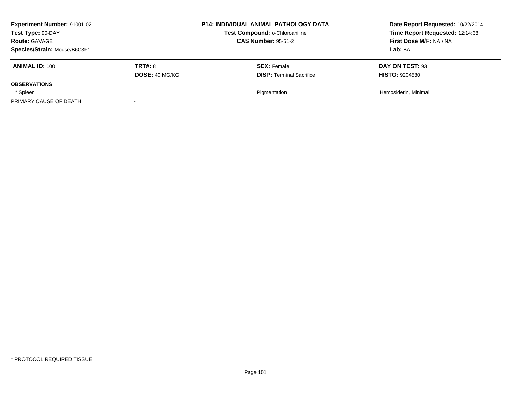| <b>Experiment Number: 91001-02</b><br>Test Type: 90-DAY<br><b>Route: GAVAGE</b><br>Species/Strain: Mouse/B6C3F1 |                                         | <b>P14: INDIVIDUAL ANIMAL PATHOLOGY DATA</b><br>Test Compound: o-Chloroaniline<br><b>CAS Number: 95-51-2</b> | Date Report Requested: 10/22/2014<br>Time Report Requested: 12:14:38<br>First Dose M/F: NA / NA<br>Lab: BAT |
|-----------------------------------------------------------------------------------------------------------------|-----------------------------------------|--------------------------------------------------------------------------------------------------------------|-------------------------------------------------------------------------------------------------------------|
| <b>ANIMAL ID: 100</b>                                                                                           | <b>TRT#: 8</b><br><b>DOSE: 40 MG/KG</b> | <b>SEX: Female</b><br><b>DISP:</b> Terminal Sacrifice                                                        | DAY ON TEST: 93<br><b>HISTO: 9204580</b>                                                                    |
| <b>OBSERVATIONS</b>                                                                                             |                                         |                                                                                                              |                                                                                                             |
| * Spleen                                                                                                        |                                         | Pigmentation                                                                                                 | Hemosiderin, Minimal                                                                                        |
| PRIMARY CAUSE OF DEATH                                                                                          |                                         |                                                                                                              |                                                                                                             |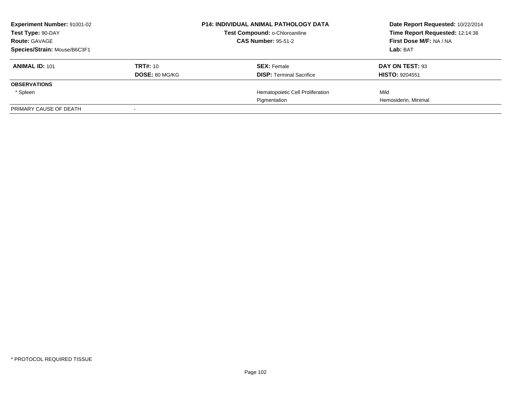| <b>Experiment Number: 91001-02</b><br>Test Type: 90-DAY<br><b>Route: GAVAGE</b> |                                   | <b>P14: INDIVIDUAL ANIMAL PATHOLOGY DATA</b><br>Test Compound: o-Chloroaniline<br><b>CAS Number: 95-51-2</b> | Date Report Requested: 10/22/2014<br>Time Report Requested: 12:14:38<br>First Dose M/F: NA / NA |
|---------------------------------------------------------------------------------|-----------------------------------|--------------------------------------------------------------------------------------------------------------|-------------------------------------------------------------------------------------------------|
| Species/Strain: Mouse/B6C3F1                                                    |                                   |                                                                                                              | Lab: BAT                                                                                        |
| <b>ANIMAL ID: 101</b>                                                           | TRT#: 10<br><b>DOSE: 80 MG/KG</b> | <b>SEX: Female</b><br><b>DISP:</b> Terminal Sacrifice                                                        | DAY ON TEST: 93<br><b>HISTO: 9204551</b>                                                        |
| <b>OBSERVATIONS</b>                                                             |                                   |                                                                                                              |                                                                                                 |
| * Spleen                                                                        |                                   | Hematopoietic Cell Proliferation                                                                             | Mild                                                                                            |
|                                                                                 |                                   | Pigmentation                                                                                                 | Hemosiderin, Minimal                                                                            |
| PRIMARY CAUSE OF DEATH                                                          |                                   |                                                                                                              |                                                                                                 |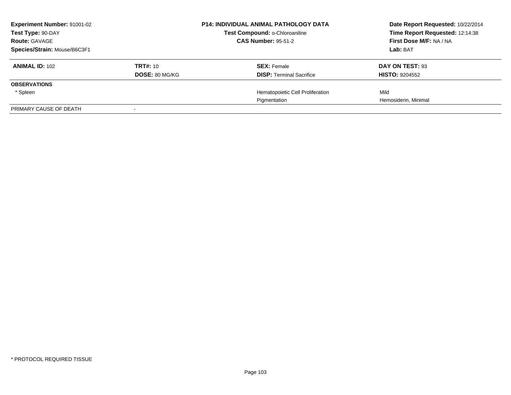| <b>Experiment Number: 91001-02</b><br>Test Type: 90-DAY |                       | <b>P14: INDIVIDUAL ANIMAL PATHOLOGY DATA</b><br>Test Compound: o-Chloroaniline | Date Report Requested: 10/22/2014<br>Time Report Requested: 12:14:38 |
|---------------------------------------------------------|-----------------------|--------------------------------------------------------------------------------|----------------------------------------------------------------------|
| <b>Route: GAVAGE</b>                                    |                       | <b>CAS Number: 95-51-2</b>                                                     | First Dose M/F: NA / NA                                              |
| Species/Strain: Mouse/B6C3F1                            |                       |                                                                                | Lab: BAT                                                             |
| <b>ANIMAL ID: 102</b>                                   | <b>TRT#: 10</b>       | <b>SEX: Female</b>                                                             | DAY ON TEST: 93                                                      |
|                                                         | <b>DOSE: 80 MG/KG</b> | <b>DISP:</b> Terminal Sacrifice                                                | <b>HISTO: 9204552</b>                                                |
| <b>OBSERVATIONS</b>                                     |                       |                                                                                |                                                                      |
| * Spleen                                                |                       | Hematopoietic Cell Proliferation                                               | Mild                                                                 |
|                                                         |                       | Pigmentation                                                                   | Hemosiderin, Minimal                                                 |
| PRIMARY CAUSE OF DEATH                                  |                       |                                                                                |                                                                      |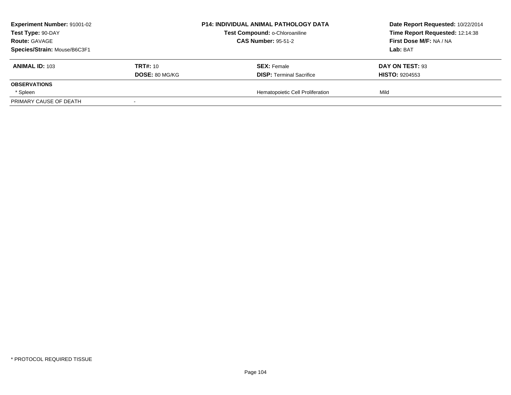| <b>Experiment Number: 91001-02</b> |                       | <b>P14: INDIVIDUAL ANIMAL PATHOLOGY DATA</b> | Date Report Requested: 10/22/2014 |
|------------------------------------|-----------------------|----------------------------------------------|-----------------------------------|
| Test Type: 90-DAY                  |                       | Test Compound: o-Chloroaniline               | Time Report Requested: 12:14:38   |
| <b>Route: GAVAGE</b>               |                       | <b>CAS Number: 95-51-2</b>                   | First Dose M/F: NA / NA           |
| Species/Strain: Mouse/B6C3F1       |                       |                                              | <b>Lab:</b> BAT                   |
| <b>ANIMAL ID: 103</b>              | <b>TRT#:</b> 10       | <b>SEX: Female</b>                           | DAY ON TEST: 93                   |
|                                    | <b>DOSE: 80 MG/KG</b> | <b>DISP: Terminal Sacrifice</b>              | <b>HISTO: 9204553</b>             |
| <b>OBSERVATIONS</b>                |                       |                                              |                                   |
| * Spleen                           |                       | Hematopoietic Cell Proliferation             | Mild                              |
| PRIMARY CAUSE OF DEATH             |                       |                                              |                                   |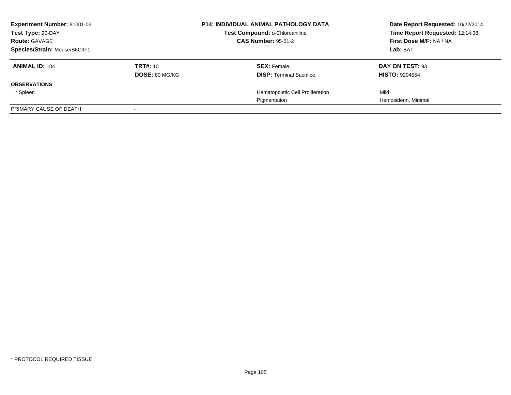| <b>Experiment Number: 91001-02</b><br>Test Type: 90-DAY<br><b>Route: GAVAGE</b> |                       | <b>P14: INDIVIDUAL ANIMAL PATHOLOGY DATA</b><br>Test Compound: o-Chloroaniline<br><b>CAS Number: 95-51-2</b> | Date Report Requested: 10/22/2014<br>Time Report Requested: 12:14:38<br>First Dose M/F: NA / NA |
|---------------------------------------------------------------------------------|-----------------------|--------------------------------------------------------------------------------------------------------------|-------------------------------------------------------------------------------------------------|
|                                                                                 |                       |                                                                                                              |                                                                                                 |
| Species/Strain: Mouse/B6C3F1                                                    |                       |                                                                                                              | Lab: BAT                                                                                        |
| <b>ANIMAL ID: 104</b>                                                           | TRT#: 10              | <b>SEX: Female</b>                                                                                           | DAY ON TEST: 93                                                                                 |
|                                                                                 | <b>DOSE: 80 MG/KG</b> | <b>DISP:</b> Terminal Sacrifice                                                                              | <b>HISTO: 9204554</b>                                                                           |
| <b>OBSERVATIONS</b>                                                             |                       |                                                                                                              |                                                                                                 |
| * Spleen                                                                        |                       | Hematopoietic Cell Proliferation                                                                             | Mild                                                                                            |
|                                                                                 |                       | Pigmentation                                                                                                 | Hemosiderin, Minimal                                                                            |
| PRIMARY CAUSE OF DEATH                                                          |                       |                                                                                                              |                                                                                                 |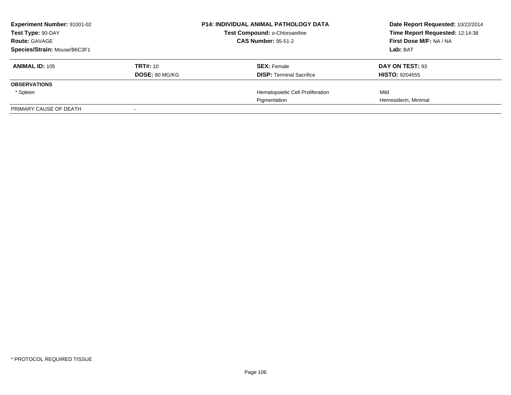| <b>Experiment Number: 91001-02</b><br>Test Type: 90-DAY |                       | <b>P14: INDIVIDUAL ANIMAL PATHOLOGY DATA</b><br>Test Compound: o-Chloroaniline | Date Report Requested: 10/22/2014<br>Time Report Requested: 12:14:38 |
|---------------------------------------------------------|-----------------------|--------------------------------------------------------------------------------|----------------------------------------------------------------------|
| <b>Route: GAVAGE</b>                                    |                       | <b>CAS Number: 95-51-2</b>                                                     | First Dose M/F: NA / NA                                              |
| Species/Strain: Mouse/B6C3F1                            |                       |                                                                                | Lab: BAT                                                             |
| <b>ANIMAL ID: 105</b>                                   | <b>TRT#: 10</b>       | <b>SEX: Female</b>                                                             | DAY ON TEST: 93                                                      |
|                                                         | <b>DOSE: 80 MG/KG</b> | <b>DISP:</b> Terminal Sacrifice                                                | <b>HISTO: 9204555</b>                                                |
| <b>OBSERVATIONS</b>                                     |                       |                                                                                |                                                                      |
| * Spleen                                                |                       | Hematopoietic Cell Proliferation                                               | Mild                                                                 |
|                                                         |                       | Pigmentation                                                                   | Hemosiderin, Minimal                                                 |
| PRIMARY CAUSE OF DEATH                                  |                       |                                                                                |                                                                      |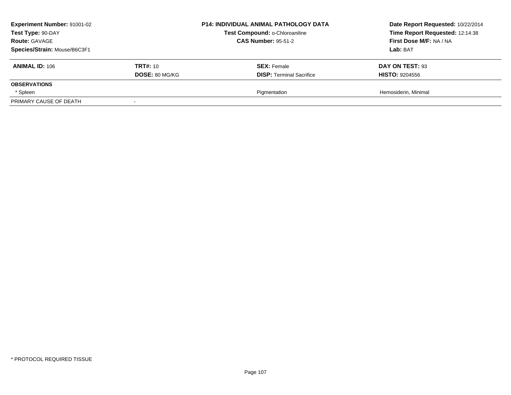| <b>Experiment Number: 91001-02</b><br>Test Type: 90-DAY<br><b>Route: GAVAGE</b><br>Species/Strain: Mouse/B6C3F1 |                                          | <b>P14: INDIVIDUAL ANIMAL PATHOLOGY DATA</b><br>Test Compound: o-Chloroaniline<br><b>CAS Number: 95-51-2</b> | Date Report Requested: 10/22/2014<br>Time Report Requested: 12:14:38<br>First Dose M/F: NA / NA<br>Lab: BAT |
|-----------------------------------------------------------------------------------------------------------------|------------------------------------------|--------------------------------------------------------------------------------------------------------------|-------------------------------------------------------------------------------------------------------------|
| <b>ANIMAL ID: 106</b>                                                                                           | <b>TRT#: 10</b><br><b>DOSE: 80 MG/KG</b> | <b>SEX: Female</b><br><b>DISP:</b> Terminal Sacrifice                                                        | DAY ON TEST: 93<br><b>HISTO: 9204556</b>                                                                    |
| <b>OBSERVATIONS</b>                                                                                             |                                          |                                                                                                              |                                                                                                             |
| * Spleen                                                                                                        |                                          | Pigmentation                                                                                                 | Hemosiderin, Minimal                                                                                        |
| PRIMARY CAUSE OF DEATH                                                                                          |                                          |                                                                                                              |                                                                                                             |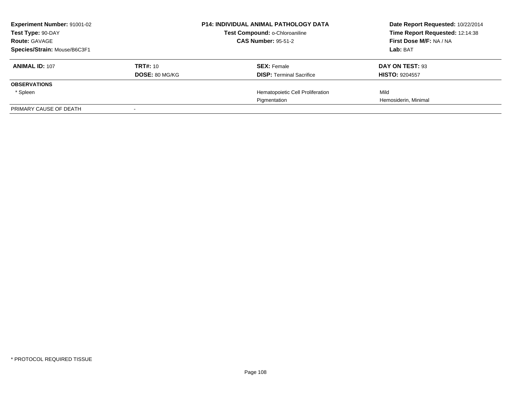| <b>Experiment Number: 91001-02</b><br>Test Type: 90-DAY |                       | <b>P14: INDIVIDUAL ANIMAL PATHOLOGY DATA</b><br>Test Compound: o-Chloroaniline | Date Report Requested: 10/22/2014<br>Time Report Requested: 12:14:38<br>First Dose M/F: NA / NA |
|---------------------------------------------------------|-----------------------|--------------------------------------------------------------------------------|-------------------------------------------------------------------------------------------------|
| <b>Route: GAVAGE</b>                                    |                       | <b>CAS Number: 95-51-2</b>                                                     |                                                                                                 |
| Species/Strain: Mouse/B6C3F1                            |                       |                                                                                | Lab: BAT                                                                                        |
| <b>ANIMAL ID: 107</b>                                   | TRT#: 10              | <b>SEX: Female</b>                                                             | DAY ON TEST: 93                                                                                 |
|                                                         | <b>DOSE: 80 MG/KG</b> | <b>DISP:</b> Terminal Sacrifice                                                | <b>HISTO: 9204557</b>                                                                           |
| <b>OBSERVATIONS</b>                                     |                       |                                                                                |                                                                                                 |
| * Spleen                                                |                       | Hematopoietic Cell Proliferation                                               | Mild                                                                                            |
|                                                         |                       | Pigmentation                                                                   | Hemosiderin, Minimal                                                                            |
| PRIMARY CAUSE OF DEATH                                  |                       |                                                                                |                                                                                                 |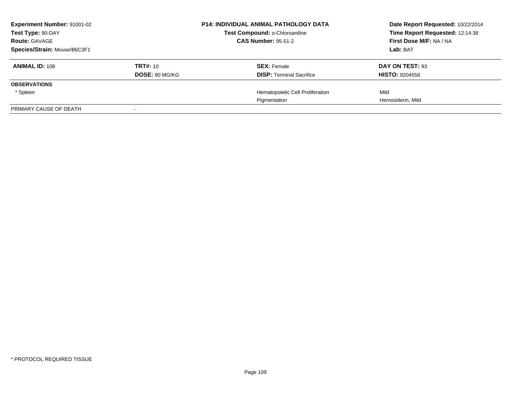| <b>Experiment Number: 91001-02</b><br>Test Type: 90-DAY<br><b>Route: GAVAGE</b> |                       | <b>P14: INDIVIDUAL ANIMAL PATHOLOGY DATA</b><br>Test Compound: o-Chloroaniline<br><b>CAS Number: 95-51-2</b> | Date Report Requested: 10/22/2014<br>Time Report Requested: 12:14:38<br>First Dose M/F: NA / NA |
|---------------------------------------------------------------------------------|-----------------------|--------------------------------------------------------------------------------------------------------------|-------------------------------------------------------------------------------------------------|
|                                                                                 |                       |                                                                                                              | Lab: BAT                                                                                        |
| Species/Strain: Mouse/B6C3F1                                                    |                       |                                                                                                              |                                                                                                 |
| <b>ANIMAL ID: 108</b>                                                           | TRT#: 10              | <b>SEX: Female</b>                                                                                           | DAY ON TEST: 93                                                                                 |
|                                                                                 | <b>DOSE: 80 MG/KG</b> | <b>DISP:</b> Terminal Sacrifice                                                                              | <b>HISTO: 9204558</b>                                                                           |
| <b>OBSERVATIONS</b>                                                             |                       |                                                                                                              |                                                                                                 |
| * Spleen                                                                        |                       | Hematopoietic Cell Proliferation                                                                             | Mild                                                                                            |
|                                                                                 |                       | Pigmentation                                                                                                 | Hemosiderin, Mild                                                                               |
| PRIMARY CAUSE OF DEATH                                                          |                       |                                                                                                              |                                                                                                 |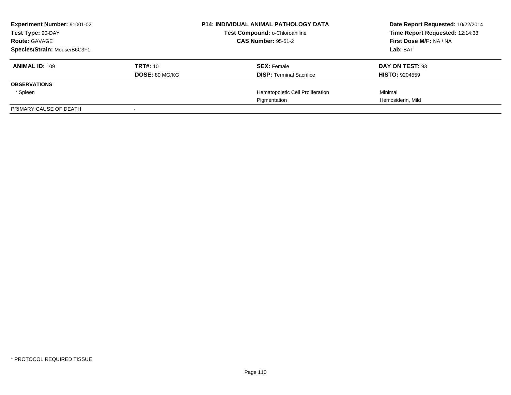| <b>Experiment Number: 91001-02</b><br>Test Type: 90-DAY |                       | <b>P14: INDIVIDUAL ANIMAL PATHOLOGY DATA</b><br>Test Compound: o-Chloroaniline<br><b>CAS Number: 95-51-2</b> | Date Report Requested: 10/22/2014<br>Time Report Requested: 12:14:38<br>First Dose M/F: NA / NA |
|---------------------------------------------------------|-----------------------|--------------------------------------------------------------------------------------------------------------|-------------------------------------------------------------------------------------------------|
| <b>Route: GAVAGE</b>                                    |                       |                                                                                                              | Lab: BAT                                                                                        |
| Species/Strain: Mouse/B6C3F1                            |                       |                                                                                                              |                                                                                                 |
| <b>ANIMAL ID: 109</b>                                   | TRT#: 10              | <b>SEX: Female</b>                                                                                           | DAY ON TEST: 93                                                                                 |
|                                                         | <b>DOSE: 80 MG/KG</b> | <b>DISP:</b> Terminal Sacrifice                                                                              | <b>HISTO: 9204559</b>                                                                           |
| <b>OBSERVATIONS</b>                                     |                       |                                                                                                              |                                                                                                 |
| * Spleen                                                |                       | Hematopoietic Cell Proliferation                                                                             | Minimal                                                                                         |
|                                                         |                       | Pigmentation                                                                                                 | Hemosiderin, Mild                                                                               |
| PRIMARY CAUSE OF DEATH                                  |                       |                                                                                                              |                                                                                                 |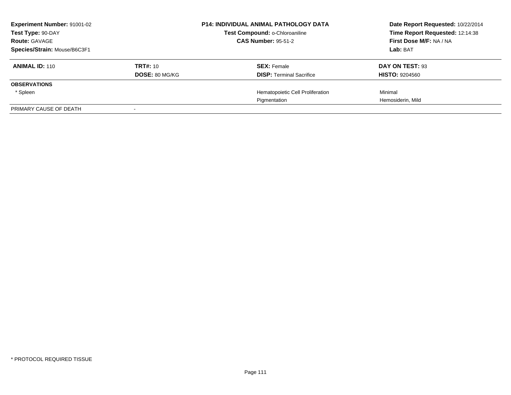| <b>Experiment Number: 91001-02</b><br>Test Type: 90-DAY |                       | <b>P14: INDIVIDUAL ANIMAL PATHOLOGY DATA</b><br>Test Compound: o-Chloroaniline<br><b>CAS Number: 95-51-2</b> |                                  | Date Report Requested: 10/22/2014<br>Time Report Requested: 12:14:38<br>First Dose M/F: NA / NA |
|---------------------------------------------------------|-----------------------|--------------------------------------------------------------------------------------------------------------|----------------------------------|-------------------------------------------------------------------------------------------------|
| <b>Route: GAVAGE</b>                                    |                       |                                                                                                              |                                  |                                                                                                 |
| Species/Strain: Mouse/B6C3F1                            |                       |                                                                                                              |                                  | Lab: BAT                                                                                        |
| <b>ANIMAL ID: 110</b>                                   | TRT#: 10              |                                                                                                              | <b>SEX: Female</b>               | DAY ON TEST: 93                                                                                 |
|                                                         | <b>DOSE: 80 MG/KG</b> |                                                                                                              | <b>DISP:</b> Terminal Sacrifice  | <b>HISTO: 9204560</b>                                                                           |
| <b>OBSERVATIONS</b>                                     |                       |                                                                                                              |                                  |                                                                                                 |
| * Spleen                                                |                       |                                                                                                              | Hematopoietic Cell Proliferation | Minimal                                                                                         |
|                                                         |                       |                                                                                                              | Pigmentation                     | Hemosiderin, Mild                                                                               |
| PRIMARY CAUSE OF DEATH                                  |                       |                                                                                                              |                                  |                                                                                                 |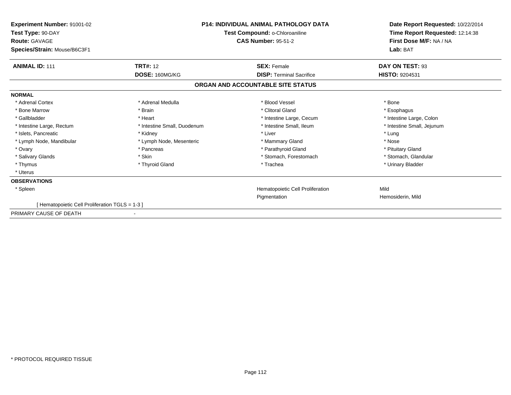| <b>Experiment Number: 91001-02</b><br>Test Type: 90-DAY<br><b>Route: GAVAGE</b><br>Species/Strain: Mouse/B6C3F1 | <b>P14: INDIVIDUAL ANIMAL PATHOLOGY DATA</b><br>Test Compound: o-Chloroaniline<br><b>CAS Number: 95-51-2</b> |                                   | Date Report Requested: 10/22/2014<br>Time Report Requested: 12:14:38<br>First Dose M/F: NA / NA<br>Lab: BAT |
|-----------------------------------------------------------------------------------------------------------------|--------------------------------------------------------------------------------------------------------------|-----------------------------------|-------------------------------------------------------------------------------------------------------------|
| <b>ANIMAL ID: 111</b>                                                                                           | <b>TRT#: 12</b>                                                                                              | <b>SEX: Female</b>                | DAY ON TEST: 93                                                                                             |
|                                                                                                                 | DOSE: 160MG/KG                                                                                               | <b>DISP:</b> Terminal Sacrifice   | <b>HISTO: 9204531</b>                                                                                       |
|                                                                                                                 |                                                                                                              | ORGAN AND ACCOUNTABLE SITE STATUS |                                                                                                             |
| <b>NORMAL</b>                                                                                                   |                                                                                                              |                                   |                                                                                                             |
| * Adrenal Cortex                                                                                                | * Adrenal Medulla                                                                                            | * Blood Vessel                    | * Bone                                                                                                      |
| * Bone Marrow                                                                                                   | * Brain                                                                                                      | * Clitoral Gland                  | * Esophagus                                                                                                 |
| * Gallbladder                                                                                                   | * Heart                                                                                                      | * Intestine Large, Cecum          | * Intestine Large, Colon                                                                                    |
| * Intestine Large, Rectum                                                                                       | * Intestine Small, Duodenum                                                                                  | * Intestine Small, Ileum          | * Intestine Small, Jejunum                                                                                  |
| * Islets, Pancreatic                                                                                            | * Kidney                                                                                                     | * Liver                           | * Lung                                                                                                      |
| * Lymph Node, Mandibular                                                                                        | * Lymph Node, Mesenteric                                                                                     | * Mammary Gland                   | * Nose                                                                                                      |
| * Ovary                                                                                                         | * Pancreas                                                                                                   | * Parathyroid Gland               | * Pituitary Gland                                                                                           |
| * Salivary Glands                                                                                               | * Skin                                                                                                       | * Stomach, Forestomach            | * Stomach, Glandular                                                                                        |
| * Thymus                                                                                                        | * Thyroid Gland                                                                                              | * Trachea                         | * Urinary Bladder                                                                                           |
| * Uterus                                                                                                        |                                                                                                              |                                   |                                                                                                             |
| <b>OBSERVATIONS</b>                                                                                             |                                                                                                              |                                   |                                                                                                             |
| * Spleen                                                                                                        |                                                                                                              | Hematopoietic Cell Proliferation  | Mild                                                                                                        |
|                                                                                                                 |                                                                                                              | Pigmentation                      | Hemosiderin, Mild                                                                                           |
| [Hematopoietic Cell Proliferation TGLS = 1-3 ]                                                                  |                                                                                                              |                                   |                                                                                                             |
| PRIMARY CAUSE OF DEATH                                                                                          |                                                                                                              |                                   |                                                                                                             |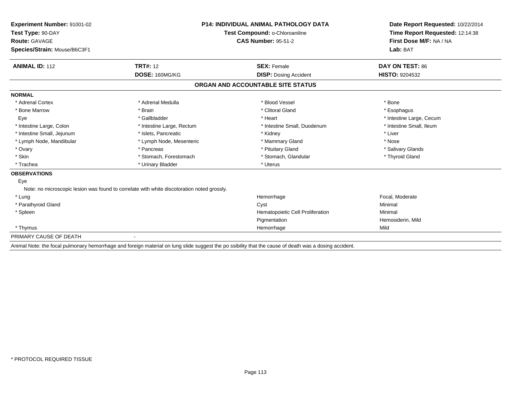| Experiment Number: 91001-02                                                 | <b>P14: INDIVIDUAL ANIMAL PATHOLOGY DATA</b>                                               |                                                                                                                                                        | Date Report Requested: 10/22/2014 |  |
|-----------------------------------------------------------------------------|--------------------------------------------------------------------------------------------|--------------------------------------------------------------------------------------------------------------------------------------------------------|-----------------------------------|--|
| Test Type: 90-DAY<br>Test Compound: o-Chloroaniline<br><b>Route: GAVAGE</b> |                                                                                            | Time Report Requested: 12:14:38                                                                                                                        |                                   |  |
|                                                                             |                                                                                            | <b>CAS Number: 95-51-2</b>                                                                                                                             | First Dose M/F: NA / NA           |  |
| Species/Strain: Mouse/B6C3F1                                                |                                                                                            |                                                                                                                                                        | Lab: BAT                          |  |
| <b>ANIMAL ID: 112</b>                                                       | <b>TRT#: 12</b>                                                                            | <b>SEX: Female</b>                                                                                                                                     | DAY ON TEST: 86                   |  |
|                                                                             | DOSE: 160MG/KG                                                                             | <b>DISP:</b> Dosing Accident                                                                                                                           | <b>HISTO: 9204532</b>             |  |
|                                                                             |                                                                                            | ORGAN AND ACCOUNTABLE SITE STATUS                                                                                                                      |                                   |  |
| <b>NORMAL</b>                                                               |                                                                                            |                                                                                                                                                        |                                   |  |
| * Adrenal Cortex                                                            | * Adrenal Medulla                                                                          | * Blood Vessel                                                                                                                                         | * Bone                            |  |
| * Bone Marrow                                                               | * Brain                                                                                    | * Clitoral Gland                                                                                                                                       | * Esophagus                       |  |
| Eye                                                                         | * Gallbladder                                                                              | * Heart                                                                                                                                                | * Intestine Large, Cecum          |  |
| * Intestine Large, Colon                                                    | * Intestine Large, Rectum                                                                  | * Intestine Small, Duodenum                                                                                                                            | * Intestine Small, Ileum          |  |
| * Intestine Small, Jejunum                                                  | * Islets, Pancreatic                                                                       | * Kidney                                                                                                                                               | * Liver                           |  |
| * Lymph Node, Mandibular                                                    | * Lymph Node, Mesenteric                                                                   | * Mammary Gland                                                                                                                                        | * Nose                            |  |
| * Ovary                                                                     | * Pancreas                                                                                 | * Pituitary Gland                                                                                                                                      | * Salivary Glands                 |  |
| * Skin                                                                      | * Stomach, Forestomach                                                                     | * Stomach, Glandular                                                                                                                                   | * Thyroid Gland                   |  |
| * Trachea                                                                   | * Urinary Bladder                                                                          | * Uterus                                                                                                                                               |                                   |  |
| <b>OBSERVATIONS</b>                                                         |                                                                                            |                                                                                                                                                        |                                   |  |
| Eye                                                                         |                                                                                            |                                                                                                                                                        |                                   |  |
|                                                                             | Note: no microscopic lesion was found to correlate with white discoloration noted grossly. |                                                                                                                                                        |                                   |  |
| * Lung                                                                      |                                                                                            | Hemorrhage                                                                                                                                             | Focal, Moderate                   |  |
| * Parathyroid Gland                                                         |                                                                                            | Cyst                                                                                                                                                   | Minimal                           |  |
| * Spleen                                                                    |                                                                                            | Hematopoietic Cell Proliferation                                                                                                                       | Minimal                           |  |
|                                                                             |                                                                                            | Pigmentation                                                                                                                                           | Hemosiderin, Mild                 |  |
| * Thymus                                                                    |                                                                                            | Hemorrhage                                                                                                                                             | Mild                              |  |
| PRIMARY CAUSE OF DEATH                                                      |                                                                                            |                                                                                                                                                        |                                   |  |
|                                                                             |                                                                                            | Animal Note: the focal pulmonary hemorrhage and foreign material on lung slide suggest the po ssibility that the cause of death was a dosing accident. |                                   |  |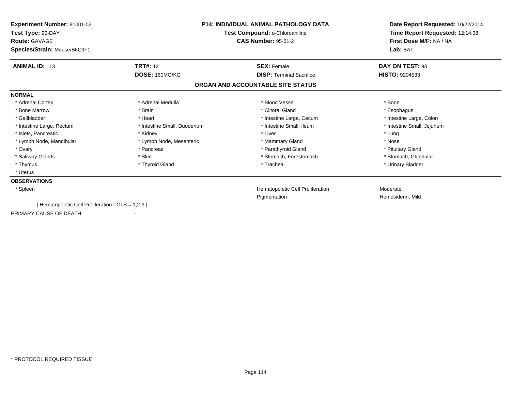| <b>Experiment Number: 91001-02</b><br>Test Type: 90-DAY<br><b>Route: GAVAGE</b> | <b>P14: INDIVIDUAL ANIMAL PATHOLOGY DATA</b><br>Test Compound: o-Chloroaniline<br><b>CAS Number: 95-51-2</b> |                                         | Date Report Requested: 10/22/2014<br>Time Report Requested: 12:14:38<br>First Dose M/F: NA / NA<br>Lab: BAT |  |
|---------------------------------------------------------------------------------|--------------------------------------------------------------------------------------------------------------|-----------------------------------------|-------------------------------------------------------------------------------------------------------------|--|
| Species/Strain: Mouse/B6C3F1                                                    |                                                                                                              |                                         |                                                                                                             |  |
| <b>ANIMAL ID: 113</b>                                                           | <b>TRT#: 12</b>                                                                                              | <b>SEX: Female</b>                      | DAY ON TEST: 93                                                                                             |  |
|                                                                                 | DOSE: 160MG/KG                                                                                               | <b>DISP:</b> Terminal Sacrifice         | <b>HISTO: 9204533</b>                                                                                       |  |
|                                                                                 |                                                                                                              | ORGAN AND ACCOUNTABLE SITE STATUS       |                                                                                                             |  |
| <b>NORMAL</b>                                                                   |                                                                                                              |                                         |                                                                                                             |  |
| * Adrenal Cortex                                                                | * Adrenal Medulla                                                                                            | * Blood Vessel                          | * Bone                                                                                                      |  |
| * Bone Marrow                                                                   | * Brain                                                                                                      | * Clitoral Gland                        | * Esophagus                                                                                                 |  |
| * Gallbladder                                                                   | * Heart                                                                                                      | * Intestine Large, Cecum                | * Intestine Large, Colon                                                                                    |  |
| * Intestine Large, Rectum                                                       | * Intestine Small, Duodenum                                                                                  | * Intestine Small, Ileum                | * Intestine Small, Jejunum                                                                                  |  |
| * Islets, Pancreatic                                                            | * Kidney                                                                                                     | * Liver                                 | * Lung                                                                                                      |  |
| * Lymph Node, Mandibular                                                        | * Lymph Node, Mesenteric                                                                                     | * Mammary Gland                         | * Nose                                                                                                      |  |
| * Ovary                                                                         | * Pancreas                                                                                                   | * Parathyroid Gland                     | * Pituitary Gland                                                                                           |  |
| * Salivary Glands                                                               | * Skin                                                                                                       | * Stomach, Forestomach                  | * Stomach, Glandular                                                                                        |  |
| * Thymus                                                                        | * Thyroid Gland                                                                                              | * Trachea                               | * Urinary Bladder                                                                                           |  |
| * Uterus                                                                        |                                                                                                              |                                         |                                                                                                             |  |
| <b>OBSERVATIONS</b>                                                             |                                                                                                              |                                         |                                                                                                             |  |
| * Spleen                                                                        |                                                                                                              | <b>Hematopoietic Cell Proliferation</b> | Moderate                                                                                                    |  |
|                                                                                 |                                                                                                              | Pigmentation                            | Hemosiderin, Mild                                                                                           |  |
| [ Hematopoietic Cell Proliferation TGLS = 1,2-3 ]                               |                                                                                                              |                                         |                                                                                                             |  |
| PRIMARY CAUSE OF DEATH                                                          |                                                                                                              |                                         |                                                                                                             |  |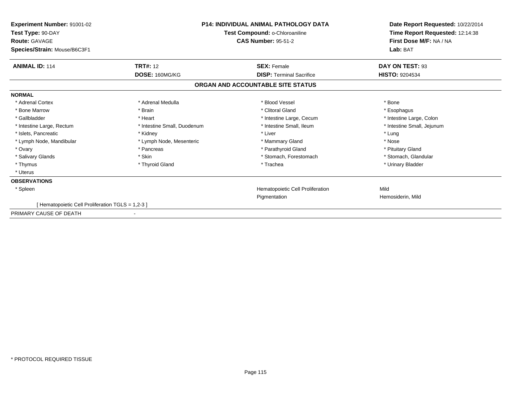| <b>Experiment Number: 91001-02</b><br>Test Type: 90-DAY<br><b>Route: GAVAGE</b> | <b>P14: INDIVIDUAL ANIMAL PATHOLOGY DATA</b><br>Test Compound: o-Chloroaniline<br><b>CAS Number: 95-51-2</b> |                                         | Date Report Requested: 10/22/2014<br>Time Report Requested: 12:14:38<br>First Dose M/F: NA / NA |  |
|---------------------------------------------------------------------------------|--------------------------------------------------------------------------------------------------------------|-----------------------------------------|-------------------------------------------------------------------------------------------------|--|
| Species/Strain: Mouse/B6C3F1                                                    |                                                                                                              |                                         | Lab: BAT                                                                                        |  |
| <b>ANIMAL ID: 114</b>                                                           | <b>TRT#: 12</b>                                                                                              | <b>SEX: Female</b>                      | DAY ON TEST: 93                                                                                 |  |
|                                                                                 | DOSE: 160MG/KG                                                                                               | <b>DISP:</b> Terminal Sacrifice         | <b>HISTO: 9204534</b>                                                                           |  |
|                                                                                 |                                                                                                              | ORGAN AND ACCOUNTABLE SITE STATUS       |                                                                                                 |  |
| <b>NORMAL</b>                                                                   |                                                                                                              |                                         |                                                                                                 |  |
| * Adrenal Cortex                                                                | * Adrenal Medulla                                                                                            | * Blood Vessel                          | * Bone                                                                                          |  |
| * Bone Marrow                                                                   | * Brain                                                                                                      | * Clitoral Gland                        | * Esophagus                                                                                     |  |
| * Gallbladder                                                                   | * Heart                                                                                                      | * Intestine Large, Cecum                | * Intestine Large, Colon                                                                        |  |
| * Intestine Large, Rectum                                                       | * Intestine Small, Duodenum                                                                                  | * Intestine Small, Ileum                | * Intestine Small, Jejunum                                                                      |  |
| * Islets, Pancreatic                                                            | * Kidney                                                                                                     | * Liver                                 | * Lung                                                                                          |  |
| * Lymph Node, Mandibular                                                        | * Lymph Node, Mesenteric                                                                                     | * Mammary Gland                         | * Nose                                                                                          |  |
| * Ovary                                                                         | * Pancreas                                                                                                   | * Parathyroid Gland                     | * Pituitary Gland                                                                               |  |
| * Salivary Glands                                                               | * Skin                                                                                                       | * Stomach, Forestomach                  | * Stomach, Glandular                                                                            |  |
| * Thymus                                                                        | * Thyroid Gland                                                                                              | * Trachea                               | * Urinary Bladder                                                                               |  |
| * Uterus                                                                        |                                                                                                              |                                         |                                                                                                 |  |
| <b>OBSERVATIONS</b>                                                             |                                                                                                              |                                         |                                                                                                 |  |
| * Spleen                                                                        |                                                                                                              | <b>Hematopoietic Cell Proliferation</b> | Mild                                                                                            |  |
|                                                                                 |                                                                                                              | Pigmentation                            | Hemosiderin, Mild                                                                               |  |
| [ Hematopoietic Cell Proliferation TGLS = 1,2-3 ]                               |                                                                                                              |                                         |                                                                                                 |  |
| PRIMARY CAUSE OF DEATH                                                          |                                                                                                              |                                         |                                                                                                 |  |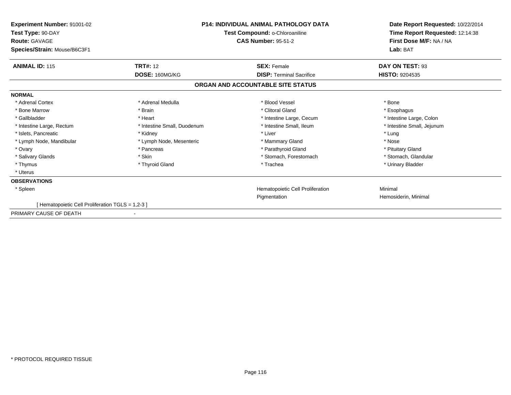| <b>Experiment Number: 91001-02</b><br>Test Type: 90-DAY<br><b>Route: GAVAGE</b> | <b>P14: INDIVIDUAL ANIMAL PATHOLOGY DATA</b><br>Test Compound: o-Chloroaniline<br><b>CAS Number: 95-51-2</b> |                                         | Date Report Requested: 10/22/2014<br>Time Report Requested: 12:14:38<br>First Dose M/F: NA / NA |  |
|---------------------------------------------------------------------------------|--------------------------------------------------------------------------------------------------------------|-----------------------------------------|-------------------------------------------------------------------------------------------------|--|
| Species/Strain: Mouse/B6C3F1                                                    |                                                                                                              |                                         | Lab: BAT                                                                                        |  |
| <b>ANIMAL ID: 115</b>                                                           | <b>TRT#: 12</b>                                                                                              | <b>SEX: Female</b>                      | DAY ON TEST: 93                                                                                 |  |
|                                                                                 | DOSE: 160MG/KG                                                                                               | <b>DISP:</b> Terminal Sacrifice         | <b>HISTO: 9204535</b>                                                                           |  |
|                                                                                 |                                                                                                              | ORGAN AND ACCOUNTABLE SITE STATUS       |                                                                                                 |  |
| <b>NORMAL</b>                                                                   |                                                                                                              |                                         |                                                                                                 |  |
| * Adrenal Cortex                                                                | * Adrenal Medulla                                                                                            | * Blood Vessel                          | * Bone                                                                                          |  |
| * Bone Marrow                                                                   | * Brain                                                                                                      | * Clitoral Gland                        | * Esophagus                                                                                     |  |
| * Gallbladder                                                                   | * Heart                                                                                                      | * Intestine Large, Cecum                | * Intestine Large, Colon                                                                        |  |
| * Intestine Large, Rectum                                                       | * Intestine Small, Duodenum                                                                                  | * Intestine Small, Ileum                | * Intestine Small, Jejunum                                                                      |  |
| * Islets, Pancreatic                                                            | * Kidney                                                                                                     | * Liver                                 | * Lung                                                                                          |  |
| * Lymph Node, Mandibular                                                        | * Lymph Node, Mesenteric                                                                                     | * Mammary Gland                         | * Nose                                                                                          |  |
| * Ovary                                                                         | * Pancreas                                                                                                   | * Parathyroid Gland                     | * Pituitary Gland                                                                               |  |
| * Salivary Glands                                                               | * Skin                                                                                                       | * Stomach, Forestomach                  | * Stomach, Glandular                                                                            |  |
| * Thymus                                                                        | * Thyroid Gland                                                                                              | * Trachea                               | * Urinary Bladder                                                                               |  |
| * Uterus                                                                        |                                                                                                              |                                         |                                                                                                 |  |
| <b>OBSERVATIONS</b>                                                             |                                                                                                              |                                         |                                                                                                 |  |
| * Spleen                                                                        |                                                                                                              | <b>Hematopoietic Cell Proliferation</b> | Minimal                                                                                         |  |
|                                                                                 |                                                                                                              | Pigmentation                            | Hemosiderin, Minimal                                                                            |  |
| [ Hematopoietic Cell Proliferation TGLS = 1,2-3 ]                               |                                                                                                              |                                         |                                                                                                 |  |
| PRIMARY CAUSE OF DEATH                                                          |                                                                                                              |                                         |                                                                                                 |  |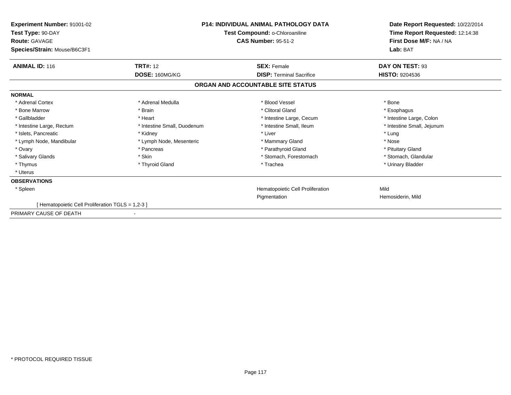| <b>Experiment Number: 91001-02</b><br>Test Type: 90-DAY<br><b>Route: GAVAGE</b> | <b>P14: INDIVIDUAL ANIMAL PATHOLOGY DATA</b><br>Test Compound: o-Chloroaniline<br><b>CAS Number: 95-51-2</b> |                                         | Date Report Requested: 10/22/2014<br>Time Report Requested: 12:14:38<br>First Dose M/F: NA / NA |  |
|---------------------------------------------------------------------------------|--------------------------------------------------------------------------------------------------------------|-----------------------------------------|-------------------------------------------------------------------------------------------------|--|
| Species/Strain: Mouse/B6C3F1                                                    |                                                                                                              |                                         | Lab: BAT                                                                                        |  |
| <b>ANIMAL ID: 116</b>                                                           | <b>TRT#: 12</b>                                                                                              | <b>SEX: Female</b>                      | DAY ON TEST: 93                                                                                 |  |
|                                                                                 | DOSE: 160MG/KG                                                                                               | <b>DISP:</b> Terminal Sacrifice         | <b>HISTO: 9204536</b>                                                                           |  |
|                                                                                 |                                                                                                              | ORGAN AND ACCOUNTABLE SITE STATUS       |                                                                                                 |  |
| <b>NORMAL</b>                                                                   |                                                                                                              |                                         |                                                                                                 |  |
| * Adrenal Cortex                                                                | * Adrenal Medulla                                                                                            | * Blood Vessel                          | * Bone                                                                                          |  |
| * Bone Marrow                                                                   | * Brain                                                                                                      | * Clitoral Gland                        | * Esophagus                                                                                     |  |
| * Gallbladder                                                                   | * Heart                                                                                                      | * Intestine Large, Cecum                | * Intestine Large, Colon                                                                        |  |
| * Intestine Large, Rectum                                                       | * Intestine Small, Duodenum                                                                                  | * Intestine Small, Ileum                | * Intestine Small, Jejunum                                                                      |  |
| * Islets, Pancreatic                                                            | * Kidney                                                                                                     | * Liver                                 | * Lung                                                                                          |  |
| * Lymph Node, Mandibular                                                        | * Lymph Node, Mesenteric                                                                                     | * Mammary Gland                         | * Nose                                                                                          |  |
| * Ovary                                                                         | * Pancreas                                                                                                   | * Parathyroid Gland                     | * Pituitary Gland                                                                               |  |
| * Salivary Glands                                                               | * Skin                                                                                                       | * Stomach, Forestomach                  | * Stomach, Glandular                                                                            |  |
| * Thymus                                                                        | * Thyroid Gland                                                                                              | * Trachea                               | * Urinary Bladder                                                                               |  |
| * Uterus                                                                        |                                                                                                              |                                         |                                                                                                 |  |
| <b>OBSERVATIONS</b>                                                             |                                                                                                              |                                         |                                                                                                 |  |
| * Spleen                                                                        |                                                                                                              | <b>Hematopoietic Cell Proliferation</b> | Mild                                                                                            |  |
|                                                                                 |                                                                                                              | Pigmentation                            | Hemosiderin, Mild                                                                               |  |
| [ Hematopoietic Cell Proliferation TGLS = 1,2-3 ]                               |                                                                                                              |                                         |                                                                                                 |  |
| PRIMARY CAUSE OF DEATH                                                          |                                                                                                              |                                         |                                                                                                 |  |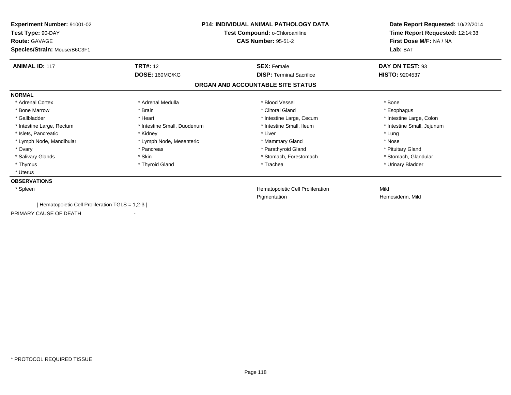| <b>Experiment Number: 91001-02</b><br>Test Type: 90-DAY<br><b>Route: GAVAGE</b><br>Species/Strain: Mouse/B6C3F1 | <b>P14: INDIVIDUAL ANIMAL PATHOLOGY DATA</b><br>Test Compound: o-Chloroaniline<br><b>CAS Number: 95-51-2</b> |                                   | Date Report Requested: 10/22/2014<br>Time Report Requested: 12:14:38<br>First Dose M/F: NA / NA<br>Lab: BAT |
|-----------------------------------------------------------------------------------------------------------------|--------------------------------------------------------------------------------------------------------------|-----------------------------------|-------------------------------------------------------------------------------------------------------------|
| <b>ANIMAL ID: 117</b>                                                                                           | <b>TRT#: 12</b>                                                                                              | <b>SEX: Female</b>                | DAY ON TEST: 93                                                                                             |
|                                                                                                                 | DOSE: 160MG/KG                                                                                               | <b>DISP:</b> Terminal Sacrifice   | <b>HISTO: 9204537</b>                                                                                       |
|                                                                                                                 |                                                                                                              | ORGAN AND ACCOUNTABLE SITE STATUS |                                                                                                             |
| <b>NORMAL</b>                                                                                                   |                                                                                                              |                                   |                                                                                                             |
| * Adrenal Cortex                                                                                                | * Adrenal Medulla                                                                                            | * Blood Vessel                    | * Bone                                                                                                      |
| * Bone Marrow                                                                                                   | * Brain                                                                                                      | * Clitoral Gland                  | * Esophagus                                                                                                 |
| * Gallbladder                                                                                                   | * Heart                                                                                                      | * Intestine Large, Cecum          | * Intestine Large, Colon                                                                                    |
| * Intestine Large, Rectum                                                                                       | * Intestine Small, Duodenum                                                                                  | * Intestine Small, Ileum          | * Intestine Small, Jejunum                                                                                  |
| * Islets, Pancreatic                                                                                            | * Kidney                                                                                                     | * Liver                           | * Lung                                                                                                      |
| * Lymph Node, Mandibular                                                                                        | * Lymph Node, Mesenteric                                                                                     | * Mammary Gland                   | * Nose                                                                                                      |
| * Ovary                                                                                                         | * Pancreas                                                                                                   | * Parathyroid Gland               | * Pituitary Gland                                                                                           |
| * Salivary Glands                                                                                               | * Skin                                                                                                       | * Stomach, Forestomach            | * Stomach, Glandular                                                                                        |
| * Thymus                                                                                                        | * Thyroid Gland                                                                                              | * Trachea                         | * Urinary Bladder                                                                                           |
| * Uterus                                                                                                        |                                                                                                              |                                   |                                                                                                             |
| <b>OBSERVATIONS</b>                                                                                             |                                                                                                              |                                   |                                                                                                             |
| * Spleen                                                                                                        |                                                                                                              | Hematopoietic Cell Proliferation  | Mild                                                                                                        |
|                                                                                                                 |                                                                                                              | Pigmentation                      | Hemosiderin, Mild                                                                                           |
| [ Hematopoietic Cell Proliferation TGLS = 1,2-3 ]                                                               |                                                                                                              |                                   |                                                                                                             |
| PRIMARY CAUSE OF DEATH                                                                                          |                                                                                                              |                                   |                                                                                                             |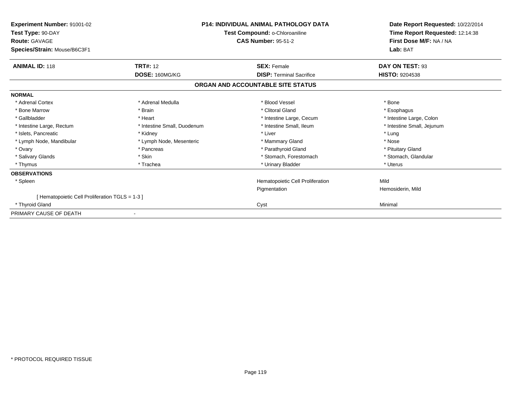| Experiment Number: 91001-02<br>Test Type: 90-DAY<br><b>Route: GAVAGE</b><br>Species/Strain: Mouse/B6C3F1 | <b>P14: INDIVIDUAL ANIMAL PATHOLOGY DATA</b><br>Test Compound: o-Chloroaniline<br><b>CAS Number: 95-51-2</b> |                                   | Date Report Requested: 10/22/2014<br>Time Report Requested: 12:14:38<br>First Dose M/F: NA / NA<br>Lab: BAT |  |
|----------------------------------------------------------------------------------------------------------|--------------------------------------------------------------------------------------------------------------|-----------------------------------|-------------------------------------------------------------------------------------------------------------|--|
| <b>ANIMAL ID: 118</b>                                                                                    | <b>TRT#: 12</b>                                                                                              | <b>SEX: Female</b>                | DAY ON TEST: 93                                                                                             |  |
|                                                                                                          | DOSE: 160MG/KG                                                                                               | <b>DISP: Terminal Sacrifice</b>   | <b>HISTO: 9204538</b>                                                                                       |  |
|                                                                                                          |                                                                                                              | ORGAN AND ACCOUNTABLE SITE STATUS |                                                                                                             |  |
| <b>NORMAL</b>                                                                                            |                                                                                                              |                                   |                                                                                                             |  |
| * Adrenal Cortex                                                                                         | * Adrenal Medulla                                                                                            | * Blood Vessel                    | * Bone                                                                                                      |  |
| * Bone Marrow                                                                                            | * Brain                                                                                                      | * Clitoral Gland                  | * Esophagus                                                                                                 |  |
| * Gallbladder                                                                                            | * Heart                                                                                                      | * Intestine Large, Cecum          | * Intestine Large, Colon                                                                                    |  |
| * Intestine Large, Rectum                                                                                | * Intestine Small, Duodenum                                                                                  | * Intestine Small, Ileum          | * Intestine Small, Jejunum                                                                                  |  |
| * Islets, Pancreatic                                                                                     | * Kidney                                                                                                     | * Liver                           | * Lung                                                                                                      |  |
| * Lymph Node, Mandibular                                                                                 | * Lymph Node, Mesenteric                                                                                     | * Mammary Gland                   | * Nose                                                                                                      |  |
| * Ovary                                                                                                  | * Pancreas                                                                                                   | * Parathyroid Gland               | * Pituitary Gland                                                                                           |  |
| * Salivary Glands                                                                                        | * Skin                                                                                                       | * Stomach, Forestomach            | * Stomach, Glandular                                                                                        |  |
| * Thymus                                                                                                 | * Trachea                                                                                                    | * Urinary Bladder                 | * Uterus                                                                                                    |  |
| <b>OBSERVATIONS</b>                                                                                      |                                                                                                              |                                   |                                                                                                             |  |
| * Spleen                                                                                                 |                                                                                                              | Hematopoietic Cell Proliferation  | Mild                                                                                                        |  |
|                                                                                                          |                                                                                                              | Pigmentation                      | Hemosiderin, Mild                                                                                           |  |
| [Hematopoietic Cell Proliferation TGLS = 1-3]                                                            |                                                                                                              |                                   |                                                                                                             |  |
| * Thyroid Gland                                                                                          |                                                                                                              | Cyst                              | Minimal                                                                                                     |  |
| PRIMARY CAUSE OF DEATH                                                                                   |                                                                                                              |                                   |                                                                                                             |  |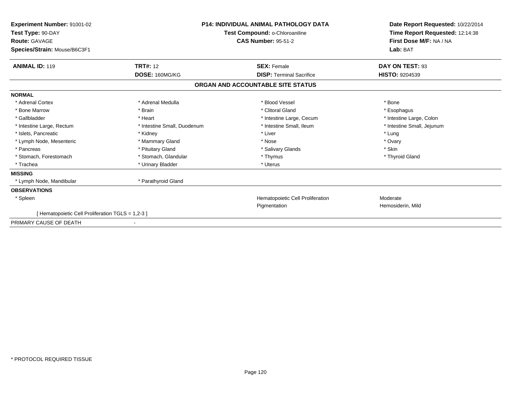| Experiment Number: 91001-02<br>Test Type: 90-DAY<br><b>Route: GAVAGE</b><br>Species/Strain: Mouse/B6C3F1 | <b>P14: INDIVIDUAL ANIMAL PATHOLOGY DATA</b><br>Test Compound: o-Chloroaniline<br><b>CAS Number: 95-51-2</b> |                                   | Date Report Requested: 10/22/2014<br>Time Report Requested: 12:14:38<br>First Dose M/F: NA / NA<br>Lab: BAT |  |
|----------------------------------------------------------------------------------------------------------|--------------------------------------------------------------------------------------------------------------|-----------------------------------|-------------------------------------------------------------------------------------------------------------|--|
| <b>ANIMAL ID: 119</b>                                                                                    | <b>TRT#: 12</b>                                                                                              | <b>SEX: Female</b>                | DAY ON TEST: 93                                                                                             |  |
|                                                                                                          | DOSE: 160MG/KG                                                                                               | <b>DISP: Terminal Sacrifice</b>   | <b>HISTO: 9204539</b>                                                                                       |  |
|                                                                                                          |                                                                                                              | ORGAN AND ACCOUNTABLE SITE STATUS |                                                                                                             |  |
| <b>NORMAL</b>                                                                                            |                                                                                                              |                                   |                                                                                                             |  |
| * Adrenal Cortex                                                                                         | * Adrenal Medulla                                                                                            | * Blood Vessel                    | * Bone                                                                                                      |  |
| * Bone Marrow                                                                                            | * Brain                                                                                                      | * Clitoral Gland                  | * Esophagus                                                                                                 |  |
| * Gallbladder                                                                                            | * Heart                                                                                                      | * Intestine Large, Cecum          | * Intestine Large, Colon                                                                                    |  |
| * Intestine Large, Rectum                                                                                | * Intestine Small, Duodenum                                                                                  | * Intestine Small, Ileum          | * Intestine Small, Jejunum                                                                                  |  |
| * Islets, Pancreatic                                                                                     | * Kidney                                                                                                     | * Liver                           | * Lung                                                                                                      |  |
| * Lymph Node, Mesenteric                                                                                 | * Mammary Gland                                                                                              | * Nose                            | * Ovary                                                                                                     |  |
| * Pancreas                                                                                               | * Pituitary Gland                                                                                            | * Salivary Glands                 | * Skin                                                                                                      |  |
| * Stomach, Forestomach                                                                                   | * Stomach, Glandular                                                                                         | * Thymus                          | * Thyroid Gland                                                                                             |  |
| * Trachea                                                                                                | * Urinary Bladder                                                                                            | * Uterus                          |                                                                                                             |  |
| <b>MISSING</b>                                                                                           |                                                                                                              |                                   |                                                                                                             |  |
| * Lymph Node, Mandibular                                                                                 | * Parathyroid Gland                                                                                          |                                   |                                                                                                             |  |
| <b>OBSERVATIONS</b>                                                                                      |                                                                                                              |                                   |                                                                                                             |  |
| * Spleen                                                                                                 |                                                                                                              | Hematopoietic Cell Proliferation  | Moderate                                                                                                    |  |
|                                                                                                          |                                                                                                              | Pigmentation                      | Hemosiderin, Mild                                                                                           |  |
| Hematopoietic Cell Proliferation TGLS = 1,2-3 ]                                                          |                                                                                                              |                                   |                                                                                                             |  |
| PRIMARY CAUSE OF DEATH                                                                                   |                                                                                                              |                                   |                                                                                                             |  |